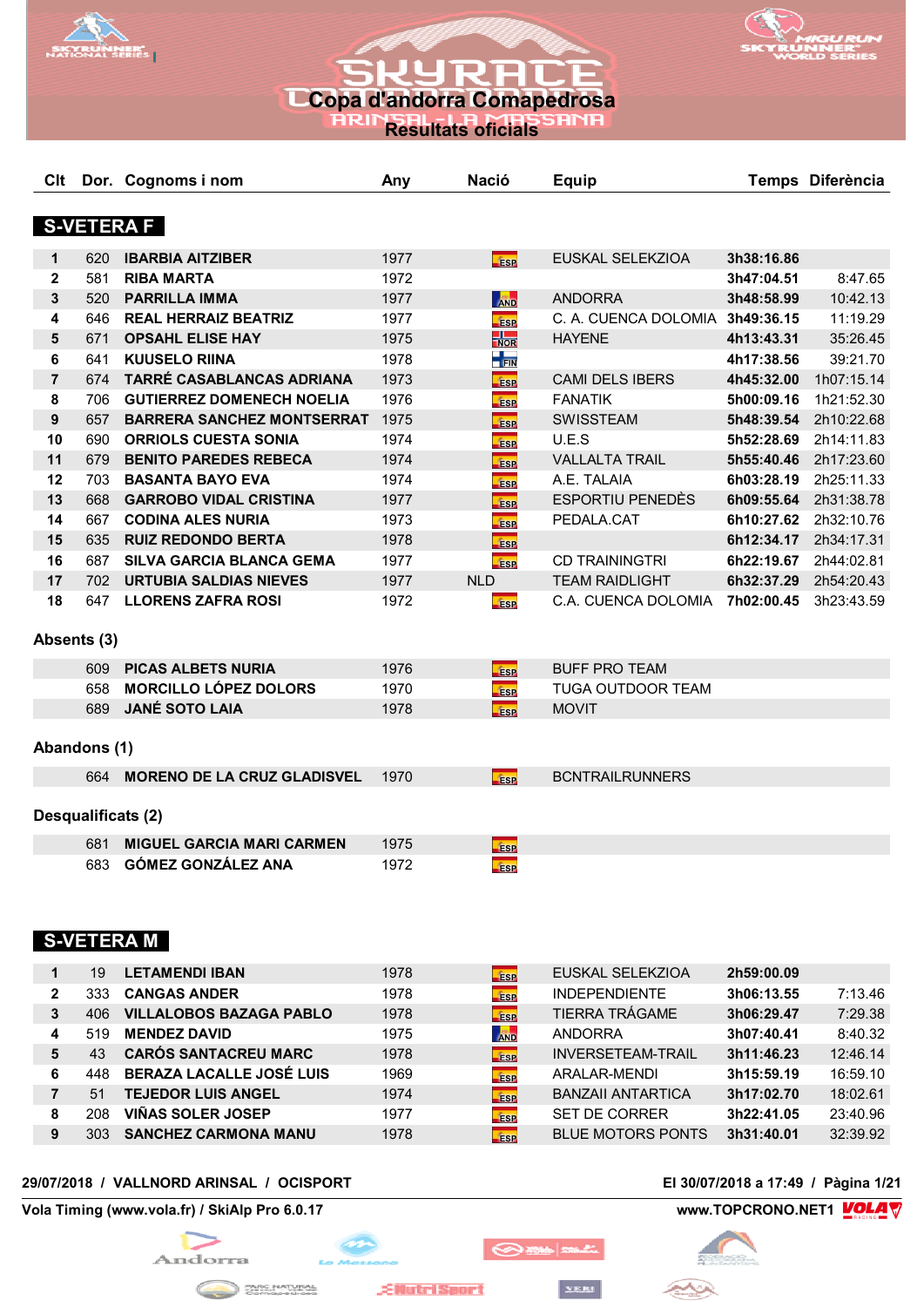



**Resultats oficials**

| Clt            |              | Dor. Cognoms i nom                 | Any  | <b>Nació</b>                              | <b>Equip</b>                    |            | Temps Diferència |
|----------------|--------------|------------------------------------|------|-------------------------------------------|---------------------------------|------------|------------------|
|                |              |                                    |      |                                           |                                 |            |                  |
|                |              | <b>S-VETERA F</b>                  |      |                                           |                                 |            |                  |
| 1              | 620          | <b>IBARBIA AITZIBER</b>            | 1977 | <b>Fise</b>                               | EUSKAL SELEKZIOA                | 3h38:16.86 |                  |
| $\mathbf{2}$   | 581          | <b>RIBA MARTA</b>                  | 1972 |                                           |                                 | 3h47:04.51 | 8:47.65          |
| 3              | 520          | <b>PARRILLA IMMA</b>               | 1977 | <b>AND</b>                                | <b>ANDORRA</b>                  | 3h48:58.99 | 10:42.13         |
| 4              | 646          | <b>REAL HERRAIZ BEATRIZ</b>        | 1977 | <b>ESP</b>                                | C. A. CUENCA DOLOMIA 3h49:36.15 |            | 11:19.29         |
| 5              | 671          | <b>OPSAHL ELISE HAY</b>            | 1975 | $\frac{1}{\sqrt{2}}$                      | <b>HAYENE</b>                   | 4h13:43.31 | 35:26.45         |
| 6              | 641          | <b>KUUSELO RIINA</b>               | 1978 | $\frac{1}{\sqrt{2}}$ $\frac{1}{\sqrt{2}}$ |                                 | 4h17:38.56 | 39:21.70         |
| $\overline{7}$ | 674          | TARRÉ CASABLANCAS ADRIANA          | 1973 | <b>ESP</b>                                | <b>CAMI DELS IBERS</b>          | 4h45:32.00 | 1h07:15.14       |
| 8              | 706          | <b>GUTIERREZ DOMENECH NOELIA</b>   | 1976 | <b>ESP</b>                                | <b>FANATIK</b>                  | 5h00:09.16 | 1h21:52.30       |
| 9              | 657          | <b>BARRERA SANCHEZ MONTSERRAT</b>  | 1975 | <b>ESP</b>                                | <b>SWISSTEAM</b>                | 5h48:39.54 | 2h10:22.68       |
| 10             | 690          | <b>ORRIOLS CUESTA SONIA</b>        | 1974 | <b>ESP</b>                                | U.E.S                           | 5h52:28.69 | 2h14:11.83       |
| 11             | 679          | <b>BENITO PAREDES REBECA</b>       | 1974 | <b>ESP</b>                                | <b>VALLALTA TRAIL</b>           | 5h55:40.46 | 2h17:23.60       |
| 12             | 703          | <b>BASANTA BAYO EVA</b>            | 1974 | <b>ESP</b>                                | A.E. TALAIA                     | 6h03:28.19 | 2h25:11.33       |
| 13             | 668          | <b>GARROBO VIDAL CRISTINA</b>      | 1977 | <b>ESP</b>                                | <b>ESPORTIU PENEDÈS</b>         | 6h09:55.64 | 2h31:38.78       |
| 14             | 667          | <b>CODINA ALES NURIA</b>           | 1973 | <b>ESP</b>                                | PEDALA.CAT                      | 6h10:27.62 | 2h32:10.76       |
| 15             | 635          | <b>RUIZ REDONDO BERTA</b>          | 1978 | <b>ESP</b>                                |                                 | 6h12:34.17 | 2h34:17.31       |
| 16             | 687          | <b>SILVA GARCIA BLANCA GEMA</b>    | 1977 | <b>Fase</b>                               | <b>CD TRAININGTRI</b>           | 6h22:19.67 | 2h44:02.81       |
| 17             | 702          | <b>URTUBIA SALDIAS NIEVES</b>      | 1977 | <b>NLD</b>                                | <b>TEAM RAIDLIGHT</b>           | 6h32:37.29 | 2h54:20.43       |
| 18             | 647          | <b>LLORENS ZAFRA ROSI</b>          | 1972 | <b>ESP</b>                                | C.A. CUENCA DOLOMIA             | 7h02:00.45 | 3h23:43.59       |
|                | Absents (3)  |                                    |      |                                           |                                 |            |                  |
|                |              |                                    |      |                                           |                                 |            |                  |
|                | 609          | <b>PICAS ALBETS NURIA</b>          | 1976 | <b>ESP</b>                                | <b>BUFF PRO TEAM</b>            |            |                  |
|                | 658          | <b>MORCILLO LÓPEZ DOLORS</b>       | 1970 | <b>ESP</b>                                | <b>TUGA OUTDOOR TEAM</b>        |            |                  |
|                | 689          | <b>JANÉ SOTO LAIA</b>              | 1978 | <b>Fise</b>                               | <b>MOVIT</b>                    |            |                  |
|                | Abandons (1) |                                    |      |                                           |                                 |            |                  |
|                | 664          | <b>MORENO DE LA CRUZ GLADISVEL</b> | 1970 | <b>ESP</b>                                | <b>BCNTRAILRUNNERS</b>          |            |                  |
|                |              |                                    |      |                                           |                                 |            |                  |
|                |              | Desqualificats (2)                 |      |                                           |                                 |            |                  |
|                | 681          | <b>MIGUEL GARCIA MARI CARMEN</b>   | 1975 | <b>ESP</b>                                |                                 |            |                  |
|                | 683          | GÓMEZ GONZÁLEZ ANA                 | 1972 | <b>ESP</b>                                |                                 |            |                  |
|                |              |                                    |      |                                           |                                 |            |                  |
|                |              |                                    |      |                                           |                                 |            |                  |
|                |              | <b>S-VETERA M</b>                  |      |                                           |                                 |            |                  |
|                |              |                                    |      |                                           |                                 |            |                  |
| 1              | 19           | <b>LETAMENDI IBAN</b>              | 1978 | <b>Esp</b>                                | EUSKAL SELEKZIOA                | 2h59:00.09 |                  |
| 2              | 333          | <b>CANGAS ANDER</b>                | 1978 | <b>fase</b>                               | <b>INDEPENDIENTE</b>            | 3h06:13.55 | 7:13.46          |
| 3              | 406          | <b>VILLALOBOS BAZAGA PABLO</b>     | 1978 | <b>ESP</b>                                | <b>TIERRA TRÁGAME</b>           | 3h06:29.47 | 7:29.38          |
| 4              | 519          | <b>MENDEZ DAVID</b>                | 1975 | <b>AND</b>                                | <b>ANDORRA</b>                  | 3h07:40.41 | 8:40.32          |
| 5              | 43           | <b>CARÓS SANTACREU MARC</b>        | 1978 | <b>ESP</b>                                | <b>INVERSETEAM-TRAIL</b>        | 3h11:46.23 | 12:46.14         |
| 6              | 448          | <b>BERAZA LACALLE JOSÉ LUIS</b>    | 1969 | <b>ESP</b>                                | ARALAR-MENDI                    | 3h15:59.19 | 16:59.10         |
| $\overline{7}$ | 51           | <b>TEJEDOR LUIS ANGEL</b>          | 1974 | <b>ESP</b>                                | <b>BANZAII ANTARTICA</b>        | 3h17:02.70 | 18:02.61         |
| 8              | 208          | <b>VIÑAS SOLER JOSEP</b>           | 1977 | <b>ESP</b>                                | SET DE CORRER                   | 3h22:41.05 | 23:40.96         |
| 9              | 303          | <b>SANCHEZ CARMONA MANU</b>        | 1978 | ÉSP                                       | <b>BLUE MOTORS PONTS</b>        | 3h31:40.01 | 32:39.92         |

## **29/07/2018 / VALLNORD ARINSAL / OCISPORT El 30/07/2018 a 17:49 / Pàgina 1/21**

**Vola Timing (www.vola.fr) / SkiAlp Pro 6.0.17 www.TOPCRONO.NET1 WOLAT** 



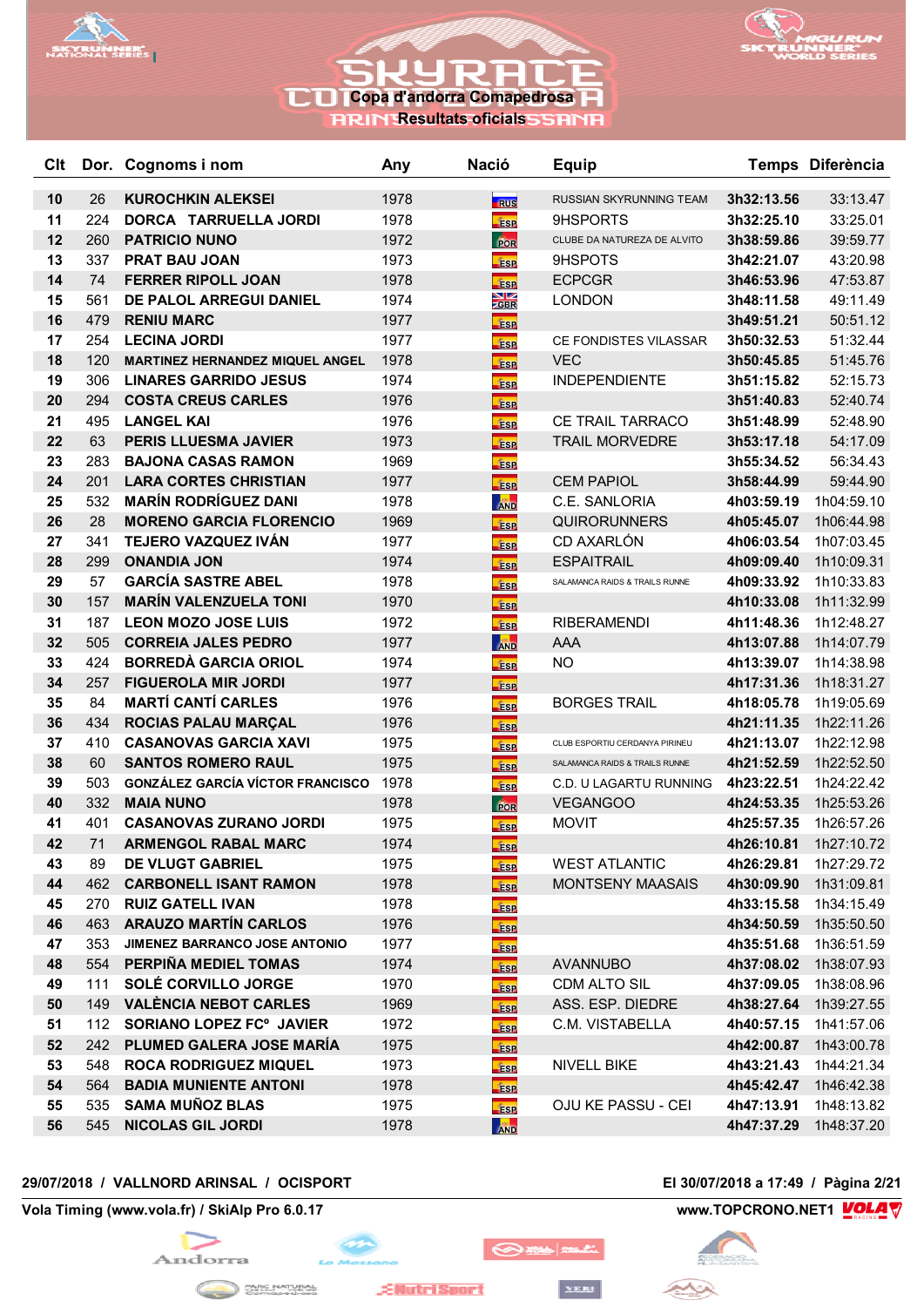



**RRIN Resultats oficials** 

| Clt      |            | Dor. Cognoms i nom                                  | Any          | <b>Nació</b>                    | <b>Equip</b>                     |                          | Temps Diferència         |
|----------|------------|-----------------------------------------------------|--------------|---------------------------------|----------------------------------|--------------------------|--------------------------|
| 10       | 26         | <b>KUROCHKIN ALEKSEI</b>                            | 1978         |                                 | RUSSIAN SKYRUNNING TEAM          | 3h32:13.56               | 33:13.47                 |
| 11       | 224        | DORCA TARRUELLA JORDI                               | 1978         | <b>RUS</b><br><b>fise</b>       | 9HSPORTS                         | 3h32:25.10               | 33:25.01                 |
| 12       | 260        | <b>PATRICIO NUNO</b>                                | 1972         | For                             | CLUBE DA NATUREZA DE ALVITO      | 3h38:59.86               | 39:59.77                 |
| 13       | 337        | <b>PRAT BAU JOAN</b>                                | 1973         | <b>ESP</b>                      | 9HSPOTS                          | 3h42:21.07               | 43:20.98                 |
| 14       | 74         | <b>FERRER RIPOLL JOAN</b>                           | 1978         | <b>ESP</b>                      | <b>ECPCGR</b>                    | 3h46:53.96               | 47:53.87                 |
| 15       | 561        | DE PALOL ARREGUI DANIEL                             | 1974         | $\frac{\text{N}}{\text{Z}}$ gbr | <b>LONDON</b>                    | 3h48:11.58               | 49:11.49                 |
| 16       | 479        | <b>RENIU MARC</b>                                   | 1977         | <b>ESP</b>                      |                                  | 3h49:51.21               | 50:51.12                 |
| 17       | 254        | <b>LECINA JORDI</b>                                 | 1977         | <b>ESP</b>                      | CE FONDISTES VILASSAR            | 3h50:32.53               | 51:32.44                 |
| 18       | 120        | <b>MARTINEZ HERNANDEZ MIQUEL ANGEL</b>              | 1978         | <b>ESP</b>                      | <b>VEC</b>                       | 3h50:45.85               | 51:45.76                 |
| 19       | 306        | <b>LINARES GARRIDO JESUS</b>                        | 1974         | <b>ESP</b>                      | <b>INDEPENDIENTE</b>             | 3h51:15.82               | 52:15.73                 |
| 20       | 294        | <b>COSTA CREUS CARLES</b>                           | 1976         | <b>ESP</b>                      |                                  | 3h51:40.83               | 52:40.74                 |
| 21       | 495        | <b>LANGEL KAI</b>                                   | 1976         | <b>ESP</b>                      | <b>CE TRAIL TARRACO</b>          | 3h51:48.99               | 52:48.90                 |
| 22       | 63         | PERIS LLUESMA JAVIER                                | 1973         | <b>ESP</b>                      | <b>TRAIL MORVEDRE</b>            | 3h53:17.18               | 54:17.09                 |
| 23       | 283        | <b>BAJONA CASAS RAMON</b>                           | 1969         | <b>ESP</b>                      |                                  | 3h55:34.52               | 56:34.43                 |
| 24       | 201        | <b>LARA CORTES CHRISTIAN</b>                        | 1977         | fise                            | <b>CEM PAPIOL</b>                | 3h58:44.99               | 59:44.90                 |
| 25       | 532        | <b>MARÍN RODRÍGUEZ DANI</b>                         | 1978         | <b>AND</b>                      | C.E. SANLORIA                    | 4h03:59.19               | 1h04:59.10               |
| 26       | 28         | <b>MORENO GARCIA FLORENCIO</b>                      | 1969         | <b>ESP</b>                      | <b>QUIRORUNNERS</b>              | 4h05:45.07               | 1h06:44.98               |
| 27       | 341        | TEJERO VAZQUEZ IVÁN                                 | 1977         | <b>ESP</b>                      | CD AXARLÓN                       | 4h06:03.54               | 1h07:03.45               |
| 28       | 299        | <b>ONANDIA JON</b>                                  | 1974         | <b>ESP</b>                      | <b>ESPAITRAIL</b>                | 4h09:09.40               | 1h10:09.31               |
| 29       | 57         | <b>GARCÍA SASTRE ABEL</b>                           | 1978         | <b>ESP</b>                      | SALAMANCA RAIDS & TRAILS RUNNE   | 4h09:33.92               | 1h10:33.83               |
| 30       | 157        | <b>MARÍN VALENZUELA TONI</b>                        | 1970         | <b>ESP</b>                      |                                  | 4h10:33.08               | 1h11:32.99               |
| 31       | 187        | <b>LEON MOZO JOSE LUIS</b>                          | 1972         | <b>ESP</b>                      | <b>RIBERAMENDI</b>               | 4h11:48.36               | 1h12:48.27               |
| 32       | 505        | <b>CORREIA JALES PEDRO</b>                          | 1977         | <b>AND</b>                      | AAA                              | 4h13:07.88               | 1h14:07.79               |
| 33       | 424        | <b>BORREDÀ GARCIA ORIOL</b>                         | 1974         | <b>ESP</b>                      | <b>NO</b>                        | 4h13:39.07               | 1h14:38.98               |
| 34       | 257        | <b>FIGUEROLA MIR JORDI</b>                          | 1977         | <b>ESP</b>                      |                                  | 4h17:31.36               | 1h18:31.27               |
| 35       | 84         | <b>MARTÍ CANTÍ CARLES</b>                           | 1976         | <b>ESP</b>                      | <b>BORGES TRAIL</b>              | 4h18:05.78               | 1h19:05.69               |
| 36       | 434        | <b>ROCIAS PALAU MARÇAL</b>                          | 1976         | ÉSP                             |                                  | 4h21:11.35               | 1h22:11.26               |
| 37       | 410        | <b>CASANOVAS GARCIA XAVI</b>                        | 1975         | <b>ESP</b>                      | CLUB ESPORTIU CERDANYA PIRINEU   | 4h21:13.07               | 1h22:12.98               |
| 38       | 60         | <b>SANTOS ROMERO RAUL</b>                           | 1975         | <b>ESP</b>                      | SALAMANCA RAIDS & TRAILS RUNNE   | 4h21:52.59               | 1h22:52.50               |
| 39       | 503        | <b>GONZÁLEZ GARCÍA VÍCTOR FRANCISCO</b>             | 1978         | <b>ESP</b>                      | C.D. U LAGARTU RUNNING           | 4h23:22.51               | 1h24:22.42               |
| 40       | 332        | <b>MAIA NUNO</b>                                    | 1978         | POR                             | <b>VEGANGOO</b>                  | 4h24:53.35               | 1h25:53.26               |
| 41       | 401        | <b>CASANOVAS ZURANO JORDI</b>                       | 1975         | <b>ESP</b>                      | <b>MOVIT</b>                     | 4h25:57.35               | 1h26:57.26               |
| 42       | 71         | <b>ARMENGOL RABAL MARC</b>                          | 1974         | ÉSP                             |                                  | 4h26:10.81               | 1h27:10.72               |
| 43       | 89         | DE VLUGT GABRIEL                                    | 1975         | <b>ESP</b>                      | <b>WEST ATLANTIC</b>             | 4h26:29.81               | 1h27:29.72               |
| 44       | 462        | <b>CARBONELL ISANT RAMON</b>                        | 1978         | <b>ESP</b>                      | <b>MONTSENY MAASAIS</b>          | 4h30:09.90               | 1h31:09.81               |
| 45       | 270        | <b>RUIZ GATELL IVAN</b>                             | 1978         | <b>ESP</b>                      |                                  | 4h33:15.58               | 1h34:15.49               |
| 46       | 463        | <b>ARAUZO MARTÍN CARLOS</b>                         | 1976         | <b>ESP</b>                      |                                  | 4h34:50.59               | 1h35:50.50               |
| 47       | 353        | JIMENEZ BARRANCO JOSE ANTONIO                       | 1977         | <b>ESP</b>                      |                                  | 4h35:51.68               | 1h36:51.59               |
| 48       |            | 554 PERPIÑA MEDIEL TOMAS                            | 1974         | ÉSP                             | <b>AVANNUBO</b>                  |                          | 4h37:08.02 1h38:07.93    |
| 49<br>50 | 111<br>149 | SOLÉ CORVILLO JORGE<br><b>VALÈNCIA NEBOT CARLES</b> | 1970<br>1969 | <b>ESP</b>                      | CDM ALTO SIL<br>ASS. ESP. DIEDRE | 4h37:09.05<br>4h38:27.64 | 1h38:08.96<br>1h39:27.55 |
|          |            | SORIANO LOPEZ FC° JAVIER                            |              | <b>ESP</b>                      |                                  |                          |                          |
| 51<br>52 | 112<br>242 | PLUMED GALERA JOSE MARIA                            | 1972<br>1975 | <b>ESP</b>                      | C.M. VISTABELLA                  | 4h40:57.15               | 1h41:57.06<br>1h43:00.78 |
| 53       | 548        | <b>ROCA RODRIGUEZ MIQUEL</b>                        | 1973         | <b>ESP</b>                      | NIVELL BIKE                      | 4h42:00.87<br>4h43:21.43 | 1h44:21.34               |
| 54       | 564        | <b>BADIA MUNIENTE ANTONI</b>                        | 1978         | <b>ESP</b>                      |                                  | 4h45:42.47               | 1h46:42.38               |
| 55       | 535        | <b>SAMA MUÑOZ BLAS</b>                              | 1975         | <b>ESP</b><br><b>ESP</b>        | OJU KE PASSU - CEI               | 4h47:13.91               | 1h48:13.82               |
| 56       | 545        | <b>NICOLAS GIL JORDI</b>                            | 1978         |                                 |                                  | 4h47:37.29               | 1h48:37.20               |
|          |            |                                                     |              | <b>AND</b>                      |                                  |                          |                          |

## **29/07/2018 / VALLNORD ARINSAL / OCISPORT El 30/07/2018 a 17:49 / Pàgina 2/21**

**Vola Timing (www.vola.fr) / SkiAlp Pro 6.0.17 www.TOPCRONO.NET1 WOLA** 



بمكمع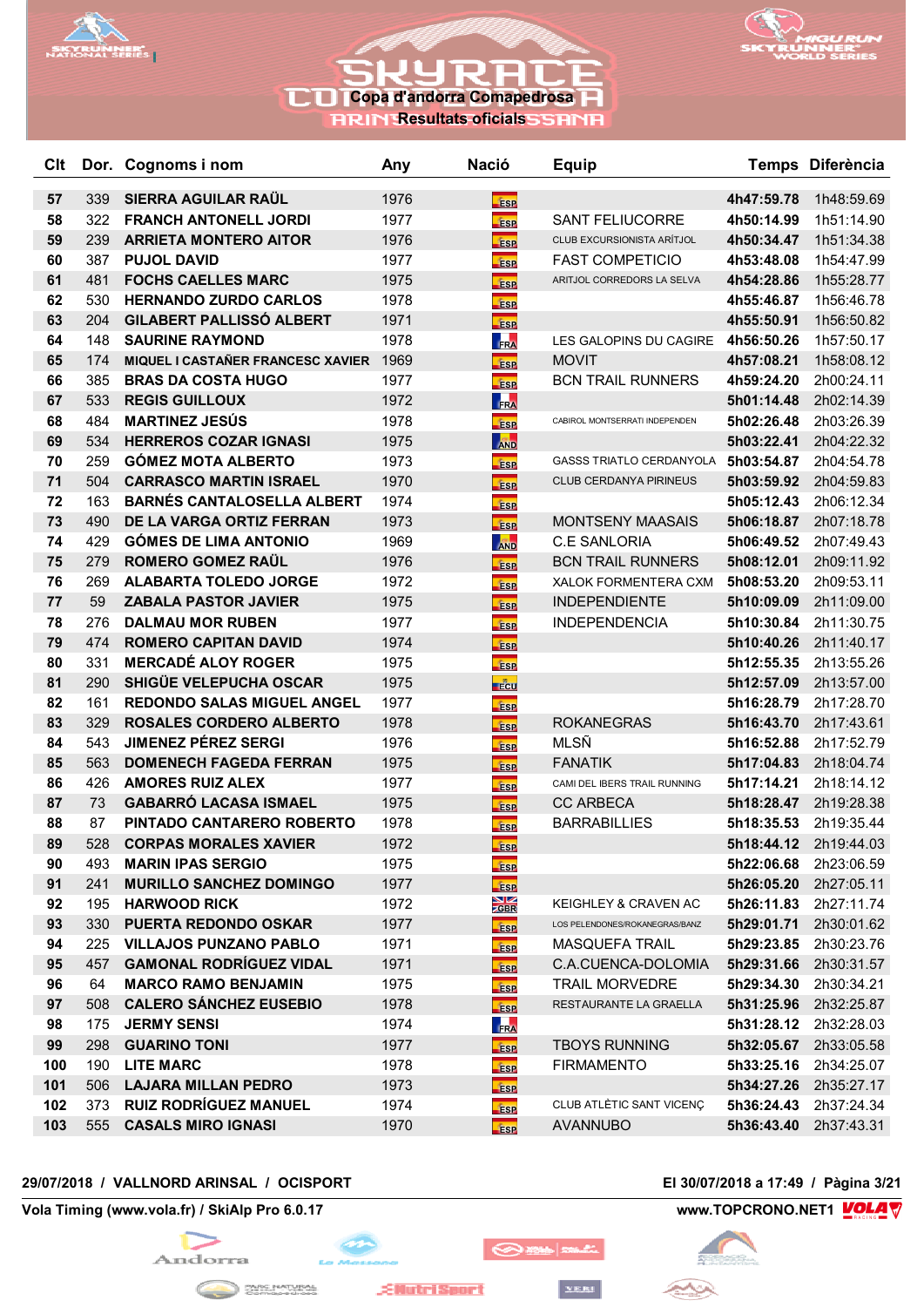



**RESULTATION RESULTED STRATES** 

| Clt |     | Dor. Cognoms i nom                | Any  | <b>Nació</b>                   | <b>Equip</b>                    |            | Temps Diferència      |
|-----|-----|-----------------------------------|------|--------------------------------|---------------------------------|------------|-----------------------|
| 57  | 339 | SIERRA AGUILAR RAUL               | 1976 |                                |                                 | 4h47:59.78 | 1h48:59.69            |
| 58  | 322 | <b>FRANCH ANTONELL JORDI</b>      | 1977 | <b>ESP</b><br><b>Esp</b>       | <b>SANT FELIUCORRE</b>          | 4h50:14.99 | 1h51:14.90            |
| 59  | 239 | <b>ARRIETA MONTERO AITOR</b>      | 1976 | <b>ESP</b>                     | CLUB EXCURSIONISTA ARÍTJOL      | 4h50:34.47 | 1h51:34.38            |
| 60  | 387 | <b>PUJOL DAVID</b>                | 1977 | <b>ESP</b>                     | <b>FAST COMPETICIO</b>          | 4h53:48.08 | 1h54:47.99            |
| 61  | 481 | <b>FOCHS CAELLES MARC</b>         | 1975 | <b>ESP</b>                     | ARITJOL CORREDORS LA SELVA      | 4h54:28.86 | 1h55:28.77            |
| 62  | 530 | <b>HERNANDO ZURDO CARLOS</b>      | 1978 | <b>ESP</b>                     |                                 | 4h55:46.87 | 1h56:46.78            |
| 63  | 204 | <b>GILABERT PALLISSÓ ALBERT</b>   | 1971 | <b>ESP</b>                     |                                 | 4h55:50.91 | 1h56:50.82            |
| 64  | 148 | <b>SAURINE RAYMOND</b>            | 1978 | <b>FRA</b>                     | LES GALOPINS DU CAGIRE          | 4h56:50.26 | 1h57:50.17            |
| 65  | 174 | MIQUEL I CASTAÑER FRANCESC XAVIER | 1969 | <b>ESP</b>                     | <b>MOVIT</b>                    | 4h57:08.21 | 1h58:08.12            |
| 66  | 385 | <b>BRAS DA COSTA HUGO</b>         | 1977 | <b>ESP</b>                     | <b>BCN TRAIL RUNNERS</b>        | 4h59:24.20 | 2h00:24.11            |
| 67  | 533 | <b>REGIS GUILLOUX</b>             | 1972 | FRA                            |                                 | 5h01:14.48 | 2h02:14.39            |
| 68  | 484 | <b>MARTINEZ JESÚS</b>             | 1978 | <b>ESP</b>                     | CABIROL MONTSERRATI INDEPENDEN  | 5h02:26.48 | 2h03:26.39            |
| 69  | 534 | <b>HERREROS COZAR IGNASI</b>      | 1975 | <b>AND</b>                     |                                 | 5h03:22.41 | 2h04:22.32            |
| 70  | 259 | <b>GÓMEZ MOTA ALBERTO</b>         | 1973 | <b>ESP</b>                     | <b>GASSS TRIATLO CERDANYOLA</b> | 5h03:54.87 | 2h04:54.78            |
| 71  | 504 | <b>CARRASCO MARTIN ISRAEL</b>     | 1970 | <b>Fise</b>                    | CLUB CERDANYA PIRINEUS          | 5h03:59.92 | 2h04:59.83            |
| 72  | 163 | <b>BARNÉS CANTALOSELLA ALBERT</b> | 1974 | <b>ESP</b>                     |                                 | 5h05:12.43 | 2h06:12.34            |
| 73  | 490 | DE LA VARGA ORTIZ FERRAN          | 1973 | <b>ESP</b>                     | <b>MONTSENY MAASAIS</b>         | 5h06:18.87 | 2h07:18.78            |
| 74  | 429 | <b>GÓMES DE LIMA ANTONIO</b>      | 1969 | <b>AND</b>                     | <b>C.E SANLORIA</b>             | 5h06:49.52 | 2h07:49.43            |
| 75  | 279 | <b>ROMERO GOMEZ RAÜL</b>          | 1976 | <b>ESP</b>                     | <b>BCN TRAIL RUNNERS</b>        | 5h08:12.01 | 2h09:11.92            |
| 76  | 269 | <b>ALABARTA TOLEDO JORGE</b>      | 1972 | <b>ESP</b>                     | XALOK FORMENTERA CXM            | 5h08:53.20 | 2h09:53.11            |
| 77  | 59  | <b>ZABALA PASTOR JAVIER</b>       | 1975 | <b>Fase</b>                    | <b>INDEPENDIENTE</b>            | 5h10:09.09 | 2h11:09.00            |
| 78  | 276 | <b>DALMAU MOR RUBEN</b>           | 1977 | <b>ESP</b>                     | <b>INDEPENDENCIA</b>            | 5h10:30.84 | 2h11:30.75            |
| 79  | 474 | <b>ROMERO CAPITAN DAVID</b>       | 1974 | ÉSP                            |                                 | 5h10:40.26 | 2h11:40.17            |
| 80  | 331 | <b>MERCADÉ ALOY ROGER</b>         | 1975 | <b>ESP</b>                     |                                 | 5h12:55.35 | 2h13:55.26            |
| 81  | 290 | SHIGÜE VELEPUCHA OSCAR            | 1975 | <b>E</b> cu                    |                                 | 5h12:57.09 | 2h13:57.00            |
| 82  | 161 | <b>REDONDO SALAS MIGUEL ANGEL</b> | 1977 | <b>ESP</b>                     |                                 | 5h16:28.79 | 2h17:28.70            |
| 83  | 329 | ROSALES CORDERO ALBERTO           | 1978 | <b>ESP</b>                     | <b>ROKANEGRAS</b>               | 5h16:43.70 | 2h17:43.61            |
| 84  | 543 | <b>JIMENEZ PÉREZ SERGI</b>        | 1976 | <b>ESP</b>                     | MLSÑ                            | 5h16:52.88 | 2h17:52.79            |
| 85  | 563 | <b>DOMENECH FAGEDA FERRAN</b>     | 1975 | <b>ESP</b>                     | <b>FANATIK</b>                  | 5h17:04.83 | 2h18:04.74            |
| 86  | 426 | <b>AMORES RUIZ ALEX</b>           | 1977 | <b>ESP</b>                     | CAMI DEL IBERS TRAIL RUNNING    | 5h17:14.21 | 2h18:14.12            |
| 87  | 73  | <b>GABARRÓ LACASA ISMAEL</b>      | 1975 | <b>ESP</b>                     | <b>CC ARBECA</b>                | 5h18:28.47 | 2h19:28.38            |
| 88  | 87  | PINTADO CANTARERO ROBERTO         | 1978 | <b>ESP</b>                     | <b>BARRABILLIES</b>             | 5h18:35.53 | 2h19:35.44            |
| 89  | 528 | <b>CORPAS MORALES XAVIER</b>      | 1972 | <b>ESP</b>                     |                                 | 5h18:44.12 | 2h19:44.03            |
| 90  | 493 | <b>MARIN IPAS SERGIO</b>          | 1975 | <b>ESP</b>                     |                                 | 5h22:06.68 | 2h23:06.59            |
| 91  | 241 | <b>MURILLO SANCHEZ DOMINGO</b>    | 1977 | <b>ESP</b>                     |                                 | 5h26:05.20 | 2h27:05.11            |
| 92  | 195 | <b>HARWOOD RICK</b>               | 1972 | $\frac{\text{N}}{\text{20BR}}$ | <b>KEIGHLEY &amp; CRAVEN AC</b> | 5h26:11.83 | 2h27:11.74            |
| 93  | 330 | <b>PUERTA REDONDO OSKAR</b>       | 1977 | <b>ESP</b>                     | LOS PELENDONES/ROKANEGRAS/BANZ  | 5h29:01.71 | 2h30:01.62            |
| 94  | 225 | <b>VILLAJOS PUNZANO PABLO</b>     | 1971 | <b>ESP</b>                     | <b>MASQUEFA TRAIL</b>           | 5h29:23.85 | 2h30:23.76            |
| 95  | 457 | <b>GAMONAL RODRÍGUEZ VIDAL</b>    | 1971 | <b>ESP</b>                     | C.A.CUENCA-DOLOMIA              | 5h29:31.66 | 2h30:31.57            |
| 96  | 64  | <b>MARCO RAMO BENJAMIN</b>        | 1975 | <b>ESP</b>                     | <b>TRAIL MORVEDRE</b>           | 5h29:34.30 | 2h30:34.21            |
| 97  | 508 | <b>CALERO SÁNCHEZ EUSEBIO</b>     | 1978 | <b>ESP</b>                     | RESTAURANTE LA GRAELLA          | 5h31:25.96 | 2h32:25.87            |
| 98  | 175 | <b>JERMY SENSI</b>                | 1974 | FRA                            |                                 |            | 5h31:28.12 2h32:28.03 |
| 99  | 298 | <b>GUARINO TONI</b>               | 1977 | <b>ESP</b>                     | <b>TBOYS RUNNING</b>            | 5h32:05.67 | 2h33:05.58            |
| 100 | 190 | <b>LITE MARC</b>                  | 1978 | <b>ESP</b>                     | <b>FIRMAMENTO</b>               | 5h33:25.16 | 2h34:25.07            |
| 101 | 506 | <b>LAJARA MILLAN PEDRO</b>        | 1973 | <b>ESP</b>                     |                                 | 5h34:27.26 | 2h35:27.17            |
| 102 | 373 | <b>RUIZ RODRÍGUEZ MANUEL</b>      | 1974 | <b>ESP</b>                     | CLUB ATLÈTIC SANT VICENÇ        | 5h36:24.43 | 2h37:24.34            |
| 103 |     | 555 CASALS MIRO IGNASI            | 1970 | <b>ESP</b>                     | <b>AVANNUBO</b>                 |            | 5h36:43.40 2h37:43.31 |

## **29/07/2018 / VALLNORD ARINSAL / OCISPORT El 30/07/2018 a 17:49 / Pàgina 3/21**

**Vola Timing (www.vola.fr) / SkiAlp Pro 6.0.17 www.TOPCRONO.NET1 WOLA** 





**EllutriSport** 

◎※■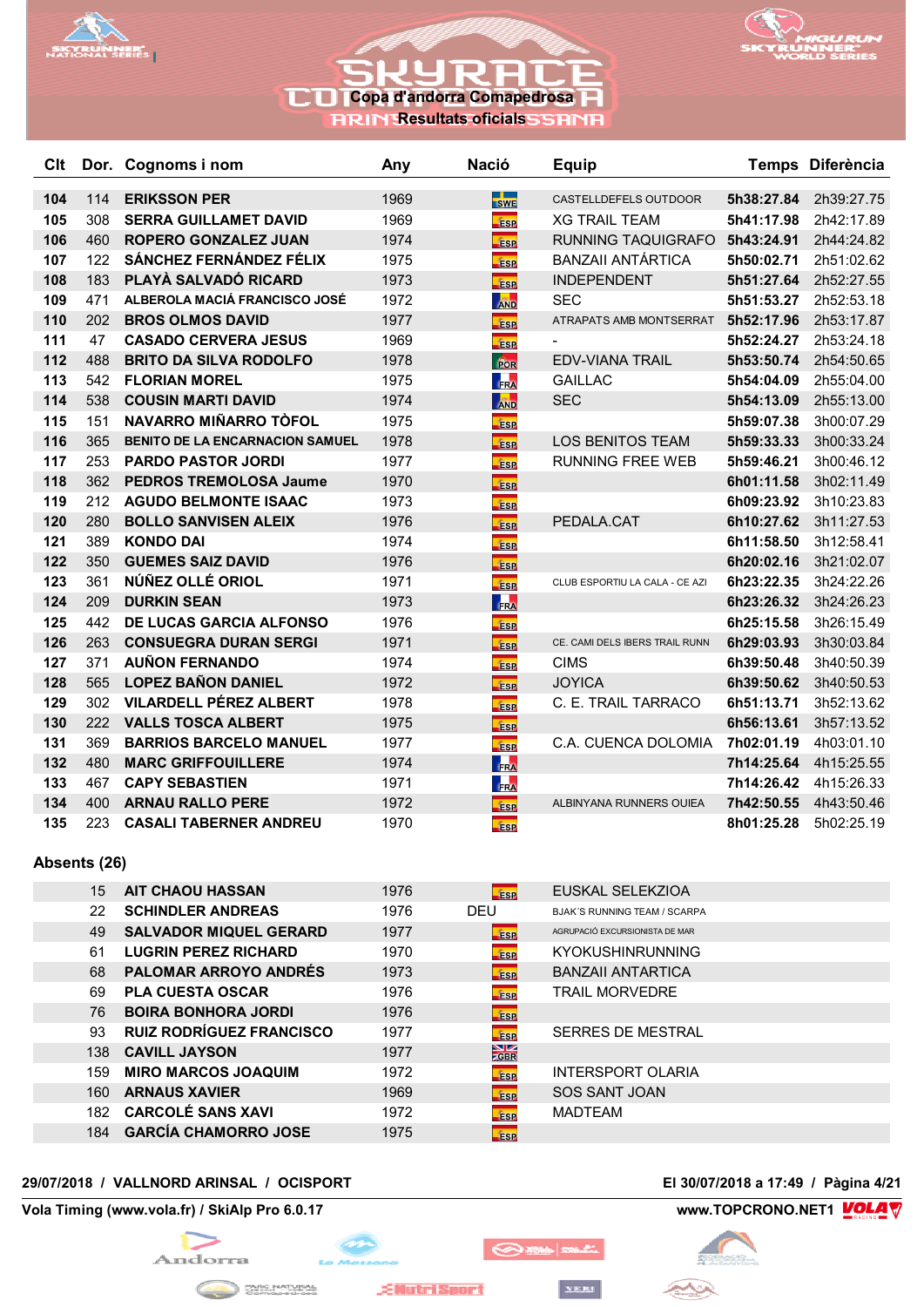



**RRIN Resultats oficials** 

| <b>Clt</b> |     | Dor. Cognoms i nom                                     | Any  | <b>Nació</b> | <b>Equip</b>                   |            | Temps Diferència |
|------------|-----|--------------------------------------------------------|------|--------------|--------------------------------|------------|------------------|
| 104        | 114 | <b>ERIKSSON PER</b>                                    | 1969 |              | CASTELLDEFELS OUTDOOR          | 5h38:27.84 | 2h39:27.75       |
| 105        | 308 | <b>SERRA GUILLAMET DAVID</b>                           | 1969 | <b>SWE</b>   | <b>XG TRAIL TEAM</b>           | 5h41:17.98 | 2h42:17.89       |
|            |     |                                                        | 1974 | <b>ESP</b>   |                                |            |                  |
| 106        | 460 | <b>ROPERO GONZALEZ JUAN</b><br>SÁNCHEZ FERNÁNDEZ FÉLIX |      | <b>ESP</b>   | RUNNING TAQUIGRAFO             | 5h43:24.91 | 2h44:24.82       |
| 107        | 122 |                                                        | 1975 | <b>fise</b>  | <b>BANZAII ANTÁRTICA</b>       | 5h50:02.71 | 2h51:02.62       |
| 108        | 183 | PLAYÀ SALVADÓ RICARD                                   | 1973 | <b>ESP</b>   | <b>INDEPENDENT</b>             | 5h51:27.64 | 2h52:27.55       |
| 109        | 471 | ALBEROLA MACIÁ FRANCISCO JOSÉ                          | 1972 | <b>AND</b>   | <b>SEC</b>                     | 5h51:53.27 | 2h52:53.18       |
| 110        | 202 | <b>BROS OLMOS DAVID</b>                                | 1977 | <b>ESP</b>   | ATRAPATS AMB MONTSERRAT        | 5h52:17.96 | 2h53:17.87       |
| 111        | 47  | <b>CASADO CERVERA JESUS</b>                            | 1969 | <b>ESP</b>   |                                | 5h52:24.27 | 2h53:24.18       |
| 112        | 488 | <b>BRITO DA SILVA RODOLFO</b>                          | 1978 | POR          | <b>EDV-VIANA TRAIL</b>         | 5h53:50.74 | 2h54:50.65       |
| 113        | 542 | <b>FLORIAN MOREL</b>                                   | 1975 | <b>FRA</b>   | <b>GAILLAC</b>                 | 5h54:04.09 | 2h55:04.00       |
| 114        | 538 | <b>COUSIN MARTI DAVID</b>                              | 1974 | <b>AND</b>   | <b>SEC</b>                     | 5h54:13.09 | 2h55:13.00       |
| 115        | 151 | NAVARRO MIÑARRO TÒFOL                                  | 1975 | <b>ESP</b>   |                                | 5h59:07.38 | 3h00:07.29       |
| 116        | 365 | <b>BENITO DE LA ENCARNACION SAMUEL</b>                 | 1978 | <b>ESP</b>   | <b>LOS BENITOS TEAM</b>        | 5h59:33.33 | 3h00:33.24       |
| 117        | 253 | <b>PARDO PASTOR JORDI</b>                              | 1977 | <b>ESP</b>   | <b>RUNNING FREE WEB</b>        | 5h59:46.21 | 3h00:46.12       |
| 118        | 362 | <b>PEDROS TREMOLOSA Jaume</b>                          | 1970 | ÉSP          |                                | 6h01:11.58 | 3h02:11.49       |
| 119        | 212 | <b>AGUDO BELMONTE ISAAC</b>                            | 1973 | <b>ESP</b>   |                                | 6h09:23.92 | 3h10:23.83       |
| 120        | 280 | <b>BOLLO SANVISEN ALEIX</b>                            | 1976 | <b>ESP</b>   | PEDALA.CAT                     | 6h10:27.62 | 3h11:27.53       |
| 121        | 389 | <b>KONDO DAI</b>                                       | 1974 | <b>ESP</b>   |                                | 6h11:58.50 | 3h12:58.41       |
| 122        | 350 | <b>GUEMES SAIZ DAVID</b>                               | 1976 | <b>ESP</b>   |                                | 6h20:02.16 | 3h21:02.07       |
| 123        | 361 | NÚÑEZ OLLÉ ORIOL                                       | 1971 | <b>ESP</b>   | CLUB ESPORTIU LA CALA - CE AZI | 6h23:22.35 | 3h24:22.26       |
| 124        | 209 | <b>DURKIN SEAN</b>                                     | 1973 | FRA          |                                | 6h23:26.32 | 3h24:26.23       |
| 125        | 442 | <b>DE LUCAS GARCIA ALFONSO</b>                         | 1976 | <b>ESP</b>   |                                | 6h25:15.58 | 3h26:15.49       |
| 126        | 263 | <b>CONSUEGRA DURAN SERGI</b>                           | 1971 | <b>ESP</b>   | CE. CAMI DELS IBERS TRAIL RUNN | 6h29:03.93 | 3h30:03.84       |
| 127        | 371 | <b>AUÑON FERNANDO</b>                                  | 1974 | <b>ESP</b>   | <b>CIMS</b>                    | 6h39:50.48 | 3h40:50.39       |
| 128        | 565 | <b>LOPEZ BAÑON DANIEL</b>                              | 1972 | <b>ESP</b>   | <b>JOYICA</b>                  | 6h39:50.62 | 3h40:50.53       |
| 129        | 302 | <b>VILARDELL PÉREZ ALBERT</b>                          | 1978 | <b>ESP</b>   | C. E. TRAIL TARRACO            | 6h51:13.71 | 3h52:13.62       |
| 130        | 222 | <b>VALLS TOSCA ALBERT</b>                              | 1975 | <b>ESP</b>   |                                | 6h56:13.61 | 3h57:13.52       |
| 131        | 369 | <b>BARRIOS BARCELO MANUEL</b>                          | 1977 | <b>ESP</b>   | C.A. CUENCA DOLOMIA            | 7h02:01.19 | 4h03:01.10       |
| 132        | 480 | <b>MARC GRIFFOUILLERE</b>                              | 1974 | <b>FRA</b>   |                                | 7h14:25.64 | 4h15:25.55       |
| 133        | 467 | <b>CAPY SEBASTIEN</b>                                  | 1971 | FRA          |                                | 7h14:26.42 | 4h15:26.33       |
| 134        | 400 | <b>ARNAU RALLO PERE</b>                                | 1972 | <b>ESP</b>   | ALBINYANA RUNNERS OUIEA        | 7h42:50.55 | 4h43:50.46       |
| 135        | 223 | <b>CASALI TABERNER ANDREU</b>                          | 1970 | <b>fasp</b>  |                                | 8h01:25.28 | 5h02:25.19       |

### **Absents (26)**

| 15  | <b>AIT CHAOU HASSAN</b>         | 1976 | <b>Tisp</b>     | EUSKAL SELEKZIOA                    |
|-----|---------------------------------|------|-----------------|-------------------------------------|
| 22  | <b>SCHINDLER ANDREAS</b>        | 1976 | DEU             | <b>BJAK'S RUNNING TEAM / SCARPA</b> |
| 49  | <b>SALVADOR MIQUEL GERARD</b>   | 1977 | <b>ESP</b>      | AGRUPACIÓ EXCURSIONISTA DE MAR      |
| 61  | <b>LUGRIN PEREZ RICHARD</b>     | 1970 | <b>ESP</b>      | <b>KYOKUSHINRUNNING</b>             |
| 68  | <b>PALOMAR ARROYO ANDRÉS</b>    | 1973 | <b>ESP</b>      | <b>BANZAII ANTARTICA</b>            |
| 69  | <b>PLA CUESTA OSCAR</b>         | 1976 | <b>ESP</b>      | <b>TRAIL MORVEDRE</b>               |
| 76  | <b>BOIRA BONHORA JORDI</b>      | 1976 | <b>ESP</b>      |                                     |
| 93  | <b>RUIZ RODRÍGUEZ FRANCISCO</b> | 1977 | <b>ESP</b>      | SERRES DE MESTRAL                   |
|     | 138 CAVILL JAYSON               | 1977 | $\frac{N}{GBR}$ |                                     |
| 159 | <b>MIRO MARCOS JOAQUIM</b>      | 1972 | <b>fase</b>     | <b>INTERSPORT OLARIA</b>            |
| 160 | <b>ARNAUS XAVIER</b>            | 1969 | <b>ESP</b>      | SOS SANT JOAN                       |
| 182 | <b>CARCOLÉ SANS XAVI</b>        | 1972 | <b>ESP</b>      | <b>MADTEAM</b>                      |
| 184 | <b>GARCÍA CHAMORRO JOSE</b>     | 1975 | <b>ESP</b>      |                                     |

 $\odot$  music

YERI

## **29/07/2018 / VALLNORD ARINSAL / OCISPORT El 30/07/2018 a 17:49 / Pàgina 4/21**

**Vola Timing (www.vola.fr) / SkiAlp Pro 6.0.17 www.TOPCRONO.NET1 WOLA** 



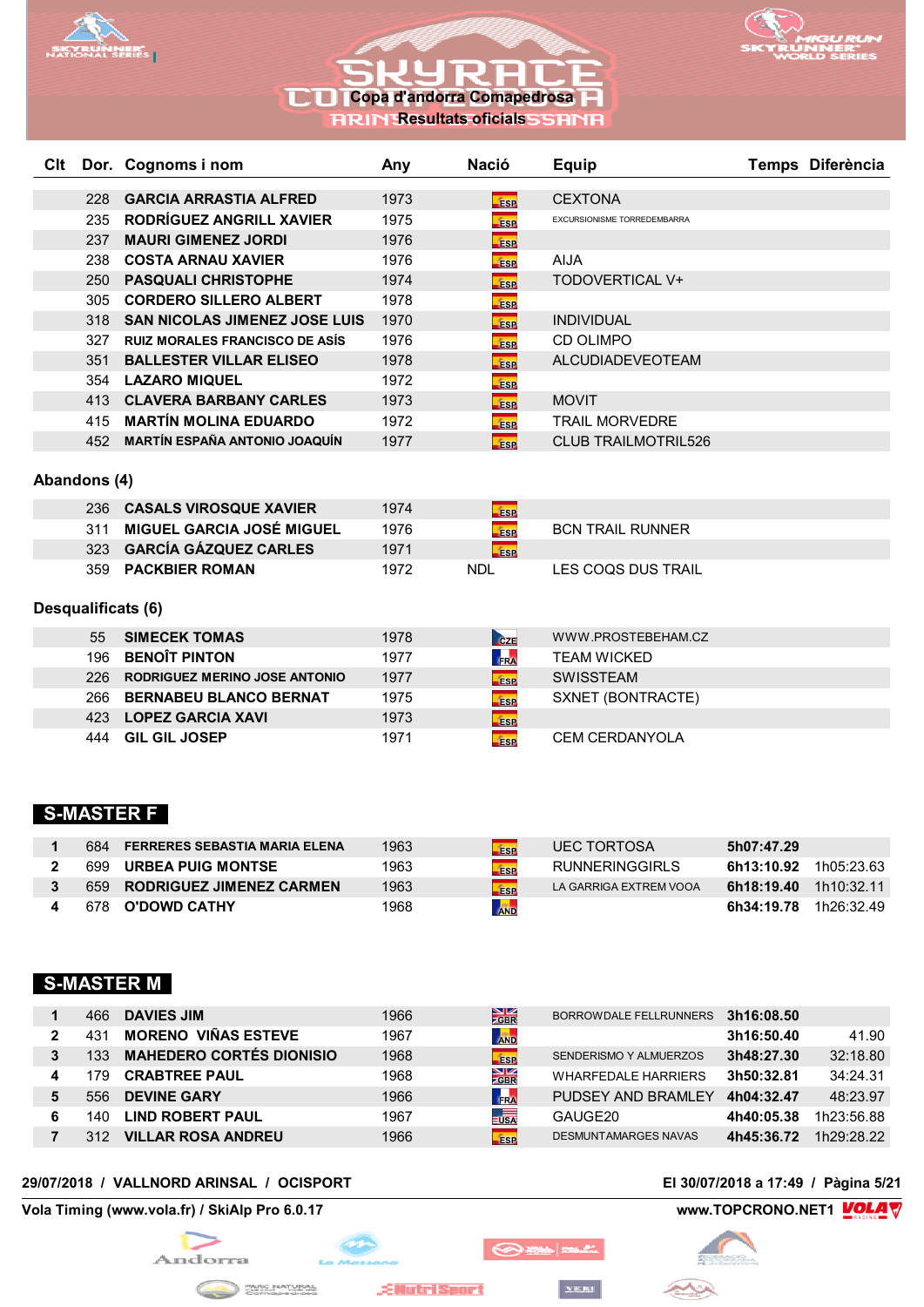



**RRIN Resultats oficials** 

| <b>C</b> It |     | Dor. Cognoms i nom                    | Any  | Nació       | <b>Equip</b>                       | Temps Diferència |
|-------------|-----|---------------------------------------|------|-------------|------------------------------------|------------------|
|             |     |                                       |      |             |                                    |                  |
|             | 228 | <b>GARCIA ARRASTIA ALFRED</b>         | 1973 | <b>ESP</b>  | <b>CEXTONA</b>                     |                  |
|             | 235 | RODRIGUEZ ANGRILL XAVIER              | 1975 | <b>ESP</b>  | <b>EXCURSIONISME TORREDEMBARRA</b> |                  |
|             | 237 | <b>MAURI GIMENEZ JORDI</b>            | 1976 | <b>ESP</b>  |                                    |                  |
|             | 238 | <b>COSTA ARNAU XAVIER</b>             | 1976 | <b>ESP</b>  | <b>AIJA</b>                        |                  |
|             | 250 | <b>PASQUALI CHRISTOPHE</b>            | 1974 | <b>ESP</b>  | TODOVERTICAL V+                    |                  |
|             | 305 | <b>CORDERO SILLERO ALBERT</b>         | 1978 | <b>fise</b> |                                    |                  |
|             | 318 | <b>SAN NICOLAS JIMENEZ JOSE LUIS</b>  | 1970 | <b>ESP</b>  | <b>INDIVIDUAL</b>                  |                  |
|             | 327 | <b>RUIZ MORALES FRANCISCO DE ASÍS</b> | 1976 | <b>ESP</b>  | CD OLIMPO                          |                  |
|             | 351 | <b>BALLESTER VILLAR ELISEO</b>        | 1978 | <b>ESP</b>  | <b>ALCUDIADEVEOTEAM</b>            |                  |
|             | 354 | <b>LAZARO MIQUEL</b>                  | 1972 | <b>ESP</b>  |                                    |                  |
|             | 413 | <b>CLAVERA BARBANY CARLES</b>         | 1973 | <b>ESP</b>  | <b>MOVIT</b>                       |                  |
|             | 415 | <b>MARTÍN MOLINA EDUARDO</b>          | 1972 | <b>ESP</b>  | <b>TRAIL MORVEDRE</b>              |                  |
|             | 452 | <b>MARTÍN ESPAÑA ANTONIO JOAQUÍN</b>  | 1977 | <b>ESP</b>  | <b>CLUB TRAILMOTRIL526</b>         |                  |
|             |     |                                       |      |             |                                    |                  |

### **Abandons (4)**

| 236. | <b>CASALS VIROSQUE XAVIER</b> | 1974 | <b>ESP</b> |                         |
|------|-------------------------------|------|------------|-------------------------|
|      | 311 MIGUEL GARCIA JOSÉ MIGUEL | 1976 | <b>ESP</b> | <b>BCN TRAIL RUNNER</b> |
|      | 323 GARCÍA GÁZQUEZ CARLES     | 1971 | <b>ESP</b> |                         |
| 359. | <b>PACKBIER ROMAN</b>         | 1972 | NDL        | LES COQS DUS TRAIL      |

## **Desqualificats (6)**

| 55   | <b>SIMECEK TOMAS</b>                 | 1978 | CZE        | WWW.PROSTEBEHAM.CZ    |
|------|--------------------------------------|------|------------|-----------------------|
|      | 196 BENOÎT PINTON                    | 1977 | FRA        | <b>TEAM WICKED</b>    |
| 226. | <b>RODRIGUEZ MERINO JOSE ANTONIO</b> | 1977 | <b>ESP</b> | <b>SWISSTEAM</b>      |
|      | 266 BERNABEU BLANCO BERNAT           | 1975 | <b>ESP</b> | SXNET (BONTRACTE)     |
|      | 423 LOPEZ GARCIA XAVI                | 1973 | <b>ESP</b> |                       |
| 444  | <b>GIL GIL JOSEP</b>                 | 1971 | <b>ESP</b> | <b>CEM CERDANYOLA</b> |

## **S-MASTER F**

| 684. | <b>FERRERES SEBASTIA MARIA ELENA</b> | 1963 | <b>ESP</b> | <b>UEC TORTOSA</b>     | 5h07:47.29 |            |
|------|--------------------------------------|------|------------|------------------------|------------|------------|
| 699  | <b>URBEA PUIG MONTSE</b>             | 1963 | <b>ESP</b> | <b>RUNNERINGGIRLS</b>  | 6h13:10.92 | 1h05·23.63 |
|      | 659 RODRIGUEZ JIMENEZ CARMEN         | 1963 | <b>ESP</b> | LA GARRIGA EXTREM VOOA | 6h18:19.40 | 1h10:32.11 |
| 678  | O'DOWD CATHY                         | 1968 | <b>AND</b> |                        | 6h34:19.78 | 1h26:32.49 |

## **S-MASTER M**

|   | 466  | <b>DAVIES JIM</b>                    | 1966 | $\frac{N}{2}$ GBR | BORROWDALE FELLRUNNERS      | 3h16:08.50 |            |
|---|------|--------------------------------------|------|-------------------|-----------------------------|------------|------------|
|   |      | <b>VIÑAS ESTEVE</b><br><b>MORENO</b> | 1967 | <b>AND</b>        |                             | 3h16:50.40 | 41.90      |
|   | 33   | <b>MAHEDERO CORTÉS DIONISIO</b>      | 1968 | ÉSP               | SENDERISMO Y ALMUERZOS      | 3h48:27.30 | 32:18.80   |
| 4 | 79   | <b>CRABTREE PAUL</b>                 | 1968 | $\frac{N}{Z}$ GBR | <b>WHARFEDALE HARRIERS</b>  | 3h50:32.81 | 34:24.31   |
| 5 | 556  | <b>DEVINE GARY</b>                   | 1966 | FRA               | PUDSEY AND BRAMLEY          | 4h04:32.47 | 48:23.97   |
| 6 | l 40 | <b>LIND ROBERT PAUL</b>              | 1967 | $\frac{1}{2}$ USA | GAUGE20                     | 4h40:05.38 | 1h23:56.88 |
|   |      | <b>VILLAR ROSA ANDREU</b>            | 1966 | <b>ESP</b>        | <b>DESMUNTAMARGES NAVAS</b> | 4h45:36.72 | 1h29.28.22 |

YERI

## **29/07/2018 / VALLNORD ARINSAL / OCISPORT El 30/07/2018 a 17:49 / Pàgina 5/21**

**Vola Timing (www.vola.fr) / SkiAlp Pro 6.0.17 www.TOPCRONO.NET1 WOLAT** 



An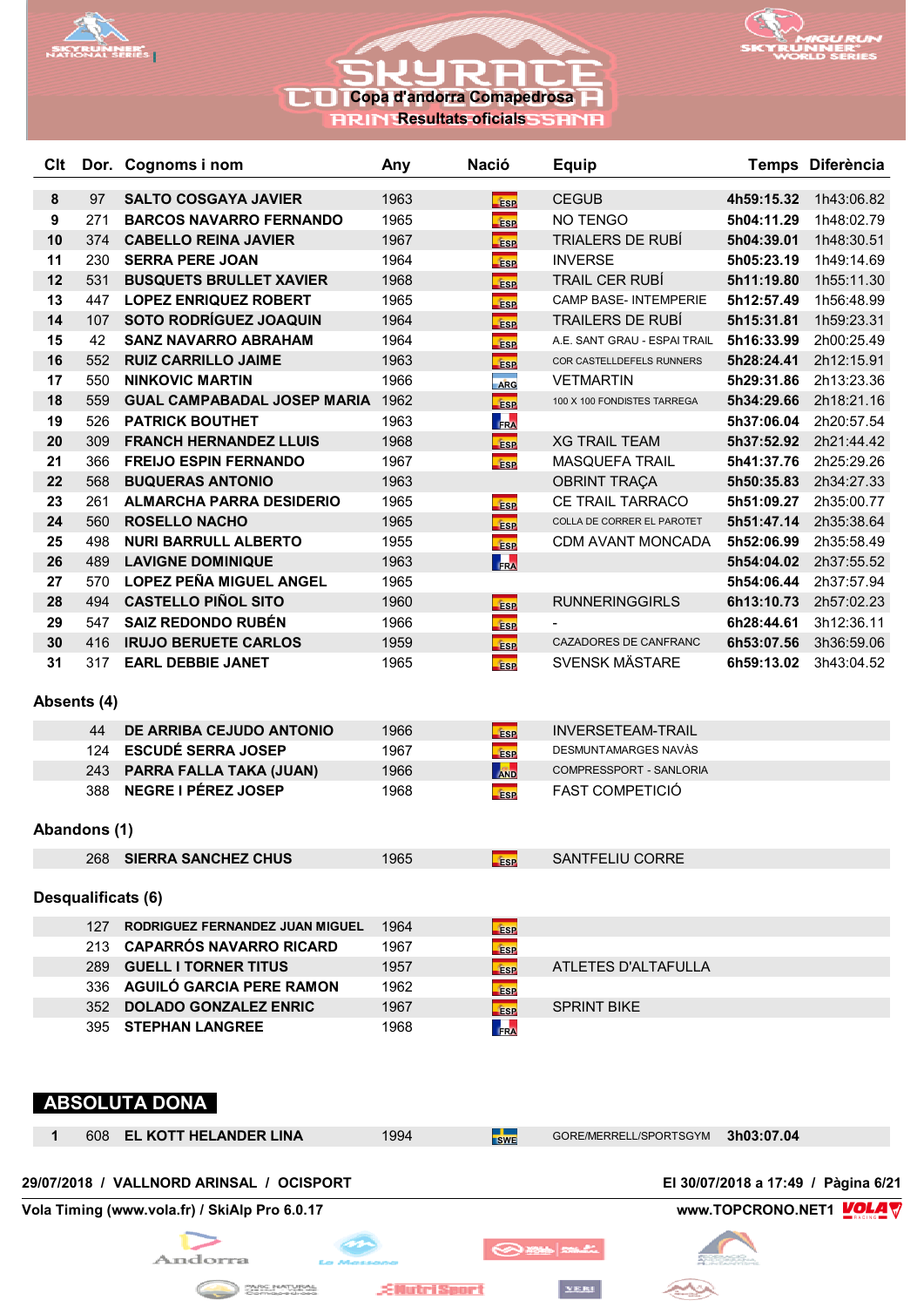



**RESULTATION RESULTED IN THE RESULTED IN THE RESULTED IN THE RESULTED IN THE RESULTED IN THE RESULTED IN THE RE** 

| Clt     |                                                                          | Dor. Cognoms i nom                       | Any  | <b>Nació</b>              | <b>Equip</b>                 |            | Temps Diferència                    |  |  |
|---------|--------------------------------------------------------------------------|------------------------------------------|------|---------------------------|------------------------------|------------|-------------------------------------|--|--|
| $\bf 8$ | 97                                                                       | <b>SALTO COSGAYA JAVIER</b>              | 1963 | <b>ESP</b>                | <b>CEGUB</b>                 | 4h59:15.32 | 1h43:06.82                          |  |  |
| 9       | 271                                                                      | <b>BARCOS NAVARRO FERNANDO</b>           | 1965 | <b>ESP</b>                | NO TENGO                     | 5h04:11.29 | 1h48:02.79                          |  |  |
| 10      | 374                                                                      | <b>CABELLO REINA JAVIER</b>              | 1967 | <b>ESP</b>                | <b>TRIALERS DE RUBÍ</b>      | 5h04:39.01 | 1h48:30.51                          |  |  |
| 11      | 230                                                                      | <b>SERRA PERE JOAN</b>                   | 1964 | <b>fise</b>               | <b>INVERSE</b>               | 5h05:23.19 | 1h49:14.69                          |  |  |
| 12      | 531                                                                      | <b>BUSQUETS BRULLET XAVIER</b>           | 1968 | <b>Esp</b>                | <b>TRAIL CER RUBÍ</b>        | 5h11:19.80 | 1h55:11.30                          |  |  |
| 13      | 447                                                                      | <b>LOPEZ ENRIQUEZ ROBERT</b>             | 1965 | <b>ESP</b>                | <b>CAMP BASE- INTEMPERIE</b> | 5h12:57.49 | 1h56:48.99                          |  |  |
| 14      | 107                                                                      | <b>SOTO RODRÍGUEZ JOAQUIN</b>            | 1964 | <b>ESP</b>                | <b>TRAILERS DE RUBÍ</b>      | 5h15:31.81 | 1h59:23.31                          |  |  |
| 15      | 42                                                                       | <b>SANZ NAVARRO ABRAHAM</b>              | 1964 | ÉSP                       | A.E. SANT GRAU - ESPAI TRAIL | 5h16:33.99 | 2h00:25.49                          |  |  |
| 16      | 552                                                                      | <b>RUIZ CARRILLO JAIME</b>               | 1963 | <b>ESP</b>                | COR CASTELLDEFELS RUNNERS    | 5h28:24.41 | 2h12:15.91                          |  |  |
| 17      | 550                                                                      | <b>NINKOVIC MARTIN</b>                   | 1966 | ARG                       | <b>VETMARTIN</b>             | 5h29:31.86 | 2h13:23.36                          |  |  |
| 18      | 559                                                                      | <b>GUAL CAMPABADAL JOSEP MARIA</b>       | 1962 | <b>Esp</b>                | 100 X 100 FONDISTES TARREGA  | 5h34:29.66 | 2h18:21.16                          |  |  |
| 19      | 526                                                                      | <b>PATRICK BOUTHET</b>                   | 1963 | FRA                       |                              | 5h37:06.04 | 2h20:57.54                          |  |  |
| 20      | 309                                                                      | <b>FRANCH HERNANDEZ LLUIS</b>            | 1968 | <b>ESP</b>                | <b>XG TRAIL TEAM</b>         |            | 5h37:52.92 2h21:44.42               |  |  |
| 21      | 366                                                                      | <b>FREIJO ESPIN FERNANDO</b>             | 1967 | <b>ESP</b>                | <b>MASQUEFA TRAIL</b>        | 5h41:37.76 | 2h25:29.26                          |  |  |
| 22      | 568                                                                      | <b>BUQUERAS ANTONIO</b>                  | 1963 |                           | <b>OBRINT TRAÇA</b>          | 5h50:35.83 | 2h34:27.33                          |  |  |
| 23      | 261                                                                      | <b>ALMARCHA PARRA DESIDERIO</b>          | 1965 | <b>ESP</b>                | CE TRAIL TARRACO             | 5h51:09.27 | 2h35:00.77                          |  |  |
| 24      | 560                                                                      | <b>ROSELLO NACHO</b>                     | 1965 | <b>Fase</b>               | COLLA DE CORRER EL PAROTET   | 5h51:47.14 | 2h35:38.64                          |  |  |
| 25      | 498                                                                      | <b>NURI BARRULL ALBERTO</b>              | 1955 | <b>Fise</b>               | CDM AVANT MONCADA            | 5h52:06.99 | 2h35:58.49                          |  |  |
| 26      | 489                                                                      | <b>LAVIGNE DOMINIQUE</b>                 | 1963 | FRA                       |                              | 5h54:04.02 | 2h37:55.52                          |  |  |
| 27      | 570                                                                      | <b>LOPEZ PEÑA MIGUEL ANGEL</b>           | 1965 |                           |                              | 5h54:06.44 | 2h37:57.94                          |  |  |
| 28      | 494                                                                      | <b>CASTELLO PIÑOL SITO</b>               | 1960 | <b>Fase</b>               | <b>RUNNERINGGIRLS</b>        | 6h13:10.73 | 2h57:02.23                          |  |  |
| 29      | 547                                                                      | <b>SAIZ REDONDO RUBÉN</b>                | 1966 |                           |                              | 6h28:44.61 | 3h12:36.11                          |  |  |
| 30      | 416                                                                      | <b>IRUJO BERUETE CARLOS</b>              | 1959 | <b>ESP</b><br><b>fise</b> | CAZADORES DE CANFRANC        | 6h53:07.56 | 3h36:59.06                          |  |  |
| 31      | 317                                                                      | <b>EARL DEBBIE JANET</b>                 | 1965 | <b>ESP</b>                | <b>SVENSK MÄSTARE</b>        | 6h59:13.02 | 3h43:04.52                          |  |  |
|         | Absents (4)                                                              |                                          |      |                           |                              |            |                                     |  |  |
|         | 44                                                                       | DE ARRIBA CEJUDO ANTONIO                 | 1966 | <b>ESP</b>                | <b>INVERSETEAM-TRAIL</b>     |            |                                     |  |  |
|         | 124                                                                      | <b>ESCUDÉ SERRA JOSEP</b>                | 1967 | <b>ESP</b>                | DESMUNTAMARGES NAVÀS         |            |                                     |  |  |
|         | 243                                                                      | PARRA FALLA TAKA (JUAN)                  | 1966 | AND                       | COMPRESSPORT - SANLORIA      |            |                                     |  |  |
|         | 388                                                                      | <b>NEGRE I PÉREZ JOSEP</b>               | 1968 | <b>Fise</b>               | <b>FAST COMPETICIÓ</b>       |            |                                     |  |  |
|         | Abandons (1)                                                             |                                          |      |                           |                              |            |                                     |  |  |
|         | 268                                                                      | <b>SIERRA SANCHEZ CHUS</b>               | 1965 | <b>ESP</b>                | <b>SANTFELIU CORRE</b>       |            |                                     |  |  |
|         |                                                                          | Desqualificats (6)                       |      |                           |                              |            |                                     |  |  |
|         |                                                                          | 127 RODRIGUEZ FERNANDEZ JUAN MIGUEL      | 1964 | <b>ESP</b>                |                              |            |                                     |  |  |
|         |                                                                          | 213 CAPARRÓS NAVARRO RICARD              | 1967 | <b>ESP</b>                |                              |            |                                     |  |  |
|         | 289                                                                      | <b>GUELL I TORNER TITUS</b>              | 1957 | <b>ESP</b>                | ATLETES D'ALTAFULLA          |            |                                     |  |  |
|         |                                                                          | 336 AGUILÓ GARCIA PERE RAMON             | 1962 | <b>ESP</b>                |                              |            |                                     |  |  |
|         |                                                                          | 352 DOLADO GONZALEZ ENRIC                | 1967 | <b>ESP</b>                | <b>SPRINT BIKE</b>           |            |                                     |  |  |
|         |                                                                          | 395 STEPHAN LANGREE                      | 1968 | FRA                       |                              |            |                                     |  |  |
|         |                                                                          | <b>ABSOLUTA DONA</b>                     |      |                           |                              |            |                                     |  |  |
| 1       | 608                                                                      | <b>EL KOTT HELANDER LINA</b>             | 1994 | <b>SWE</b>                | GORE/MERRELL/SPORTSGYM       | 3h03:07.04 |                                     |  |  |
|         |                                                                          | 29/07/2018 / VALLNORD ARINSAL / OCISPORT |      |                           |                              |            | El 30/07/2018 a 17:49 / Pàgina 6/21 |  |  |
|         | Vola Timing (www.vola.fr) / SkiAlp Pro 6.0.17<br>www.TOPCRONO.NET1 VOLAY |                                          |      |                           |                              |            |                                     |  |  |
|         |                                                                          |                                          |      | O <b>mar</b>              |                              |            |                                     |  |  |

**EllutriSport** 

**CONTRACTORAL** 

YERI

 $\rightarrow$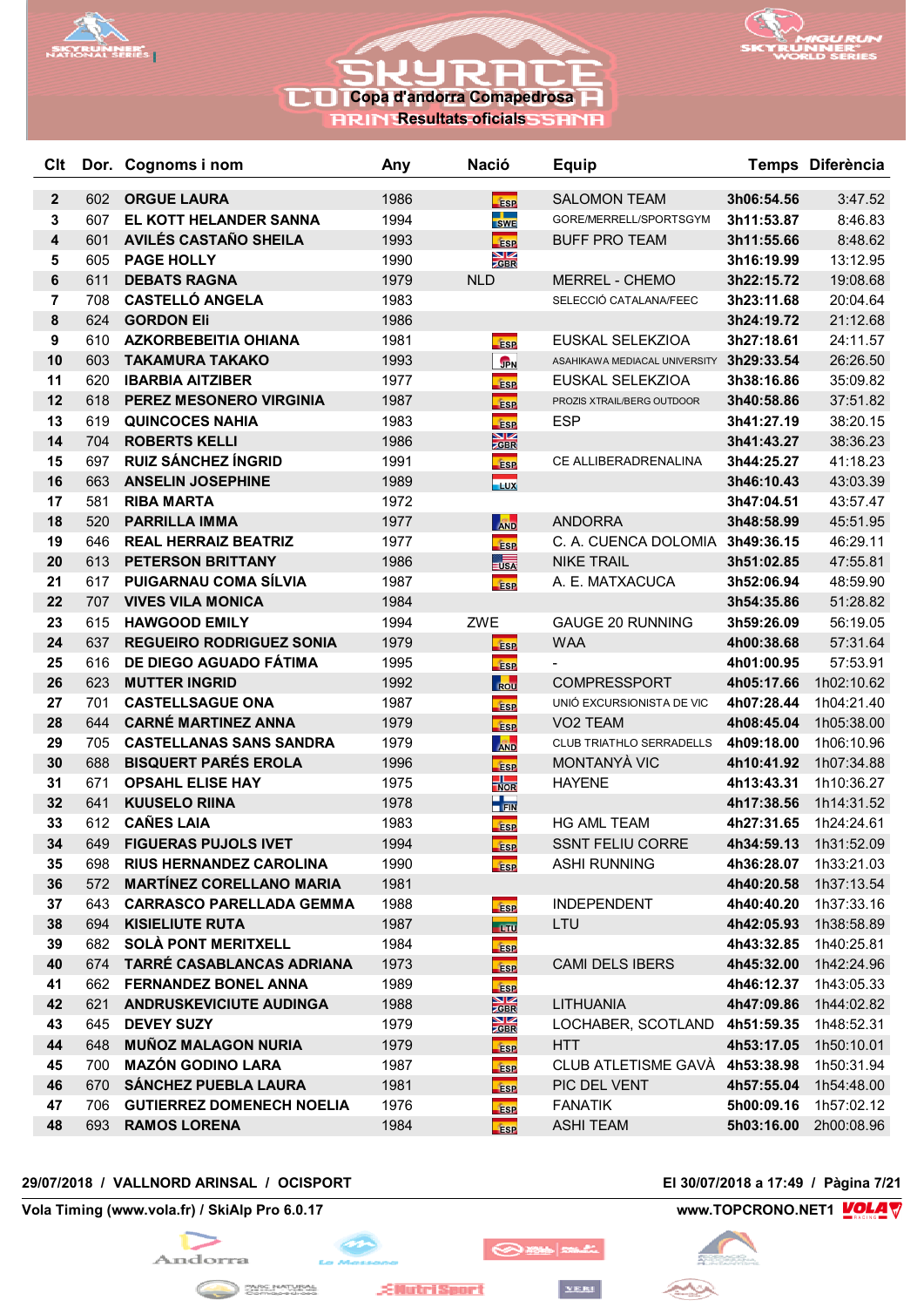



**RRIN Resultats oficials SSRNR** 

| Clt            |            | Dor. Cognoms i nom                                            | Any          | <b>Nació</b>                  | <b>Equip</b>                          |            | Temps Diferència         |
|----------------|------------|---------------------------------------------------------------|--------------|-------------------------------|---------------------------------------|------------|--------------------------|
| $\mathbf{2}$   | 602        | <b>ORGUE LAURA</b>                                            | 1986         | <b>Fase</b>                   | <b>SALOMON TEAM</b>                   | 3h06:54.56 | 3:47.52                  |
| 3              | 607        | EL KOTT HELANDER SANNA                                        | 1994         | SWE                           | GORE/MERRELL/SPORTSGYM                | 3h11:53.87 | 8:46.83                  |
| 4              | 601        | <b>AVILÉS CASTAÑO SHEILA</b>                                  | 1993         | <b>Fase</b>                   | <b>BUFF PRO TEAM</b>                  | 3h11:55.66 | 8:48.62                  |
| 5              | 605        | <b>PAGE HOLLY</b>                                             | 1990         | $\frac{\sum x}{\sum x}$       |                                       | 3h16:19.99 | 13:12.95                 |
| 6              | 611        | <b>DEBATS RAGNA</b>                                           | 1979         | <b>NLD</b>                    | <b>MERREL - CHEMO</b>                 | 3h22:15.72 | 19:08.68                 |
| $\overline{7}$ | 708        | <b>CASTELLÓ ANGELA</b>                                        | 1983         |                               | SELECCIÓ CATALANA/FEEC                | 3h23:11.68 | 20:04.64                 |
| 8              | 624        | <b>GORDON Eli</b>                                             | 1986         |                               |                                       | 3h24:19.72 | 21:12.68                 |
| 9              | 610        | <b>AZKORBEBEITIA OHIANA</b>                                   | 1981         | <b>ESP</b>                    | EUSKAL SELEKZIOA                      | 3h27:18.61 | 24:11.57                 |
| 10             | 603        | <b>TAKAMURA TAKAKO</b>                                        | 1993         | <b>JPN</b>                    | ASAHIKAWA MEDIACAL UNIVERSITY         | 3h29:33.54 | 26:26.50                 |
| 11             | 620        | <b>IBARBIA AITZIBER</b>                                       | 1977         | <b>ESP</b>                    | EUSKAL SELEKZIOA                      | 3h38:16.86 | 35:09.82                 |
| 12             | 618        | PEREZ MESONERO VIRGINIA                                       | 1987         | <b>ESP</b>                    | PROZIS XTRAIL/BERG OUTDOOR            | 3h40:58.86 | 37:51.82                 |
| 13             | 619        | <b>QUINCOCES NAHIA</b>                                        | 1983         | <b>ESP</b>                    | <b>ESP</b>                            | 3h41:27.19 | 38:20.15                 |
| 14             | 704        | <b>ROBERTS KELLI</b>                                          | 1986         | $\frac{\text{N}}{\text{CBR}}$ |                                       | 3h41:43.27 | 38:36.23                 |
| 15             | 697        | <b>RUIZ SÁNCHEZ ÍNGRID</b>                                    | 1991         | <b>ESP</b>                    | CE ALLIBERADRENALINA                  | 3h44:25.27 | 41:18.23                 |
| 16             | 663        | <b>ANSELIN JOSEPHINE</b>                                      | 1989         | <b>LUX</b>                    |                                       | 3h46:10.43 | 43:03.39                 |
| 17             | 581        | <b>RIBA MARTA</b>                                             | 1972         |                               |                                       | 3h47:04.51 | 43:57.47                 |
| 18             | 520        | <b>PARRILLA IMMA</b>                                          | 1977         | AND                           | <b>ANDORRA</b>                        | 3h48:58.99 | 45:51.95                 |
| 19             | 646        | <b>REAL HERRAIZ BEATRIZ</b>                                   | 1977         | <b>ESP</b>                    | C. A. CUENCA DOLOMIA 3h49:36.15       |            | 46:29.11                 |
| 20             | 613        | PETERSON BRITTANY                                             | 1986         | $\frac{1}{2}$                 | <b>NIKE TRAIL</b>                     | 3h51:02.85 | 47:55.81                 |
| 21             | 617        | PUIGARNAU COMA SÍLVIA                                         | 1987         | <b>Fase</b>                   | A. E. MATXACUCA                       | 3h52:06.94 | 48:59.90                 |
| 22             | 707        | <b>VIVES VILA MONICA</b>                                      | 1984         |                               |                                       | 3h54:35.86 | 51:28.82                 |
| 23             | 615        | <b>HAWGOOD EMILY</b>                                          | 1994         | ZWE                           | <b>GAUGE 20 RUNNING</b>               | 3h59:26.09 | 56:19.05                 |
| 24             | 637        | <b>REGUEIRO RODRIGUEZ SONIA</b>                               | 1979         | <b>ESP</b>                    | <b>WAA</b>                            | 4h00:38.68 | 57:31.64                 |
| 25             | 616        | DE DIEGO AGUADO FÁTIMA                                        | 1995         | <b>ESP</b>                    |                                       | 4h01:00.95 | 57:53.91                 |
| 26             | 623        | <b>MUTTER INGRID</b>                                          | 1992         | ROU                           | <b>COMPRESSPORT</b>                   | 4h05:17.66 | 1h02:10.62               |
| 27             | 701        | <b>CASTELLSAGUE ONA</b>                                       | 1987         | <b>ESP</b>                    | UNIÓ EXCURSIONISTA DE VIC             | 4h07:28.44 | 1h04:21.40               |
| 28             | 644        | <b>CARNÉ MARTINEZ ANNA</b>                                    | 1979         | <b>Esp</b>                    | VO <sub>2</sub> TEAM                  | 4h08:45.04 | 1h05:38.00               |
| 29             | 705        | <b>CASTELLANAS SANS SANDRA</b>                                | 1979         | <b>AND</b>                    | CLUB TRIATHLO SERRADELLS              | 4h09:18.00 | 1h06:10.96               |
| 30             | 688        | <b>BISQUERT PARÉS EROLA</b>                                   | 1996         | <b>ESP</b>                    | MONTANYÀ VIC                          | 4h10:41.92 | 1h07:34.88               |
| 31             | 671        | <b>OPSAHL ELISE HAY</b>                                       | 1975         | $\frac{1}{\sqrt{2}}$          | <b>HAYENE</b>                         | 4h13:43.31 | 1h10:36.27               |
| 32             | 641        | <b>KUUSELO RIINA</b>                                          | 1978         | $\frac{1}{2}$ FIN             |                                       | 4h17:38.56 | 1h14:31.52               |
| 33             | 612        | <b>CAÑES LAIA</b>                                             | 1983         | <b>ESP</b>                    | <b>HG AML TEAM</b>                    | 4h27:31.65 | 1h24:24.61               |
| 34             | 649        | <b>FIGUERAS PUJOLS IVET</b>                                   | 1994         | ÉSP                           | <b>SSNT FELIU CORRE</b>               | 4h34:59.13 | 1h31:52.09               |
| 35             | 698        | <b>RIUS HERNANDEZ CAROLINA</b>                                | 1990         | <b>ESP</b>                    | <b>ASHI RUNNING</b>                   | 4h36:28.07 | 1h33:21.03               |
| 36             | 572        | <b>MARTÍNEZ CORELLANO MARIA</b>                               | 1981         |                               |                                       | 4h40:20.58 | 1h37:13.54               |
| 37             | 643        | <b>CARRASCO PARELLADA GEMMA</b>                               | 1988         | <b>FSP</b>                    | <b>INDEPENDENT</b>                    | 4h40:40.20 | 1h37:33.16               |
| 38             | 694        | <b>KISIELIUTE RUTA</b>                                        | 1987         | <b>-170</b>                   | LTU                                   | 4h42:05.93 | 1h38:58.89               |
| 39             | 682        | <b>SOLÀ PONT MERITXELL</b>                                    | 1984         | <b>ESP</b>                    |                                       | 4h43:32.85 | 1h40:25.81               |
| 40             |            | 674 TARRÉ CASABLANCAS ADRIANA                                 | 1973         | <b>ESP</b>                    | <b>CAMI DELS IBERS</b>                |            | 4h45:32.00 1h42:24.96    |
| 41<br>42       | 662<br>621 | <b>FERNANDEZ BONEL ANNA</b><br><b>ANDRUSKEVICIUTE AUDINGA</b> | 1989<br>1988 | <b>ESP</b><br>$\frac{N}{GBR}$ | LITHUANIA                             | 4h46:12.37 | 1h43:05.33<br>1h44:02.82 |
|                |            |                                                               |              |                               |                                       | 4h47:09.86 |                          |
| 43             | 645        | <b>DEVEY SUZY</b><br><b>MUÑOZ MALAGON NURIA</b>               | 1979         | $\frac{\text{N}}{\text{ZBR}}$ | LOCHABER, SCOTLAND 4h51:59.35         |            | 1h48:52.31               |
| 44             | 648        | <b>MAZÓN GODINO LARA</b>                                      | 1979         | <b>ESP</b>                    | HTT<br>CLUB ATLETISME GAVÀ 4h53:38.98 | 4h53:17.05 | 1h50:10.01               |
| 45<br>46       | 700<br>670 | <b>SÁNCHEZ PUEBLA LAURA</b>                                   | 1987<br>1981 | <b>ESP</b>                    | PIC DEL VENT                          | 4h57:55.04 | 1h50:31.94<br>1h54:48.00 |
| 47             | 706        | <b>GUTIERREZ DOMENECH NOELIA</b>                              | 1976         | <b>ESP</b>                    | <b>FANATIK</b>                        | 5h00:09.16 | 1h57:02.12               |
| 48             | 693        | <b>RAMOS LORENA</b>                                           | 1984         | <b>ESP</b>                    | <b>ASHI TEAM</b>                      | 5h03:16.00 | 2h00:08.96               |
|                |            |                                                               |              | <b>ESP</b>                    |                                       |            |                          |

## **29/07/2018 / VALLNORD ARINSAL / OCISPORT El 30/07/2018 a 17:49 / Pàgina 7/21**

**Vola Timing (www.vola.fr) / SkiAlp Pro 6.0.17 www.TOPCRONO.NET1 WOLA** 





**EllutriSport** 

```
YERI
```
◎※■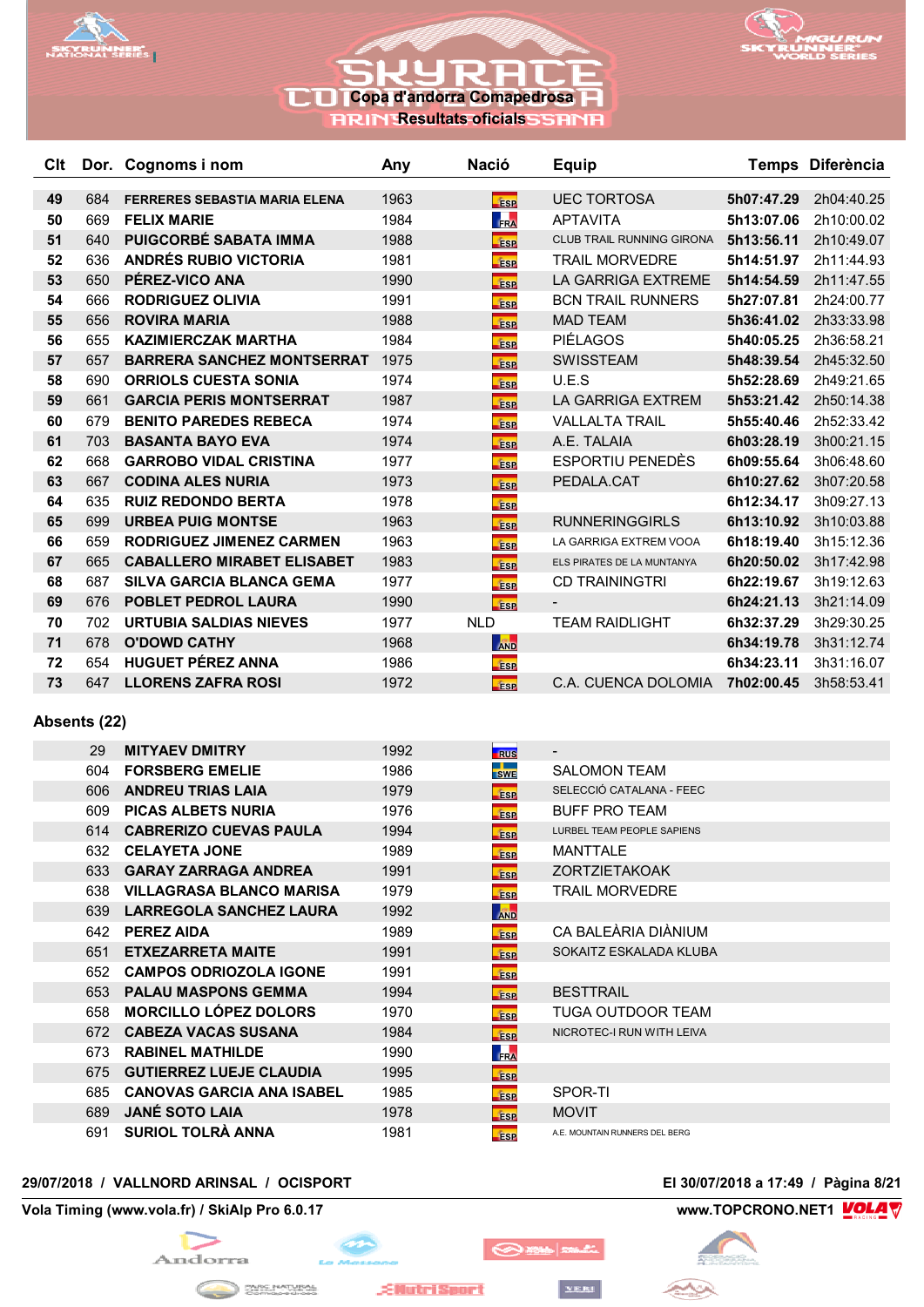



## **Copa d'andorra Comapedrosa RRIN Resultats oficials**

| <b>C</b> It |     | Dor. Cognoms i nom                   | Any  | <b>Nació</b> | <b>Equip</b>               |            | Temps Diferència |
|-------------|-----|--------------------------------------|------|--------------|----------------------------|------------|------------------|
| 49          | 684 | <b>FERRERES SEBASTIA MARIA ELENA</b> | 1963 | <b>fise</b>  | <b>UEC TORTOSA</b>         | 5h07:47.29 | 2h04:40.25       |
| 50          | 669 | <b>FELIX MARIE</b>                   | 1984 | <b>FRA</b>   | <b>APTAVITA</b>            | 5h13:07.06 | 2h10:00.02       |
| 51          | 640 | <b>PUIGCORBÉ SABATA IMMA</b>         | 1988 | <b>fase</b>  | CLUB TRAIL RUNNING GIRONA  | 5h13:56.11 | 2h10:49.07       |
| 52          | 636 | <b>ANDRÉS RUBIO VICTORIA</b>         | 1981 | <b>fise</b>  | <b>TRAIL MORVEDRE</b>      | 5h14:51.97 | 2h11:44.93       |
| 53          | 650 | PÉREZ-VICO ANA                       | 1990 | ÉSP          | LA GARRIGA EXTREME         | 5h14:54.59 | 2h11:47.55       |
| 54          | 666 | <b>RODRIGUEZ OLIVIA</b>              | 1991 | <b>fase</b>  | <b>BCN TRAIL RUNNERS</b>   | 5h27:07.81 | 2h24:00.77       |
| 55          | 656 | <b>ROVIRA MARIA</b>                  | 1988 | <b>ESP</b>   | <b>MAD TEAM</b>            | 5h36:41.02 | 2h33:33.98       |
| 56          | 655 | <b>KAZIMIERCZAK MARTHA</b>           | 1984 | <b>ESP</b>   | <b>PIÉLAGOS</b>            | 5h40:05.25 | 2h36:58.21       |
| 57          | 657 | <b>BARRERA SANCHEZ MONTSERRAT</b>    | 1975 | ÉSP          | <b>SWISSTEAM</b>           | 5h48:39.54 | 2h45:32.50       |
| 58          | 690 | <b>ORRIOLS CUESTA SONIA</b>          | 1974 | <b>fase</b>  | U.E.S                      | 5h52:28.69 | 2h49:21.65       |
| 59          | 661 | <b>GARCIA PERIS MONTSERRAT</b>       | 1987 | ÉSP          | LA GARRIGA EXTREM          | 5h53:21.42 | 2h50:14.38       |
| 60          | 679 | <b>BENITO PAREDES REBECA</b>         | 1974 | <b>ESP</b>   | <b>VALLALTA TRAIL</b>      | 5h55:40.46 | 2h52:33.42       |
| 61          | 703 | <b>BASANTA BAYO EVA</b>              | 1974 | <b>ESP</b>   | A.E. TALAIA                | 6h03:28.19 | 3h00:21.15       |
| 62          | 668 | <b>GARROBO VIDAL CRISTINA</b>        | 1977 | <b>fase</b>  | <b>ESPORTIU PENEDÈS</b>    | 6h09:55.64 | 3h06:48.60       |
| 63          | 667 | <b>CODINA ALES NURIA</b>             | 1973 | <b>fase</b>  | PEDALA.CAT                 | 6h10:27.62 | 3h07:20.58       |
| 64          | 635 | <b>RUIZ REDONDO BERTA</b>            | 1978 | ÉSP          |                            | 6h12:34.17 | 3h09:27.13       |
| 65          | 699 | <b>URBEA PUIG MONTSE</b>             | 1963 | <b>fase</b>  | <b>RUNNERINGGIRLS</b>      | 6h13:10.92 | 3h10:03.88       |
| 66          | 659 | <b>RODRIGUEZ JIMENEZ CARMEN</b>      | 1963 | <b>fise</b>  | LA GARRIGA EXTREM VOOA     | 6h18:19.40 | 3h15:12.36       |
| 67          | 665 | <b>CABALLERO MIRABET ELISABET</b>    | 1983 | <b>ESP</b>   | ELS PIRATES DE LA MUNTANYA | 6h20:50.02 | 3h17:42.98       |
| 68          | 687 | <b>SILVA GARCIA BLANCA GEMA</b>      | 1977 | <b>fase</b>  | <b>CD TRAININGTRI</b>      | 6h22:19.67 | 3h19:12.63       |
| 69          | 676 | <b>POBLET PEDROL LAURA</b>           | 1990 | <b>ESP</b>   |                            | 6h24:21.13 | 3h21:14.09       |
| 70          | 702 | <b>URTUBIA SALDIAS NIEVES</b>        | 1977 | <b>NLD</b>   | <b>TEAM RAIDLIGHT</b>      | 6h32:37.29 | 3h29:30.25       |
| 71          | 678 | <b>O'DOWD CATHY</b>                  | 1968 | <b>AND</b>   |                            | 6h34:19.78 | 3h31:12.74       |
| 72          | 654 | <b>HUGUET PÉREZ ANNA</b>             | 1986 | <b>ESP</b>   |                            | 6h34:23.11 | 3h31:16.07       |
| 73          | 647 | <b>LLORENS ZAFRA ROSI</b>            | 1972 | <b>fise</b>  | C.A. CUENCA DOLOMIA        | 7h02:00.45 | 3h58:53.41       |

## **Absents (22)**

| 29   | <b>MITYAEV DMITRY</b>            | 1992 | <b>RUS</b>                  |                                |
|------|----------------------------------|------|-----------------------------|--------------------------------|
| 604  | <b>FORSBERG EMELIE</b>           | 1986 | <u> De Ba</u><br><b>SWE</b> | <b>SALOMON TEAM</b>            |
| 606  | <b>ANDREU TRIAS LAIA</b>         | 1979 | <b>ESP</b>                  | SELECCIÓ CATALANA - FEEC       |
| 609  | <b>PICAS ALBETS NURIA</b>        | 1976 | <b>ESP</b>                  | <b>BUFF PRO TEAM</b>           |
| 614  | <b>CABRERIZO CUEVAS PAULA</b>    | 1994 | <b>ESP</b>                  | LURBEL TEAM PEOPLE SAPIENS     |
| 632  | <b>CELAYETA JONE</b>             | 1989 | <b>ESP</b>                  | <b>MANTTALE</b>                |
| 633  | <b>GARAY ZARRAGA ANDREA</b>      | 1991 | <b>ESP</b>                  | <b>ZORTZIETAKOAK</b>           |
| 638  | <b>VILLAGRASA BLANCO MARISA</b>  | 1979 | <b>ESP</b>                  | <b>TRAIL MORVEDRE</b>          |
| 639  | <b>LARREGOLA SANCHEZ LAURA</b>   | 1992 | <b>AND</b>                  |                                |
| 642  | <b>PEREZ AIDA</b>                | 1989 | <b>ESP</b>                  | CA BAI FÀRIA DIÀNIUM           |
| 651  | <b>ETXEZARRETA MAITE</b>         | 1991 | <b>ESP</b>                  | SOKAITZ ESKALADA KLUBA         |
| 652. | <b>CAMPOS ODRIOZOLA IGONE</b>    | 1991 | <b>ESP</b>                  |                                |
| 653  | <b>PALAU MASPONS GEMMA</b>       | 1994 | <b>ESP</b>                  | <b>BESTTRAIL</b>               |
| 658  | <b>MORCILLO LÓPEZ DOLORS</b>     | 1970 | <b>ESP</b>                  | TUGA OUTDOOR TEAM              |
| 672  | <b>CABEZA VACAS SUSANA</b>       | 1984 | <b>fise</b>                 | NICROTEC-I RUN WITH LEIVA      |
| 673  | <b>RABINEL MATHILDE</b>          | 1990 | <b>FRA</b>                  |                                |
| 675  | <b>GUTIERREZ LUEJE CLAUDIA</b>   | 1995 | <b>ESP</b>                  |                                |
| 685  | <b>CANOVAS GARCIA ANA ISABEL</b> | 1985 | <b>ESP</b>                  | SPOR-TI                        |
| 689  | <b>JANÉ SOTO LAIA</b>            | 1978 | <b>TESP</b>                 | <b>MOVIT</b>                   |
| 691  | SURIOL TOLRÀ ANNA                | 1981 | <b>ESP</b>                  | A.E. MOUNTAIN RUNNERS DEL BERG |

## **29/07/2018 / VALLNORD ARINSAL / OCISPORT El 30/07/2018 a 17:49 / Pàgina 8/21**

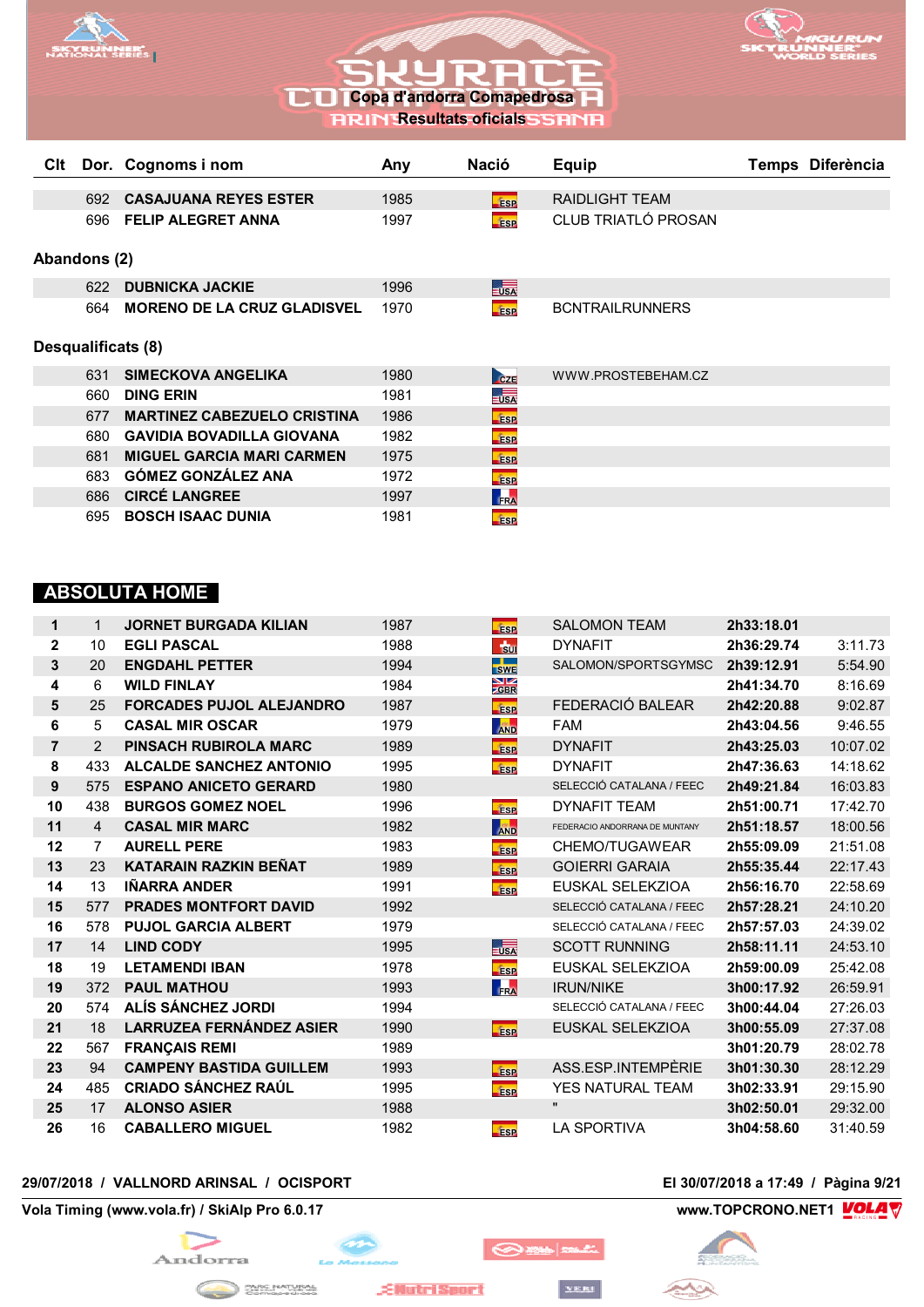



**RRIN Resultats oficials** 

| Clt          |     | Dor. Cognoms i nom                 | Any  | <b>Nació</b>                                                                                                                 | <b>Equip</b>           | Temps Diferència |
|--------------|-----|------------------------------------|------|------------------------------------------------------------------------------------------------------------------------------|------------------------|------------------|
|              | 692 | <b>CASAJUANA REYES ESTER</b>       | 1985 |                                                                                                                              | RAIDLIGHT TEAM         |                  |
|              |     |                                    |      | <b>ESP</b>                                                                                                                   |                        |                  |
|              | 696 | <b>FELIP ALEGRET ANNA</b>          | 1997 | <b>ESP</b>                                                                                                                   | CLUB TRIATLÓ PROSAN    |                  |
|              |     |                                    |      |                                                                                                                              |                        |                  |
| Abandons (2) |     |                                    |      |                                                                                                                              |                        |                  |
|              | 622 | <b>DUBNICKA JACKIE</b>             | 1996 | $\overline{\phantom{a}}$ $\overline{\phantom{a}}$ $\overline{\phantom{a}}$ $\overline{\phantom{a}}$ $\overline{\phantom{a}}$ |                        |                  |
|              | 664 | <b>MORENO DE LA CRUZ GLADISVEL</b> | 1970 | <b>ESP</b>                                                                                                                   | <b>BCNTRAILRUNNERS</b> |                  |
|              |     |                                    |      |                                                                                                                              |                        |                  |
|              |     | Desqualificats (8)                 |      |                                                                                                                              |                        |                  |
|              |     |                                    |      |                                                                                                                              |                        |                  |
|              | 631 | <b>SIMECKOVA ANGELIKA</b>          | 1980 | CZE                                                                                                                          | WWW.PROSTEBEHAM.CZ     |                  |
|              | 660 | <b>DING ERIN</b>                   | 1981 | $= USA$                                                                                                                      |                        |                  |
|              | 677 | <b>MARTINEZ CABEZUELO CRISTINA</b> | 1986 | <b>ESP</b>                                                                                                                   |                        |                  |
|              | 680 | <b>GAVIDIA BOVADILLA GIOVANA</b>   | 1982 | <b>ESP</b>                                                                                                                   |                        |                  |
|              | 681 | <b>MIGUEL GARCIA MARI CARMEN</b>   | 1975 | <b>ESP</b>                                                                                                                   |                        |                  |
|              | 683 | <b>GÓMEZ GONZÁLEZ ANA</b>          | 1972 | <b>ESP</b>                                                                                                                   |                        |                  |
|              | 686 | <b>CIRCÉ LANGREE</b>               | 1997 | FRA                                                                                                                          |                        |                  |
|              | 695 | <b>BOSCH ISAAC DUNIA</b>           | 1981 | <b>ESP</b>                                                                                                                   |                        |                  |

## **ABSOLUTA HOME**

| 1              | 1              | <b>JORNET BURGADA KILIAN</b>    | 1987 | <b>ESP</b>                    | <b>SALOMON TEAM</b>            | 2h33:18.01 |          |
|----------------|----------------|---------------------------------|------|-------------------------------|--------------------------------|------------|----------|
| $\mathbf{2}$   | 10             | <b>EGLI PASCAL</b>              | 1988 | $\frac{1}{20}$                | <b>DYNAFIT</b>                 | 2h36:29.74 | 3:11.73  |
| 3              | 20             | <b>ENGDAHL PETTER</b>           | 1994 | <b>SWE</b>                    | SALOMON/SPORTSGYMSC            | 2h39:12.91 | 5:54.90  |
| 4              | 6              | <b>WILD FINLAY</b>              | 1984 | $\frac{\text{N}}{\text{ZBR}}$ |                                | 2h41:34.70 | 8:16.69  |
| 5              | 25             | <b>FORCADES PUJOL ALEJANDRO</b> | 1987 | <b>Fise</b>                   | FEDERACIÓ BALEAR               | 2h42:20.88 | 9:02.87  |
| 6              | 5              | <b>CASAL MIR OSCAR</b>          | 1979 | <b>AND</b>                    | <b>FAM</b>                     | 2h43:04.56 | 9:46.55  |
| $\overline{7}$ | $\mathcal{P}$  | <b>PINSACH RUBIROLA MARC</b>    | 1989 | <b>ESP</b>                    | <b>DYNAFIT</b>                 | 2h43:25.03 | 10:07.02 |
| 8              | 433            | <b>ALCALDE SANCHEZ ANTONIO</b>  | 1995 | <b>ESP</b>                    | <b>DYNAFIT</b>                 | 2h47:36.63 | 14:18.62 |
| 9              | 575            | <b>ESPANO ANICETO GERARD</b>    | 1980 |                               | SELECCIÓ CATALANA / FEEC       | 2h49:21.84 | 16:03.83 |
| 10             | 438            | <b>BURGOS GOMEZ NOEL</b>        | 1996 | <b>fase</b>                   | <b>DYNAFIT TEAM</b>            | 2h51:00.71 | 17:42.70 |
| 11             | $\overline{4}$ | <b>CASAL MIR MARC</b>           | 1982 | <b>AND</b>                    | FEDERACIO ANDORRANA DE MUNTANY | 2h51:18.57 | 18:00.56 |
| 12             | $\overline{7}$ | <b>AURELL PERE</b>              | 1983 | <b>ESP</b>                    | CHEMO/TUGAWEAR                 | 2h55:09.09 | 21:51.08 |
| 13             | 23             | <b>KATARAIN RAZKIN BENAT</b>    | 1989 | <b>ESP</b>                    | <b>GOIERRI GARAIA</b>          | 2h55:35.44 | 22:17.43 |
| 14             | 13             | <b>IÑARRA ANDER</b>             | 1991 | <b>fase</b>                   | EUSKAL SELEKZIOA               | 2h56:16.70 | 22:58.69 |
| 15             | 577            | <b>PRADES MONTFORT DAVID</b>    | 1992 |                               | SELECCIÓ CATALANA / FEEC       | 2h57:28.21 | 24:10.20 |
| 16             | 578            | <b>PUJOL GARCIA ALBERT</b>      | 1979 |                               | SELECCIÓ CATALANA / FEEC       | 2h57:57.03 | 24:39.02 |
| 17             | 14             | <b>LIND CODY</b>                | 1995 | $= USA$                       | <b>SCOTT RUNNING</b>           | 2h58:11.11 | 24:53.10 |
| 18             | 19             | <b>LETAMENDI IBAN</b>           | 1978 | <b>fase</b>                   | EUSKAL SELEKZIOA               | 2h59:00.09 | 25:42.08 |
| 19             | 372            | <b>PAUL MATHOU</b>              | 1993 | FRA                           | <b>IRUN/NIKE</b>               | 3h00:17.92 | 26:59.91 |
| 20             | 574            | ALÍS SÁNCHEZ JORDI              | 1994 |                               | SELECCIÓ CATALANA / FEEC       | 3h00:44.04 | 27:26.03 |
| 21             | 18             | <b>LARRUZEA FERNÁNDEZ ASIER</b> | 1990 | <b>F</b> ise                  | EUSKAL SELEKZIOA               | 3h00:55.09 | 27:37.08 |
| 22             | 567            | <b>FRANÇAIS REMI</b>            | 1989 |                               |                                | 3h01:20.79 | 28:02.78 |
| 23             | 94             | <b>CAMPENY BASTIDA GUILLEM</b>  | 1993 | <b>ESP</b>                    | ASS.ESP.INTEMPÈRIE             | 3h01:30.30 | 28:12.29 |
| 24             | 485            | <b>CRIADO SÁNCHEZ RAÚL</b>      | 1995 | <b>ESP</b>                    | <b>YES NATURAL TEAM</b>        | 3h02:33.91 | 29:15.90 |
| 25             | 17             | <b>ALONSO ASIER</b>             | 1988 |                               | $\mathbf{u}$                   | 3h02:50.01 | 29:32.00 |
| 26             | 16             | <b>CABALLERO MIGUEL</b>         | 1982 | <b>ESP</b>                    | LA SPORTIVA                    | 3h04:58.60 | 31:40.59 |

 $\bigotimes$  is  $\bigotimes$ 

YERI

## **29/07/2018 / VALLNORD ARINSAL / OCISPORT El 30/07/2018 a 17:49 / Pàgina 9/21**

**Vola Timing (www.vola.fr) / SkiAlp Pro 6.0.17 www.TOPCRONO.NET1 WOLAT** 



mari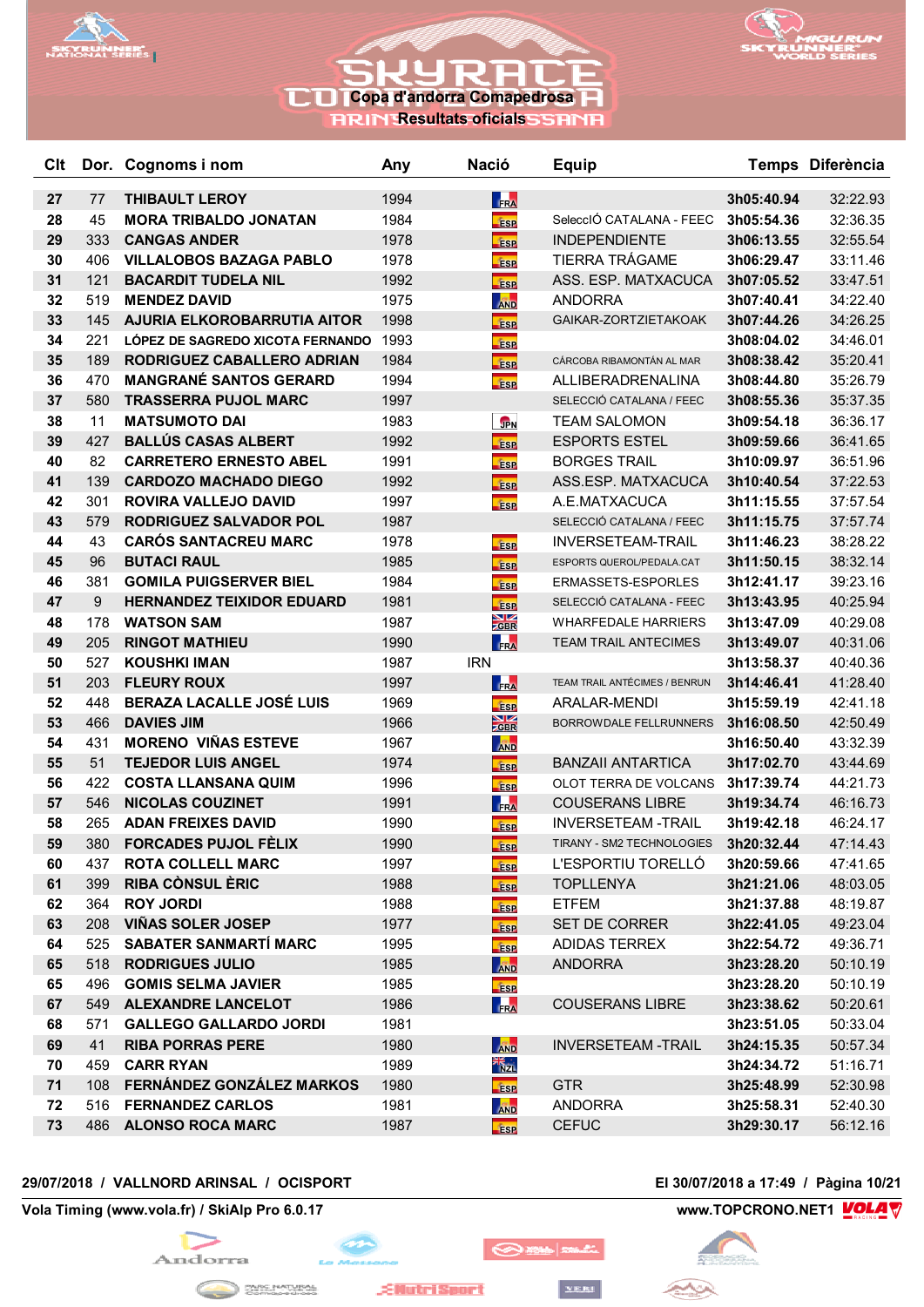



## **RRIN Resultats oficials**

| Clt      |           | Dor. Cognoms i nom                                       | Any          | <b>Nació</b>                       | <b>Equip</b>                  |                          | Temps Diferència     |
|----------|-----------|----------------------------------------------------------|--------------|------------------------------------|-------------------------------|--------------------------|----------------------|
| 27       | 77        | <b>THIBAULT LEROY</b>                                    | 1994         | FRA                                |                               | 3h05:40.94               | 32:22.93             |
| 28       | 45        | <b>MORA TRIBALDO JONATAN</b>                             | 1984         | <b>fise</b>                        | SeleccIÓ CATALANA - FEEC      | 3h05:54.36               | 32:36.35             |
| 29       | 333       | <b>CANGAS ANDER</b>                                      | 1978         | ÉSP                                | <b>INDEPENDIENTE</b>          | 3h06:13.55               | 32:55.54             |
| 30       | 406       | <b>VILLALOBOS BAZAGA PABLO</b>                           | 1978         | <b>ESP</b>                         | TIERRA TRÁGAME                | 3h06:29.47               | 33:11.46             |
| 31       | 121       | <b>BACARDIT TUDELA NIL</b>                               | 1992         | <b>ESP</b>                         | ASS. ESP. MATXACUCA           | 3h07:05.52               | 33:47.51             |
| 32       | 519       | <b>MENDEZ DAVID</b>                                      | 1975         | <b>AND</b>                         | <b>ANDORRA</b>                | 3h07:40.41               | 34:22.40             |
| 33       | 145       | AJURIA ELKOROBARRUTIA AITOR                              | 1998         | <b>ESP</b>                         | GAIKAR-ZORTZIETAKOAK          | 3h07:44.26               | 34:26.25             |
| 34       | 221       | LÓPEZ DE SAGREDO XICOTA FERNANDO                         | 1993         | <b>ESP</b>                         |                               | 3h08:04.02               | 34:46.01             |
| 35       | 189       | RODRIGUEZ CABALLERO ADRIAN                               | 1984         | fasp                               | CÁRCOBA RIBAMONTÁN AL MAR     | 3h08:38.42               | 35:20.41             |
| 36       | 470       | <b>MANGRANÉ SANTOS GERARD</b>                            | 1994         | <b>ESP</b>                         | ALLIBERADRENALINA             | 3h08:44.80               | 35:26.79             |
| 37       | 580       | <b>TRASSERRA PUJOL MARC</b>                              | 1997         |                                    | SELECCIÓ CATALANA / FEEC      | 3h08:55.36               | 35:37.35             |
| 38       | 11        | <b>MATSUMOTO DAI</b>                                     | 1983         | <b>JPN</b>                         | <b>TEAM SALOMON</b>           | 3h09:54.18               | 36:36.17             |
| 39       | 427       | <b>BALLÚS CASAS ALBERT</b>                               | 1992         | <b>ESP</b>                         | <b>ESPORTS ESTEL</b>          | 3h09:59.66               | 36:41.65             |
| 40       | 82        | <b>CARRETERO ERNESTO ABEL</b>                            | 1991         | <b>ESP</b>                         | <b>BORGES TRAIL</b>           | 3h10:09.97               | 36:51.96             |
| 41       | 139       | <b>CARDOZO MACHADO DIEGO</b>                             | 1992         | <b>ESP</b>                         | ASS.ESP. MATXACUCA            | 3h10:40.54               | 37:22.53             |
| 42       | 301       | <b>ROVIRA VALLEJO DAVID</b>                              | 1997         | <b>ESP</b>                         | A.E.MATXACUCA                 | 3h11:15.55               | 37:57.54             |
| 43       | 579       | <b>RODRIGUEZ SALVADOR POL</b>                            | 1987         |                                    | SELECCIÓ CATALANA / FEEC      | 3h11:15.75               | 37:57.74             |
| 44       | 43        | <b>CARÓS SANTACREU MARC</b>                              | 1978         | <b>ESP</b>                         | <b>INVERSETEAM-TRAIL</b>      | 3h11:46.23               | 38:28.22             |
| 45       | 96        | <b>BUTACI RAUL</b>                                       | 1985         | <b>ESP</b>                         | ESPORTS QUEROL/PEDALA.CAT     | 3h11:50.15               | 38:32.14             |
| 46       | 381       | <b>GOMILA PUIGSERVER BIEL</b>                            | 1984         | <b>ESP</b>                         | ERMASSETS-ESPORLES            | 3h12:41.17               | 39:23.16             |
| 47       | 9         | <b>HERNANDEZ TEIXIDOR EDUARD</b>                         | 1981         | <b>Esp</b>                         | SELECCIÓ CATALANA - FEEC      | 3h13:43.95               | 40:25.94             |
| 48       | 178       | <b>WATSON SAM</b>                                        | 1987         | $\frac{N}{Z}$ GBR                  | <b>WHARFEDALE HARRIERS</b>    | 3h13:47.09               | 40:29.08             |
| 49       | 205       | <b>RINGOT MATHIEU</b>                                    | 1990         | FRA                                | <b>TEAM TRAIL ANTECIMES</b>   | 3h13:49.07               | 40:31.06             |
| 50       | 527       | <b>KOUSHKI IMAN</b>                                      | 1987         | <b>IRN</b>                         |                               | 3h13:58.37               | 40:40.36             |
| 51       | 203       | <b>FLEURY ROUX</b>                                       | 1997         | FRA                                | TEAM TRAIL ANTÉCIMES / BENRUN | 3h14:46.41               | 41:28.40             |
| 52       | 448       | BERAZA LACALLE JOSÉ LUIS                                 | 1969         | <b>ESP</b>                         | ARALAR-MENDI                  | 3h15:59.19               | 42:41.18             |
| 53       | 466       | <b>DAVIES JIM</b>                                        | 1966         | $\frac{N}{SBR}$                    | BORROWDALE FELLRUNNERS        | 3h16:08.50               | 42:50.49             |
| 54       | 431       | <b>MORENO VIÑAS ESTEVE</b>                               | 1967         | <b>AND</b>                         |                               | 3h16:50.40               | 43:32.39             |
| 55       | 51        | <b>TEJEDOR LUIS ANGEL</b>                                | 1974         | <b>ESP</b>                         | <b>BANZAII ANTARTICA</b>      | 3h17:02.70               | 43:44.69             |
| 56       | 422       | <b>COSTA LLANSANA QUIM</b>                               | 1996         | <b>ESP</b>                         | OLOT TERRA DE VOLCANS         | 3h17:39.74               | 44:21.73             |
| 57       | 546       | <b>NICOLAS COUZINET</b>                                  | 1991         | FRA                                | <b>COUSERANS LIBRE</b>        | 3h19:34.74               | 46:16.73             |
| 58       | 265       | <b>ADAN FREIXES DAVID</b>                                | 1990         | <b>ESP</b>                         | <b>INVERSETEAM -TRAIL</b>     | 3h19:42.18               | 46:24.17             |
| 59       | 380       | <b>FORCADES PUJOL FÈLIX</b>                              | 1990         | <b>ESP</b>                         | TIRANY - SM2 TECHNOLOGIES     | 3h20:32.44               | 47:14.43             |
| 60       | 437       | <b>ROTA COLLELL MARC</b>                                 | 1997         | <b>ESP</b>                         | L'ESPORTIU TORELLÓ            | 3h20:59.66               | 47:41.65             |
| 61       | 399       | <b>RIBA CÒNSUL ÈRIC</b>                                  | 1988         | <b>ESP</b>                         | <b>TOPLLENYA</b>              | 3h21:21.06               | 48:03.05             |
| 62       | 364       | <b>ROY JORDI</b>                                         | 1988         | <b>ESP</b>                         | <b>ETFEM</b>                  | 3h21:37.88               | 48:19.87             |
| 63       | 208       | <b>VIÑAS SOLER JOSEP</b>                                 | 1977         | <b>ESP</b>                         | SET DE CORRER                 | 3h22:41.05               | 49:23.04             |
| 64       | 525       | <b>SABATER SANMARTÍ MARC</b>                             | 1995         | <b>Esp</b>                         | ADIDAS TERREX                 | 3h22:54.72               | 49:36.71             |
| 65       | 518       | <b>RODRIGUES JULIO</b>                                   | 1985         | <b>AND</b>                         | <b>ANDORRA</b>                | 3h23:28.20               | 50:10.19             |
| 65       | 496       | <b>GOMIS SELMA JAVIER</b>                                | 1985         | <b>ESP</b>                         |                               | 3h23:28.20               | 50:10.19             |
| 67       | 549       | <b>ALEXANDRE LANCELOT</b>                                | 1986         | FRA                                | <b>COUSERANS LIBRE</b>        | 3h23:38.62               | 50:20.61             |
| 68<br>69 | 571<br>41 | <b>GALLEGO GALLARDO JORDI</b><br><b>RIBA PORRAS PERE</b> | 1981         |                                    | <b>INVERSETEAM-TRAIL</b>      | 3h23:51.05               | 50:33.04             |
| 70       | 459       | <b>CARR RYAN</b>                                         | 1980<br>1989 | <b>AND</b><br>$\frac{1}{\sqrt{2}}$ |                               | 3h24:15.35<br>3h24:34.72 | 50:57.34<br>51:16.71 |
| 71       | 108       | FERNÁNDEZ GONZÁLEZ MARKOS                                | 1980         |                                    | <b>GTR</b>                    | 3h25:48.99               | 52:30.98             |
| 72       | 516       | <b>FERNANDEZ CARLOS</b>                                  | 1981         | <b>ESP</b><br><b>AND</b>           | <b>ANDORRA</b>                | 3h25:58.31               | 52:40.30             |
| 73       |           | 486 ALONSO ROCA MARC                                     | 1987         |                                    | <b>CEFUC</b>                  | 3h29:30.17               | 56:12.16             |
|          |           |                                                          |              | <b>ESP</b>                         |                               |                          |                      |

## **29/07/2018 / VALLNORD ARINSAL / OCISPORT El 30/07/2018 a 17:49 / Pàgina 10/21**

**Vola Timing (www.vola.fr) / SkiAlp Pro 6.0.17 www.TOPCRONO.NET1 WOLA** 



**EllutriSport** 



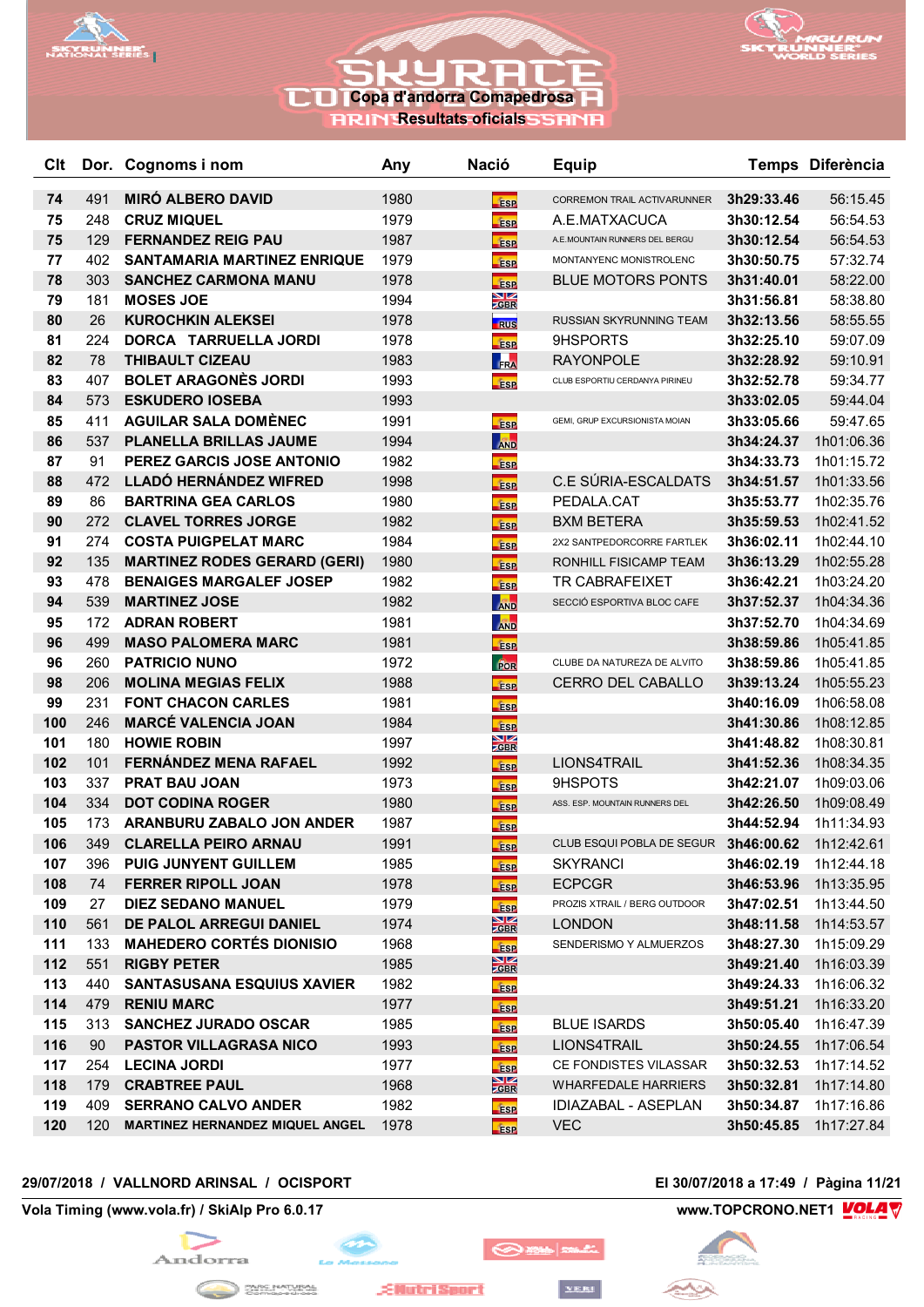



**RRIN Resultats oficials** 

| Clt        |            | Dor. Cognoms i nom                                         | Any          | <b>Nació</b>                    | <b>Equip</b>                            |                          | Temps Diferència         |
|------------|------------|------------------------------------------------------------|--------------|---------------------------------|-----------------------------------------|--------------------------|--------------------------|
| 74         | 491        | <b>MIRO ALBERO DAVID</b>                                   | 1980         |                                 | CORREMON TRAIL ACTIVARUNNER             | 3h29:33.46               | 56:15.45                 |
| 75         | 248        | <b>CRUZ MIQUEL</b>                                         | 1979         | <b>ESP</b><br><b>ESP</b>        | A.E.MATXACUCA                           | 3h30:12.54               | 56:54.53                 |
| 75         | 129        | <b>FERNANDEZ REIG PAU</b>                                  | 1987         | <b>ESP</b>                      | A.E.MOUNTAIN RUNNERS DEL BERGU          | 3h30:12.54               | 56:54.53                 |
| 77         | 402        | <b>SANTAMARIA MARTINEZ ENRIQUE</b>                         | 1979         | <b>Fise</b>                     | MONTANYENC MONISTROLENC                 | 3h30:50.75               | 57:32.74                 |
| 78         | 303        | <b>SANCHEZ CARMONA MANU</b>                                | 1978         | <b>ESP</b>                      | <b>BLUE MOTORS PONTS</b>                | 3h31:40.01               | 58:22.00                 |
| 79         | 181        | <b>MOSES JOE</b>                                           | 1994         | $\frac{\text{N}}{\text{ZBR}}$   |                                         | 3h31:56.81               | 58:38.80                 |
| 80         | 26         | <b>KUROCHKIN ALEKSEI</b>                                   | 1978         | <b>RUS</b>                      | RUSSIAN SKYRUNNING TEAM                 | 3h32:13.56               | 58:55.55                 |
| 81         | 224        | DORCA TARRUELLA JORDI                                      | 1978         | <b>ESP</b>                      | 9HSPORTS                                | 3h32:25.10               | 59:07.09                 |
| 82         | 78         | <b>THIBAULT CIZEAU</b>                                     | 1983         | FRA                             | <b>RAYONPOLE</b>                        | 3h32:28.92               | 59:10.91                 |
| 83         | 407        | <b>BOLET ARAGONÈS JORDI</b>                                | 1993         | <b>ESP</b>                      | CLUB ESPORTIU CERDANYA PIRINEU          | 3h32:52.78               | 59:34.77                 |
| 84         | 573        | <b>ESKUDERO IOSEBA</b>                                     | 1993         |                                 |                                         | 3h33:02.05               | 59:44.04                 |
| 85         | 411        | <b>AGUILAR SALA DOMÈNEC</b>                                | 1991         | <b>ESP</b>                      | GEMI, GRUP EXCURSIONISTA MOIAN          | 3h33:05.66               | 59:47.65                 |
| 86         | 537        | PLANELLA BRILLAS JAUME                                     | 1994         | <b>AND</b>                      |                                         | 3h34:24.37               | 1h01:06.36               |
| 87         | 91         | PEREZ GARCIS JOSE ANTONIO                                  | 1982         | <b>ESP</b>                      |                                         | 3h34:33.73               | 1h01:15.72               |
| 88         | 472        | <b>LLADÓ HERNÁNDEZ WIFRED</b>                              | 1998         | <b>ESP</b>                      | C.E SÚRIA-ESCALDATS                     | 3h34:51.57               | 1h01:33.56               |
| 89         | 86         | <b>BARTRINA GEA CARLOS</b>                                 | 1980         | <b>Fise</b>                     | PEDALA.CAT                              | 3h35:53.77               | 1h02:35.76               |
| 90         | 272        | <b>CLAVEL TORRES JORGE</b>                                 | 1982         | <b>ESP</b>                      | <b>BXM BETERA</b>                       | 3h35:59.53               | 1h02:41.52               |
| 91         | 274        | <b>COSTA PUIGPELAT MARC</b>                                | 1984         | <b>ESP</b>                      | 2X2 SANTPEDORCORRE FARTLEK              | 3h36:02.11               | 1h02:44.10               |
| 92         | 135        | <b>MARTINEZ RODES GERARD (GERI)</b>                        | 1980         | <b>ESP</b>                      | RONHILL FISICAMP TEAM                   | 3h36:13.29               | 1h02:55.28               |
| 93         | 478        | <b>BENAIGES MARGALEF JOSEP</b>                             | 1982         | <b>ESP</b>                      | <b>TR CABRAFEIXET</b>                   | 3h36:42.21               | 1h03:24.20               |
| 94         | 539        | <b>MARTINEZ JOSE</b>                                       | 1982         | <b>AND</b>                      | SECCIÓ ESPORTIVA BLOC CAFE              | 3h37:52.37               | 1h04:34.36               |
| 95         | 172        | <b>ADRAN ROBERT</b>                                        | 1981         | <b>AND</b>                      |                                         | 3h37:52.70               | 1h04:34.69               |
| 96         | 499        | <b>MASO PALOMERA MARC</b>                                  | 1981         | <b>ESP</b>                      |                                         | 3h38:59.86               | 1h05:41.85               |
| 96         | 260        | <b>PATRICIO NUNO</b>                                       | 1972         | <b>FOR</b>                      | CLUBE DA NATUREZA DE ALVITO             | 3h38:59.86               | 1h05:41.85               |
| 98         | 206        | <b>MOLINA MEGIAS FELIX</b>                                 | 1988         | <b>ESP</b>                      | <b>CERRO DEL CABALLO</b>                | 3h39:13.24               | 1h05:55.23               |
| 99         | 231        | <b>FONT CHACON CARLES</b>                                  | 1981         | <b>ESP</b>                      |                                         | 3h40:16.09               | 1h06:58.08               |
| 100        | 246        | <b>MARCÉ VALENCIA JOAN</b>                                 | 1984         | <b>ESP</b>                      |                                         | 3h41:30.86               | 1h08:12.85               |
| 101        | 180        | <b>HOWIE ROBIN</b>                                         | 1997         | $\frac{\text{N}}{\text{Z}}$ gbr |                                         | 3h41:48.82               | 1h08:30.81               |
| 102        | 101        | <b>FERNÁNDEZ MENA RAFAEL</b>                               | 1992         | <b>ESP</b>                      | LIONS4TRAIL                             | 3h41:52.36               | 1h08:34.35               |
| 103        | 337        | <b>PRAT BAU JOAN</b>                                       | 1973         | <b>ESP</b>                      | 9HSPOTS                                 | 3h42:21.07               | 1h09:03.06               |
| 104        | 334        | <b>DOT CODINA ROGER</b>                                    | 1980         | <b>ESP</b>                      | ASS. ESP. MOUNTAIN RUNNERS DEL          | 3h42:26.50               | 1h09:08.49               |
| 105        | 173        | ARANBURU ZABALO JON ANDER                                  | 1987         | <b>ESP</b>                      |                                         | 3h44:52.94               | 1h11:34.93               |
| 106        | 349        | <b>CLARELLA PEIRO ARNAU</b>                                | 1991         | <b>ESP</b>                      | CLUB ESQUI POBLA DE SEGUR 3h46:00.62    |                          | 1h12:42.61               |
| 107        |            | 396 PUIG JUNYENT GUILLEM                                   | 1985         | <b>ESP</b>                      | <b>SKYRANCI</b>                         | 3h46:02.19               | 1h12:44.18               |
| 108        | 74         | <b>FERRER RIPOLL JOAN</b>                                  | 1978         | <b>ESP</b>                      | <b>ECPCGR</b>                           | 3h46:53.96               | 1h13:35.95               |
| 109        | 27         | <b>DIEZ SEDANO MANUEL</b>                                  | 1979         | <b>ESP</b>                      | PROZIS XTRAIL / BERG OUTDOOR            | 3h47:02.51               | 1h13:44.50               |
| 110<br>111 | 561<br>133 | DE PALOL ARREGUI DANIEL<br><b>MAHEDERO CORTÉS DIONISIO</b> | 1974<br>1968 | $\frac{\text{N}}{\text{CBR}}$   | <b>LONDON</b><br>SENDERISMO Y ALMUERZOS | 3h48:11.58<br>3h48:27.30 | 1h14:53.57               |
| 112        | 551        | <b>RIGBY PETER</b>                                         | 1985         | <b>ESP</b>                      |                                         |                          | 1h15:09.29               |
|            | 440        | <b>SANTASUSANA ESQUIUS XAVIER</b>                          |              | $\frac{\text{N}}{\text{ZGR}}$   |                                         | 3h49:21.40               | 1h16:03.39               |
| 113<br>114 | 479        | <b>RENIU MARC</b>                                          | 1982<br>1977 | <b>ESP</b>                      |                                         | 3h49:24.33<br>3h49:51.21 | 1h16:06.32<br>1h16:33.20 |
| 115        | 313        | <b>SANCHEZ JURADO OSCAR</b>                                | 1985         | <b>ESP</b>                      | <b>BLUE ISARDS</b>                      | 3h50:05.40               | 1h16:47.39               |
| 116        | 90         | <b>PASTOR VILLAGRASA NICO</b>                              | 1993         | <b>ESP</b>                      | LIONS4TRAIL                             | 3h50:24.55               | 1h17:06.54               |
| 117        | 254        | <b>LECINA JORDI</b>                                        | 1977         | <b>ESP</b><br><b>ESP</b>        | CE FONDISTES VILASSAR                   | 3h50:32.53               | 1h17:14.52               |
| 118        | 179        | <b>CRABTREE PAUL</b>                                       | 1968         | $\frac{N}{2}$ GBR               | WHARFEDALE HARRIERS                     | 3h50:32.81               | 1h17:14.80               |
| 119        | 409        | <b>SERRANO CALVO ANDER</b>                                 | 1982         | <b>ESP</b>                      | IDIAZABAL - ASEPLAN                     | 3h50:34.87               | 1h17:16.86               |
| 120        | 120        | <b>MARTINEZ HERNANDEZ MIQUEL ANGEL</b>                     | 1978         | <b>ESP</b>                      | <b>VEC</b>                              | 3h50:45.85               | 1h17:27.84               |
|            |            |                                                            |              |                                 |                                         |                          |                          |

## **29/07/2018 / VALLNORD ARINSAL / OCISPORT El 30/07/2018 a 17:49 / Pàgina 11/21**



بمكمع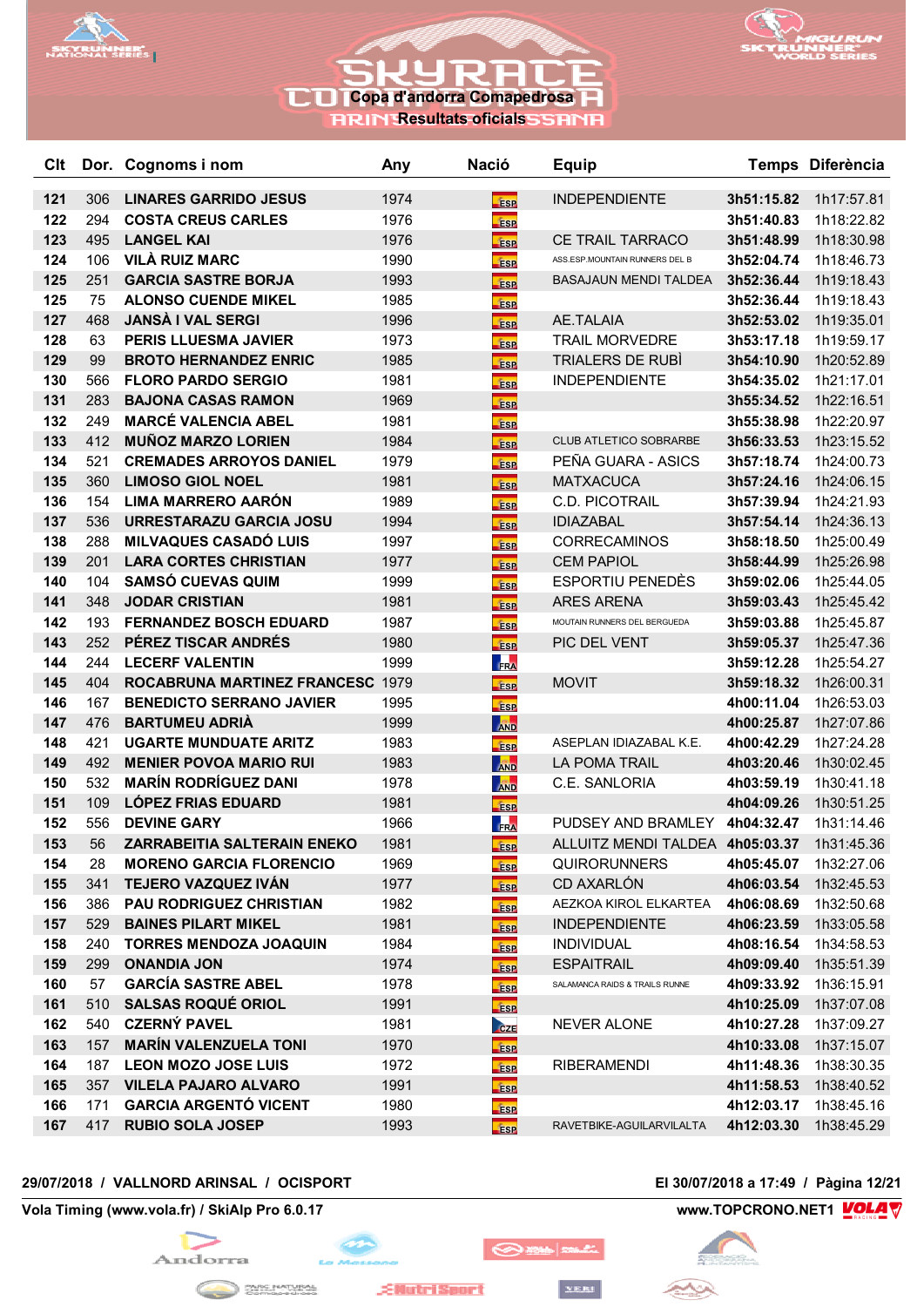



**RRIN Resultats oficials SSRNR** 

| Clt        |           | Dor. Cognoms i nom                                            | Any          | <b>Nació</b>             | <b>Equip</b>                                                     |            | Temps Diferència         |
|------------|-----------|---------------------------------------------------------------|--------------|--------------------------|------------------------------------------------------------------|------------|--------------------------|
| 121        | 306       | <b>LINARES GARRIDO JESUS</b>                                  | 1974         | <b>ESP</b>               | <b>INDEPENDIENTE</b>                                             | 3h51:15.82 | 1h17:57.81               |
| 122        | 294       | <b>COSTA CREUS CARLES</b>                                     | 1976         | <b>ESP</b>               |                                                                  | 3h51:40.83 | 1h18:22.82               |
| 123        | 495       | <b>LANGEL KAI</b>                                             | 1976         | <b>ESP</b>               | CE TRAIL TARRACO                                                 | 3h51:48.99 | 1h18:30.98               |
| 124        | 106       | <b>VILÀ RUIZ MARC</b>                                         | 1990         | <b>ESP</b>               | ASS.ESP.MOUNTAIN RUNNERS DEL B                                   | 3h52:04.74 | 1h18:46.73               |
| 125        | 251       | <b>GARCIA SASTRE BORJA</b>                                    | 1993         | <b>ESP</b>               | BASAJAUN MENDI TALDEA                                            | 3h52:36.44 | 1h19:18.43               |
| 125        | 75        | <b>ALONSO CUENDE MIKEL</b>                                    | 1985         | <b>ESP</b>               |                                                                  | 3h52:36.44 | 1h19:18.43               |
| 127        | 468       | <b>JANSA I VAL SERGI</b>                                      | 1996         | <b>ESP</b>               | AE.TALAIA                                                        | 3h52:53.02 | 1h19:35.01               |
| 128        | 63        | <b>PERIS LLUESMA JAVIER</b>                                   | 1973         | <b>ESP</b>               | <b>TRAIL MORVEDRE</b>                                            | 3h53:17.18 | 1h19:59.17               |
| 129        | 99        | <b>BROTO HERNANDEZ ENRIC</b>                                  | 1985         | <b>ESP</b>               | <b>TRIALERS DE RUBI</b>                                          | 3h54:10.90 | 1h20:52.89               |
| 130        | 566       | <b>FLORO PARDO SERGIO</b>                                     | 1981         | <b>ESP</b>               | <b>INDEPENDIENTE</b>                                             | 3h54:35.02 | 1h21:17.01               |
| 131        | 283       | <b>BAJONA CASAS RAMON</b>                                     | 1969         | <b>ESP</b>               |                                                                  | 3h55:34.52 | 1h22:16.51               |
| 132        | 249       | <b>MARCÉ VALENCIA ABEL</b>                                    | 1981         | <b>ESP</b>               |                                                                  | 3h55:38.98 | 1h22:20.97               |
| 133        | 412       | <b>MUÑOZ MARZO LORIEN</b>                                     | 1984         | <b>ESP</b>               | <b>CLUB ATLETICO SOBRARBE</b>                                    | 3h56:33.53 | 1h23:15.52               |
| 134        | 521       | <b>CREMADES ARROYOS DANIEL</b>                                | 1979         | <b>ESP</b>               | PEÑA GUARA - ASICS                                               | 3h57:18.74 | 1h24:00.73               |
| 135        | 360       | <b>LIMOSO GIOL NOEL</b>                                       | 1981         | <b>ESP</b>               | <b>MATXACUCA</b>                                                 | 3h57:24.16 | 1h24:06.15               |
| 136        | 154       | <b>LIMA MARRERO AARÓN</b>                                     | 1989         | <b>ESP</b>               | <b>C.D. PICOTRAIL</b>                                            | 3h57:39.94 | 1h24:21.93               |
| 137        | 536       | URRESTARAZU GARCIA JOSU                                       | 1994         | <b>ESP</b>               | <b>IDIAZABAL</b>                                                 | 3h57:54.14 | 1h24:36.13               |
| 138        | 288       | <b>MILVAQUES CASADÓ LUIS</b>                                  | 1997         | <b>ESP</b>               | <b>CORRECAMINOS</b>                                              | 3h58:18.50 | 1h25:00.49               |
| 139        | 201       | <b>LARA CORTES CHRISTIAN</b>                                  | 1977         | <b>ESP</b>               | <b>CEM PAPIOL</b>                                                | 3h58:44.99 | 1h25:26.98               |
| 140        | 104       | <b>SAMSÓ CUEVAS QUIM</b>                                      | 1999         | <b>ESP</b>               | ESPORTIU PENEDÈS                                                 | 3h59:02.06 | 1h25:44.05               |
| 141        | 348       | <b>JODAR CRISTIAN</b>                                         | 1981         | ÉSP                      | <b>ARES ARENA</b>                                                | 3h59:03.43 | 1h25:45.42               |
| 142        | 193       | <b>FERNANDEZ BOSCH EDUARD</b>                                 | 1987         | <b>ESP</b>               | MOUTAIN RUNNERS DEL BERGUEDA                                     | 3h59:03.88 | 1h25:45.87               |
| 143        | 252       | PÉREZ TISCAR ANDRÉS                                           | 1980         | <b>ESP</b>               | PIC DEL VENT                                                     | 3h59:05.37 | 1h25:47.36               |
| 144        | 244       | <b>LECERF VALENTIN</b>                                        | 1999         | FRA                      |                                                                  | 3h59:12.28 | 1h25:54.27               |
| 145        | 404       | ROCABRUNA MARTINEZ FRANCESC 1979                              |              | <b>ESP</b>               | <b>MOVIT</b>                                                     | 3h59:18.32 | 1h26:00.31               |
| 146        | 167       | <b>BENEDICTO SERRANO JAVIER</b>                               | 1995         | <b>ESP</b>               |                                                                  | 4h00:11.04 | 1h26:53.03               |
| 147        | 476       | <b>BARTUMEU ADRIÀ</b>                                         | 1999         | <b>AND</b>               |                                                                  | 4h00:25.87 | 1h27:07.86               |
| 148        | 421       | <b>UGARTE MUNDUATE ARITZ</b>                                  | 1983         | <b>ESP</b>               | ASEPLAN IDIAZABAL K.E.                                           | 4h00:42.29 | 1h27:24.28               |
| 149        | 492       | <b>MENIER POVOA MARIO RUI</b>                                 | 1983         | <b>AND</b>               | <b>LA POMA TRAIL</b>                                             | 4h03:20.46 | 1h30:02.45               |
| 150        | 532       | <b>MARÍN RODRÍGUEZ DANI</b>                                   | 1978         | <b>AND</b>               | C.E. SANLORIA                                                    | 4h03:59.19 | 1h30:41.18               |
| 151        | 109       | <b>LÓPEZ FRIAS EDUARD</b>                                     | 1981         | <b>ESP</b>               |                                                                  | 4h04:09.26 | 1h30:51.25               |
| 152        | 556<br>56 | <b>DEVINE GARY</b>                                            | 1966         | <b>FRA</b>               | PUDSEY AND BRAMLEY 4h04:32.47<br>ALLUITZ MENDI TALDEA 4h05:03.37 |            | 1h31:14.46               |
| 153<br>154 |           | ZARRABEITIA SALTERAIN ENEKO<br><b>MORENO GARCIA FLORENCIO</b> | 1981         | ÉSP                      | <b>QUIRORUNNERS</b>                                              | 4h05:45.07 | 1h31:45.36<br>1h32:27.06 |
| 155        | 28<br>341 | <b>TEJERO VAZQUEZ IVÁN</b>                                    | 1969<br>1977 | <b>ESP</b>               | CD AXARLÓN                                                       | 4h06:03.54 | 1h32:45.53               |
| 156        | 386       | <b>PAU RODRIGUEZ CHRISTIAN</b>                                | 1982         | <b>ESP</b>               | AEZKOA KIROL ELKARTEA                                            | 4h06:08.69 | 1h32:50.68               |
| 157        | 529       | <b>BAINES PILART MIKEL</b>                                    | 1981         | <b>ESP</b>               | <b>INDEPENDIENTE</b>                                             | 4h06:23.59 | 1h33:05.58               |
| 158        | 240       | <b>TORRES MENDOZA JOAQUIN</b>                                 | 1984         | <b>ESP</b>               | <b>INDIVIDUAL</b>                                                | 4h08:16.54 | 1h34:58.53               |
| 159        | 299       | <b>ONANDIA JON</b>                                            | 1974         | <b>ESP</b><br><b>ESP</b> | <b>ESPAITRAIL</b>                                                | 4h09:09.40 | 1h35:51.39               |
| 160        | 57        | <b>GARCÍA SASTRE ABEL</b>                                     | 1978         |                          | SALAMANCA RAIDS & TRAILS RUNNE                                   | 4h09:33.92 | 1h36:15.91               |
| 161        | 510       | <b>SALSAS ROQUÉ ORIOL</b>                                     | 1991         | <b>ESP</b>               |                                                                  | 4h10:25.09 | 1h37:07.08               |
| 162        | 540       | <b>CZERNÝ PAVEL</b>                                           | 1981         | <b>ESP</b><br>CZE        | <b>NEVER ALONE</b>                                               | 4h10:27.28 | 1h37:09.27               |
| 163        | 157       | <b>MARÍN VALENZUELA TONI</b>                                  | 1970         | <b>ESP</b>               |                                                                  | 4h10:33.08 | 1h37:15.07               |
| 164        | 187       | <b>LEON MOZO JOSE LUIS</b>                                    | 1972         | <b>FSP</b>               | <b>RIBERAMENDI</b>                                               | 4h11:48.36 | 1h38:30.35               |
| 165        |           | 357 VILELA PAJARO ALVARO                                      | 1991         | <b>ESP</b>               |                                                                  | 4h11:58.53 | 1h38:40.52               |
| 166        | 171       | <b>GARCIA ARGENTÓ VICENT</b>                                  | 1980         | <b>ESP</b>               |                                                                  | 4h12:03.17 | 1h38:45.16               |
| 167        | 417       | <b>RUBIO SOLA JOSEP</b>                                       | 1993         | <b>ESP</b>               | RAVETBIKE-AGUILARVILALTA                                         | 4h12:03.30 | 1h38:45.29               |
|            |           |                                                               |              |                          |                                                                  |            |                          |

## **29/07/2018 / VALLNORD ARINSAL / OCISPORT El 30/07/2018 a 17:49 / Pàgina 12/21**

**Vola Timing (www.vola.fr) / SkiAlp Pro 6.0.17 www.TOPCRONO.NET1 WOLA** 



œ

**EllutriSport** 

◎※■

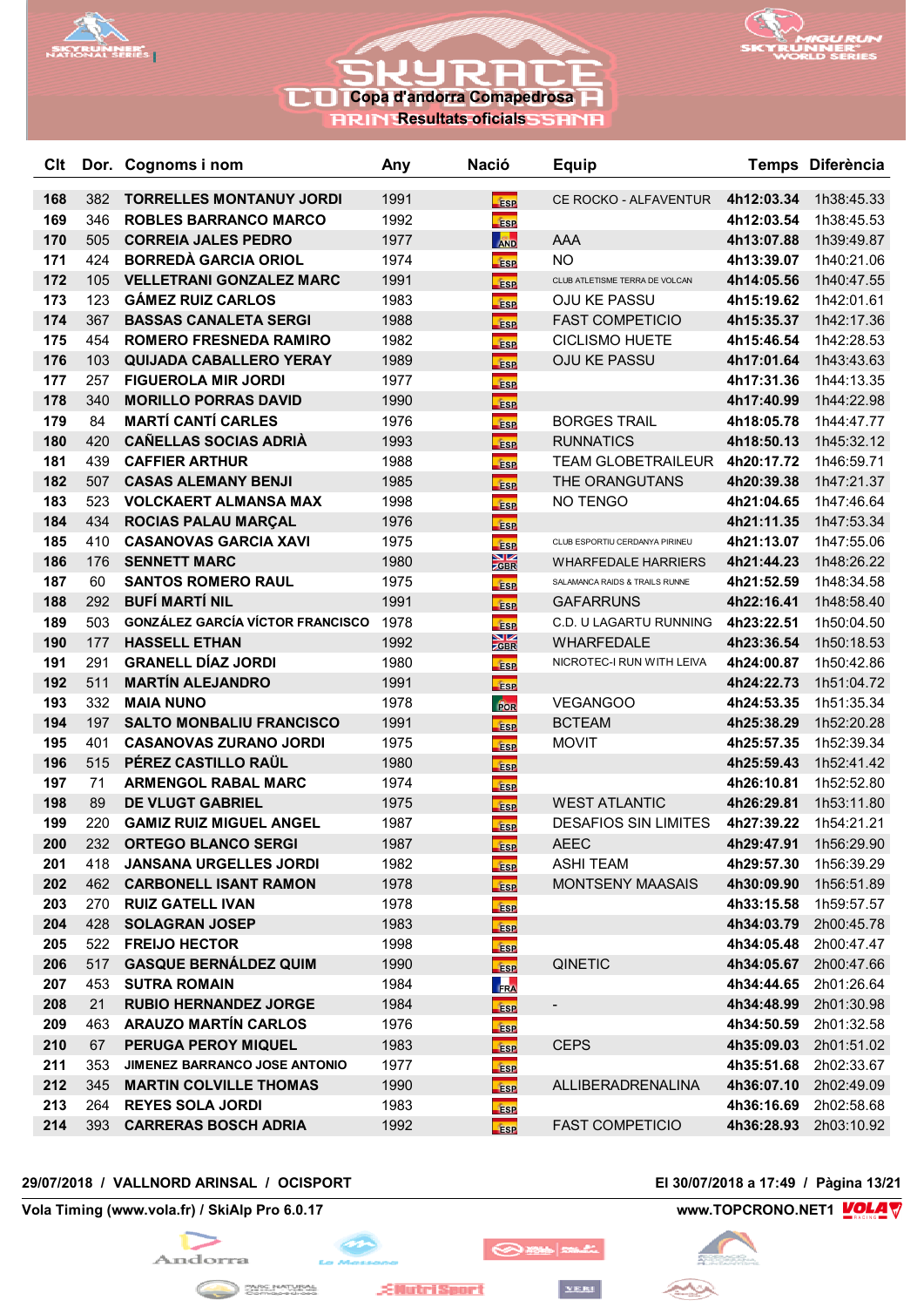



**RRIN Resultats oficials SSRNR** 

| Clt        |            | Dor. Cognoms i nom                                             | Any  | <b>Nació</b>    | <b>Equip</b>                   |                          | Temps Diferència         |
|------------|------------|----------------------------------------------------------------|------|-----------------|--------------------------------|--------------------------|--------------------------|
| 168        | 382        | <b>TORRELLES MONTANUY JORDI</b>                                | 1991 | <b>ESP</b>      | CE ROCKO - ALFAVENTUR          | 4h12:03.34               | 1h38:45.33               |
| 169        | 346        | <b>ROBLES BARRANCO MARCO</b>                                   | 1992 | <b>ESP</b>      |                                | 4h12:03.54               | 1h38:45.53               |
| 170        | 505        | <b>CORREIA JALES PEDRO</b>                                     | 1977 | <b>AND</b>      | <b>AAA</b>                     | 4h13:07.88               | 1h39:49.87               |
| 171        | 424        | <b>BORREDÀ GARCIA ORIOL</b>                                    | 1974 | <b>ESP</b>      | <b>NO</b>                      | 4h13:39.07               | 1h40:21.06               |
| 172        | 105        | <b>VELLETRANI GONZALEZ MARC</b>                                | 1991 | <b>ESP</b>      | CLUB ATLETISME TERRA DE VOLCAN | 4h14:05.56               | 1h40:47.55               |
| 173        | 123        | <b>GÁMEZ RUIZ CARLOS</b>                                       | 1983 | <b>ESP</b>      | <b>OJU KE PASSU</b>            | 4h15:19.62               | 1h42:01.61               |
| 174        | 367        | <b>BASSAS CANALETA SERGI</b>                                   | 1988 | <b>ESP</b>      | <b>FAST COMPETICIO</b>         | 4h15:35.37               | 1h42:17.36               |
| 175        | 454        | <b>ROMERO FRESNEDA RAMIRO</b>                                  | 1982 | <b>ESP</b>      | <b>CICLISMO HUETE</b>          | 4h15:46.54               | 1h42:28.53               |
| 176        | 103        | <b>QUIJADA CABALLERO YERAY</b>                                 | 1989 | ÉSP             | <b>OJU KE PASSU</b>            | 4h17:01.64               | 1h43:43.63               |
| 177        | 257        | <b>FIGUEROLA MIR JORDI</b>                                     | 1977 | <b>ESP</b>      |                                | 4h17:31.36               | 1h44:13.35               |
| 178        | 340        | <b>MORILLO PORRAS DAVID</b>                                    | 1990 | <b>ESP</b>      |                                | 4h17:40.99               | 1h44:22.98               |
| 179        | 84         | <b>MARTÍ CANTÍ CARLES</b>                                      | 1976 | <b>ESP</b>      | <b>BORGES TRAIL</b>            | 4h18:05.78               | 1h44:47.77               |
| 180        | 420        | <b>CAÑELLAS SOCIAS ADRIÀ</b>                                   | 1993 | <b>ESP</b>      | <b>RUNNATICS</b>               | 4h18:50.13               | 1h45:32.12               |
| 181        | 439        | <b>CAFFIER ARTHUR</b>                                          | 1988 | <b>ESP</b>      | TEAM GLOBETRAILEUR 4h20:17.72  |                          | 1h46:59.71               |
| 182        | 507        | <b>CASAS ALEMANY BENJI</b>                                     | 1985 | <b>ESP</b>      | THE ORANGUTANS                 | 4h20:39.38               | 1h47:21.37               |
| 183        | 523        | <b>VOLCKAERT ALMANSA MAX</b>                                   | 1998 | <b>ESP</b>      | NO TENGO                       | 4h21:04.65               | 1h47:46.64               |
| 184        | 434        | <b>ROCIAS PALAU MARÇAL</b>                                     | 1976 | <b>ESP</b>      |                                | 4h21:11.35               | 1h47:53.34               |
| 185        | 410        | <b>CASANOVAS GARCIA XAVI</b>                                   | 1975 | <b>ESP</b>      | CLUB ESPORTIU CERDANYA PIRINEU | 4h21:13.07               | 1h47:55.06               |
| 186        | 176        | <b>SENNETT MARC</b>                                            | 1980 | $\frac{N}{GBR}$ | <b>WHARFEDALE HARRIERS</b>     | 4h21:44.23               | 1h48:26.22               |
| 187        | 60         | <b>SANTOS ROMERO RAUL</b>                                      | 1975 | <b>ESP</b>      | SALAMANCA RAIDS & TRAILS RUNNE | 4h21:52.59               | 1h48:34.58               |
| 188        | 292        | <b>BUFÍ MARTÍ NIL</b>                                          | 1991 | fase            | <b>GAFARRUNS</b>               | 4h22:16.41               | 1h48:58.40               |
| 189        | 503        | <b>GONZÁLEZ GARCÍA VÍCTOR FRANCISCO</b>                        | 1978 | <b>ESP</b>      | C.D. U LAGARTU RUNNING         | 4h23:22.51               | 1h50:04.50               |
| 190        | 177        | <b>HASSELL ETHAN</b>                                           | 1992 | $\frac{N}{Z}$   | <b>WHARFEDALE</b>              | 4h23:36.54               | 1h50:18.53               |
| 191        | 291        | <b>GRANELL DÍAZ JORDI</b>                                      | 1980 | <b>ESP</b>      | NICROTEC-I RUN WITH LEIVA      | 4h24:00.87               | 1h50:42.86               |
| 192        | 511        | <b>MARTÍN ALEJANDRO</b>                                        | 1991 | <b>ESP</b>      |                                | 4h24:22.73               | 1h51:04.72               |
| 193        | 332        | <b>MAIA NUNO</b>                                               | 1978 | <b>BoR</b>      | <b>VEGANGOO</b>                | 4h24:53.35               | 1h51:35.34               |
| 194        | 197        | <b>SALTO MONBALIU FRANCISCO</b>                                | 1991 | ÉSP             | <b>BCTEAM</b>                  | 4h25:38.29               | 1h52:20.28               |
| 195        | 401        | <b>CASANOVAS ZURANO JORDI</b>                                  | 1975 | <b>ESP</b>      | <b>MOVIT</b>                   | 4h25:57.35               | 1h52:39.34               |
| 196        | 515        | PÉREZ CASTILLO RAUL                                            | 1980 | <b>ESP</b>      |                                | 4h25:59.43               | 1h52:41.42               |
| 197        | 71         | <b>ARMENGOL RABAL MARC</b>                                     | 1974 | <b>ESP</b>      |                                | 4h26:10.81               | 1h52:52.80               |
| 198        | 89         | <b>DE VLUGT GABRIEL</b>                                        | 1975 | <b>ESP</b>      | <b>WEST ATLANTIC</b>           | 4h26:29.81               | 1h53:11.80               |
| 199        | 220        | <b>GAMIZ RUIZ MIGUEL ANGEL</b>                                 | 1987 | <b>ESP</b>      | <b>DESAFIOS SIN LIMITES</b>    | 4h27:39.22               | 1h54:21.21               |
| 200        | 232        | <b>ORTEGO BLANCO SERGI</b>                                     | 1987 | <b>ESP</b>      | <b>AEEC</b>                    | 4h29:47.91               | 1h56:29.90               |
| 201        | 418        | <b>JANSANA URGELLES JORDI</b>                                  | 1982 | <b>ESP</b>      | <b>ASHI TEAM</b>               | 4h29:57.30               | 1h56:39.29               |
| 202        | 462        | <b>CARBONELL ISANT RAMON</b>                                   | 1978 | <b>ESP</b>      | <b>MONTSENY MAASAIS</b>        | 4h30:09.90               | 1h56:51.89               |
| 203        | 270        | <b>RUIZ GATELL IVAN</b>                                        | 1978 | <b>ESP</b>      |                                | 4h33:15.58               | 1h59:57.57               |
| 204        | 428        | <b>SOLAGRAN JOSEP</b>                                          | 1983 | <b>ESP</b>      |                                | 4h34:03.79               | 2h00:45.78               |
| 205        | 522        | <b>FREIJO HECTOR</b>                                           | 1998 | <b>ESP</b>      |                                | 4h34:05.48               | 2h00:47.47               |
| 206        | 517        | <b>GASQUE BERNALDEZ QUIM</b>                                   | 1990 | <b>ESP</b>      | QINETIC                        |                          | 4h34:05.67 2h00:47.66    |
| 207        | 453        | <b>SUTRA ROMAIN</b>                                            | 1984 | FRA             |                                | 4h34:44.65               | 2h01:26.64               |
| 208        | 21         | <b>RUBIO HERNANDEZ JORGE</b><br><b>ARAUZO MARTÍN CARLOS</b>    | 1984 | <b>ESP</b>      | ۰,                             | 4h34:48.99               | 2h01:30.98               |
| 209        | 463        |                                                                | 1976 | <b>ESP</b>      |                                | 4h34:50.59               | 2h01:32.58               |
| 210        | 67         | PERUGA PEROY MIQUEL                                            | 1983 | <b>ESP</b>      | <b>CEPS</b>                    | 4h35:09.03               | 2h01:51.02               |
| 211        | 353<br>345 | JIMENEZ BARRANCO JOSE ANTONIO<br><b>MARTIN COLVILLE THOMAS</b> | 1977 | <b>ESP</b>      |                                | 4h35:51.68               | 2h02:33.67               |
| 212<br>213 | 264        | <b>REYES SOLA JORDI</b>                                        | 1990 | <b>ESP</b>      | ALLIBERADRENALINA              | 4h36:07.10<br>4h36:16.69 | 2h02:49.09<br>2h02:58.68 |
|            |            |                                                                | 1983 | <b>ESP</b>      |                                |                          |                          |
| 214        | 393        | <b>CARRERAS BOSCH ADRIA</b>                                    | 1992 | <b>ESP</b>      | <b>FAST COMPETICIO</b>         | 4h36:28.93               | 2h03:10.92               |

## **29/07/2018 / VALLNORD ARINSAL / OCISPORT El 30/07/2018 a 17:49 / Pàgina 13/21**

**Vola Timing (www.vola.fr) / SkiAlp Pro 6.0.17 www.TOPCRONO.NET1 WOLA** 



فتحاميم

◎※■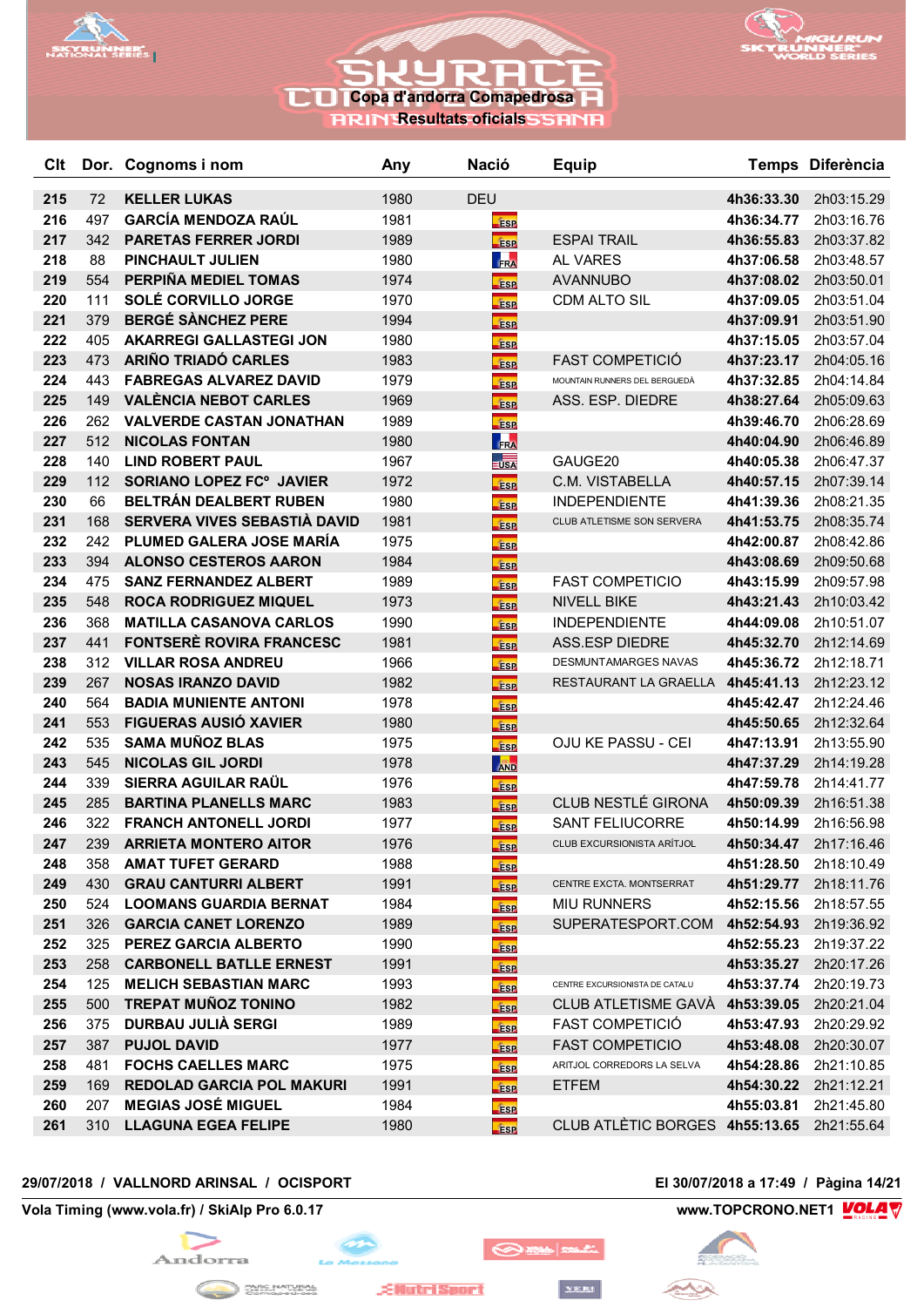



**RRIN Resultats oficials SSRNR** 

| Clt        |            | Dor. Cognoms i nom                                        | Any          | Nació                    | <b>Equip</b>                              |                          | Temps Diferència         |
|------------|------------|-----------------------------------------------------------|--------------|--------------------------|-------------------------------------------|--------------------------|--------------------------|
| 215        | 72         | <b>KELLER LUKAS</b>                                       | 1980         | <b>DEU</b>               |                                           | 4h36:33.30               | 2h03:15.29               |
| 216        | 497        | <b>GARCÍA MENDOZA RAÚL</b>                                | 1981         | <b>ESP</b>               |                                           | 4h36:34.77               | 2h03:16.76               |
| 217        | 342        | <b>PARETAS FERRER JORDI</b>                               | 1989         | <b>ESP</b>               | <b>ESPAI TRAIL</b>                        | 4h36:55.83               | 2h03:37.82               |
| 218        | 88         | <b>PINCHAULT JULIEN</b>                                   | 1980         | FRA                      | <b>AL VARES</b>                           | 4h37:06.58               | 2h03:48.57               |
| 219        | 554        | PERPIÑA MEDIEL TOMAS                                      | 1974         | <b>ESP</b>               | <b>AVANNUBO</b>                           | 4h37:08.02               | 2h03:50.01               |
| 220        | 111        | <b>SOLÉ CORVILLO JORGE</b>                                | 1970         | <b>ESP</b>               | CDM ALTO SIL                              | 4h37:09.05               | 2h03:51.04               |
| 221        | 379        | <b>BERGÉ SÀNCHEZ PERE</b>                                 | 1994         | <b>ESP</b>               |                                           | 4h37:09.91               | 2h03:51.90               |
| 222        | 405        | <b>AKARREGI GALLASTEGI JON</b>                            | 1980         | <b>ESP</b>               |                                           | 4h37:15.05               | 2h03:57.04               |
| 223        | 473        | <b>ARIÑO TRIADÓ CARLES</b>                                | 1983         | <b>ESP</b>               | <b>FAST COMPETICIÓ</b>                    | 4h37:23.17               | 2h04:05.16               |
| 224        | 443        | <b>FABREGAS ALVAREZ DAVID</b>                             | 1979         | <b>ESP</b>               | MOUNTAIN RUNNERS DEL BERGUEDÀ             | 4h37:32.85               | 2h04:14.84               |
| 225        | 149        | <b>VALÈNCIA NEBOT CARLES</b>                              | 1969         | <b>ESP</b>               | ASS. ESP. DIEDRE                          | 4h38:27.64               | 2h05:09.63               |
| 226        | 262        | <b>VALVERDE CASTAN JONATHAN</b>                           | 1989         | <b>ESP</b>               |                                           | 4h39:46.70               | 2h06:28.69               |
| 227        | 512        | <b>NICOLAS FONTAN</b>                                     | 1980         | FRA                      |                                           | 4h40:04.90               | 2h06:46.89               |
| 228        | 140        | <b>LIND ROBERT PAUL</b>                                   | 1967         | $\frac{1}{2}$ USA        | GAUGE20                                   | 4h40:05.38               | 2h06:47.37               |
| 229        | 112        | <b>SORIANO LOPEZ FC° JAVIER</b>                           | 1972         | <b>ESP</b>               | C.M. VISTABELLA                           | 4h40:57.15               | 2h07:39.14               |
| 230        | 66         | BELTRÁN DEALBERT RUBEN                                    | 1980         | Ésp                      | <b>INDEPENDIENTE</b>                      | 4h41:39.36               | 2h08:21.35               |
| 231        | 168        | SERVERA VIVES SEBASTIÀ DAVID                              | 1981         | <b>ESP</b>               | CLUB ATLETISME SON SERVERA                | 4h41:53.75               | 2h08:35.74               |
| 232        | 242        | PLUMED GALERA JOSE MARÍA                                  | 1975         | <b>ESP</b>               |                                           | 4h42:00.87               | 2h08:42.86               |
| 233        | 394        | <b>ALONSO CESTEROS AARON</b>                              | 1984         | <b>ESP</b>               |                                           | 4h43:08.69               | 2h09:50.68               |
| 234        | 475        | <b>SANZ FERNANDEZ ALBERT</b>                              | 1989         | <b>ESP</b>               | <b>FAST COMPETICIO</b>                    | 4h43:15.99               | 2h09:57.98               |
| 235        | 548        | <b>ROCA RODRIGUEZ MIQUEL</b>                              | 1973         | <b>ESP</b>               | <b>NIVELL BIKE</b>                        | 4h43:21.43               | 2h10:03.42               |
| 236        | 368        | <b>MATILLA CASANOVA CARLOS</b>                            | 1990         | <b>fisp</b>              | <b>INDEPENDIENTE</b>                      | 4h44:09.08               | 2h10:51.07               |
| 237        | 441        | <b>FONTSERE ROVIRA FRANCESC</b>                           | 1981         | <b>ESP</b>               | <b>ASS.ESP DIEDRE</b>                     | 4h45:32.70               | 2h12:14.69               |
| 238        | 312        | <b>VILLAR ROSA ANDREU</b>                                 | 1966         | <b>ESP</b>               | <b>DESMUNTAMARGES NAVAS</b>               | 4h45:36.72               | 2h12:18.71               |
| 239        | 267        | <b>NOSAS IRANZO DAVID</b>                                 | 1982         | <b>ESP</b>               | RESTAURANT LA GRAELLA                     | 4h45:41.13               | 2h12:23.12               |
| 240        | 564        | <b>BADIA MUNIENTE ANTONI</b>                              | 1978         | <b>ESP</b>               |                                           | 4h45:42.47               | 2h12:24.46               |
| 241        | 553        | <b>FIGUERAS AUSIÓ XAVIER</b>                              | 1980         | <b>ESP</b>               |                                           | 4h45:50.65               | 2h12:32.64               |
| 242        | 535        | <b>SAMA MUÑOZ BLAS</b>                                    | 1975         | <b>ESP</b>               | OJU KE PASSU - CEI                        | 4h47:13.91               | 2h13:55.90               |
| 243        | 545        | <b>NICOLAS GIL JORDI</b>                                  | 1978         | <b>AND</b>               |                                           | 4h47:37.29               | 2h14:19.28               |
| 244        | 339        | SIERRA AGUILAR RAUL                                       | 1976         | <b>ESP</b>               |                                           | 4h47:59.78               | 2h14:41.77               |
| 245        | 285        | <b>BARTINA PLANELLS MARC</b>                              | 1983         | <b>ESP</b>               | CLUB NESTLÉ GIRONA                        | 4h50:09.39               | 2h16:51.38               |
| 246        | 322        | <b>FRANCH ANTONELL JORDI</b>                              | 1977         | ÉSP                      | <b>SANT FELIUCORRE</b>                    | 4h50:14.99               | 2h16:56.98               |
| 247        | 239        | <b>ARRIETA MONTERO AITOR</b>                              | 1976         | <b>ESP</b>               | CLUB EXCURSIONISTA ARÍTJOL                | 4h50:34.47               | 2h17:16.46               |
| 248        | 358        | <b>AMAT TUFET GERARD</b>                                  | 1988         | <b>ESP</b>               |                                           | 4h51:28.50               | 2h18:10.49               |
| 249        | 430        | <b>GRAU CANTURRI ALBERT</b>                               | 1991         | <b>ESP</b>               | CENTRE EXCTA. MONTSERRAT                  | 4h51:29.77               | 2h18:11.76               |
| 250        |            | 524 LOOMANS GUARDIA BERNAT<br><b>GARCIA CANET LORENZO</b> | 1984         | <b>ESP</b>               | <b>MIU RUNNERS</b><br>SUPERATESPORT.COM   | 4h52:15.56               | 2h18:57.55               |
| 251<br>252 | 326<br>325 | <b>PEREZ GARCIA ALBERTO</b>                               | 1989<br>1990 | <b>ESP</b>               |                                           | 4h52:54.93<br>4h52:55.23 | 2h19:36.92<br>2h19:37.22 |
| 253        | 258        | <b>CARBONELL BATLLE ERNEST</b>                            | 1991         | <b>ESP</b>               |                                           |                          | 4h53:35.27 2h20:17.26    |
| 254        | 125        | <b>MELICH SEBASTIAN MARC</b>                              | 1993         | <b>ESP</b>               | CENTRE EXCURSIONISTA DE CATALU            | 4h53:37.74               | 2h20:19.73               |
| 255        | 500        | <b>TREPAT MUÑOZ TONINO</b>                                | 1982         | <b>ESP</b>               | CLUB ATLETISME GAVA 4h53:39.05 2h20:21.04 |                          |                          |
| 256        | 375        | DURBAU JULIÀ SERGI                                        | 1989         | <b>ESP</b>               | <b>FAST COMPETICIÓ</b>                    | 4h53:47.93               | 2h20:29.92               |
| 257        | 387        | <b>PUJOL DAVID</b>                                        | 1977         | <b>ESP</b>               | <b>FAST COMPETICIO</b>                    | 4h53:48.08               | 2h20:30.07               |
| 258        | 481        | <b>FOCHS CAELLES MARC</b>                                 | 1975         | <b>ESP</b>               | ARITJOL CORREDORS LA SELVA                | 4h54:28.86               | 2h21:10.85               |
| 259        | 169        | <b>REDOLAD GARCIA POL MAKURI</b>                          | 1991         | <b>ESP</b>               | <b>ETFEM</b>                              | 4h54:30.22               | 2h21:12.21               |
| 260        | 207        | <b>MEGIAS JOSÉ MIGUEL</b>                                 | 1984         | <b>ESP</b><br><b>ESP</b> |                                           | 4h55:03.81               | 2h21:45.80               |
| 261        |            | 310 LLAGUNA EGEA FELIPE                                   | 1980         | <b>ESP</b>               | CLUB ATLÈTIC BORGES 4h55:13.65 2h21:55.64 |                          |                          |
|            |            |                                                           |              |                          |                                           |                          |                          |

## **29/07/2018 / VALLNORD ARINSAL / OCISPORT El 30/07/2018 a 17:49 / Pàgina 14/21**

**Vola Timing (www.vola.fr) / SkiAlp Pro 6.0.17 www.TOPCRONO.NET1 WOLA** 



 $\sim$ 

◎※■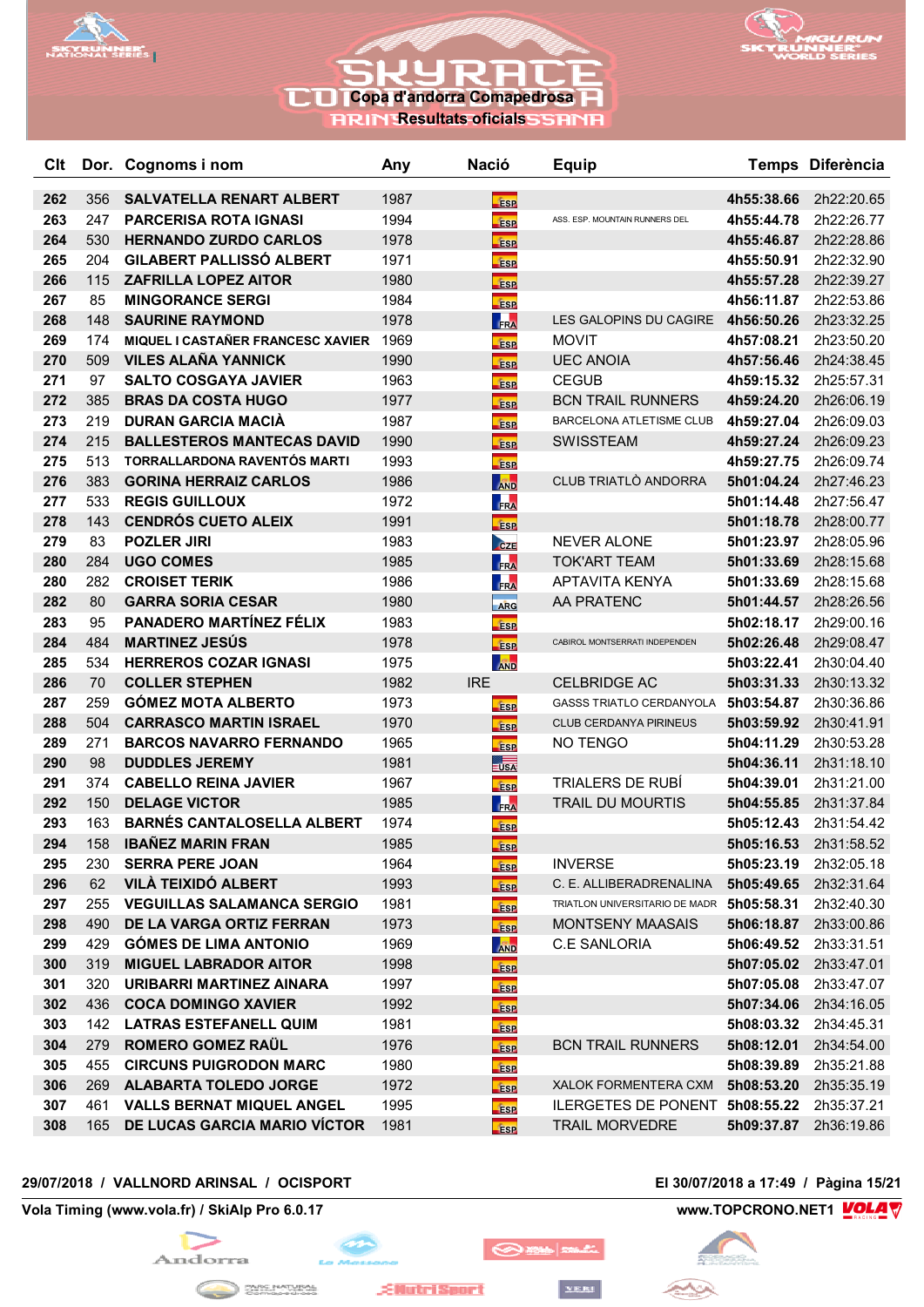



**RRIN Resultats oficials SSRNR** 

| Clt |     | Dor. Cognoms i nom                | Any  | <b>Nació</b>          | <b>Equip</b>                              |            | Temps Diferència |
|-----|-----|-----------------------------------|------|-----------------------|-------------------------------------------|------------|------------------|
| 262 | 356 | SALVATELLA RENART ALBERT          | 1987 | <b>ESP</b>            |                                           | 4h55:38.66 | 2h22:20.65       |
| 263 | 247 | <b>PARCERISA ROTA IGNASI</b>      | 1994 | <b>ESP</b>            | ASS. ESP. MOUNTAIN RUNNERS DEL            | 4h55:44.78 | 2h22:26.77       |
| 264 | 530 | <b>HERNANDO ZURDO CARLOS</b>      | 1978 | <b>ESP</b>            |                                           | 4h55:46.87 | 2h22:28.86       |
| 265 | 204 | <b>GILABERT PALLISSÓ ALBERT</b>   | 1971 | <b>ESP</b>            |                                           | 4h55:50.91 | 2h22:32.90       |
| 266 | 115 | <b>ZAFRILLA LOPEZ AITOR</b>       | 1980 | <b>ESP</b>            |                                           | 4h55:57.28 | 2h22:39.27       |
| 267 | 85  | <b>MINGORANCE SERGI</b>           | 1984 | <b>ESP</b>            |                                           | 4h56:11.87 | 2h22:53.86       |
| 268 | 148 | <b>SAURINE RAYMOND</b>            | 1978 | <b>FRA</b>            | LES GALOPINS DU CAGIRE                    | 4h56:50.26 | 2h23:32.25       |
| 269 | 174 | MIQUEL I CASTAÑER FRANCESC XAVIER | 1969 | <b>ESP</b>            | <b>MOVIT</b>                              | 4h57:08.21 | 2h23:50.20       |
| 270 | 509 | <b>VILES ALAÑA YANNICK</b>        | 1990 | <b>ESP</b>            | <b>UEC ANOIA</b>                          | 4h57:56.46 | 2h24:38.45       |
| 271 | 97  | <b>SALTO COSGAYA JAVIER</b>       | 1963 | <b>ESP</b>            | <b>CEGUB</b>                              | 4h59:15.32 | 2h25:57.31       |
| 272 | 385 | <b>BRAS DA COSTA HUGO</b>         | 1977 | <b>ESP</b>            | <b>BCN TRAIL RUNNERS</b>                  | 4h59:24.20 | 2h26:06.19       |
| 273 | 219 | <b>DURAN GARCIA MACIA</b>         | 1987 | <b>ESP</b>            | BARCELONA ATLETISME CLUB                  | 4h59:27.04 | 2h26:09.03       |
| 274 | 215 | <b>BALLESTEROS MANTECAS DAVID</b> | 1990 | <b>ESP</b>            | <b>SWISSTEAM</b>                          | 4h59:27.24 | 2h26:09.23       |
| 275 | 513 | TORRALLARDONA RAVENTÓS MARTI      | 1993 | <b>ESP</b>            |                                           | 4h59:27.75 | 2h26:09.74       |
| 276 | 383 | <b>GORINA HERRAIZ CARLOS</b>      | 1986 | <b>AND</b>            | CLUB TRIATLÒ ANDORRA                      | 5h01:04.24 | 2h27:46.23       |
| 277 | 533 | <b>REGIS GUILLOUX</b>             | 1972 | <b>FRA</b>            |                                           | 5h01:14.48 | 2h27:56.47       |
| 278 | 143 | <b>CENDRÓS CUETO ALEIX</b>        | 1991 | <b>ESP</b>            |                                           | 5h01:18.78 | 2h28:00.77       |
| 279 | 83  | <b>POZLER JIRI</b>                | 1983 | CZE                   | <b>NEVER ALONE</b>                        | 5h01:23.97 | 2h28:05.96       |
| 280 | 284 | <b>UGO COMES</b>                  | 1985 | <b>FRA</b>            | <b>TOK'ART TEAM</b>                       | 5h01:33.69 | 2h28:15.68       |
| 280 | 282 | <b>CROISET TERIK</b>              | 1986 | FRA                   | <b>APTAVITA KENYA</b>                     | 5h01:33.69 | 2h28:15.68       |
| 282 | 80  | <b>GARRA SORIA CESAR</b>          | 1980 | ARG                   | AA PRATENC                                | 5h01:44.57 | 2h28:26.56       |
| 283 | 95  | PANADERO MARTÍNEZ FÉLIX           | 1983 | <b>ESP</b>            |                                           | 5h02:18.17 | 2h29:00.16       |
| 284 | 484 | <b>MARTINEZ JESÚS</b>             | 1978 | <b>ESP</b>            | CABIROL MONTSERRATI INDEPENDEN            | 5h02:26.48 | 2h29:08.47       |
| 285 | 534 | <b>HERREROS COZAR IGNASI</b>      | 1975 | <b>AND</b>            |                                           | 5h03:22.41 | 2h30:04.40       |
| 286 | 70  | <b>COLLER STEPHEN</b>             | 1982 | <b>IRE</b>            | <b>CELBRIDGE AC</b>                       | 5h03:31.33 | 2h30:13.32       |
| 287 | 259 | <b>GÓMEZ MOTA ALBERTO</b>         | 1973 | <b>ESP</b>            | <b>GASSS TRIATLO CERDANYOLA</b>           | 5h03:54.87 | 2h30:36.86       |
| 288 | 504 | <b>CARRASCO MARTIN ISRAEL</b>     | 1970 | <b>ESP</b>            | CLUB CERDANYA PIRINEUS                    | 5h03:59.92 | 2h30:41.91       |
| 289 | 271 | <b>BARCOS NAVARRO FERNANDO</b>    | 1965 | <b>ESP</b>            | NO TENGO                                  | 5h04:11.29 | 2h30:53.28       |
| 290 | 98  | <b>DUDDLES JEREMY</b>             | 1981 | $\frac{1}{\sqrt{SA}}$ |                                           | 5h04:36.11 | 2h31:18.10       |
| 291 | 374 | <b>CABELLO REINA JAVIER</b>       | 1967 | <b>ESP</b>            | <b>TRIALERS DE RUBÍ</b>                   | 5h04:39.01 | 2h31:21.00       |
| 292 | 150 | <b>DELAGE VICTOR</b>              | 1985 | FRA                   | <b>TRAIL DU MOURTIS</b>                   | 5h04:55.85 | 2h31:37.84       |
| 293 | 163 | <b>BARNÉS CANTALOSELLA ALBERT</b> | 1974 | <b>ESP</b>            |                                           | 5h05:12.43 | 2h31:54.42       |
| 294 | 158 | <b>IBAÑEZ MARIN FRAN</b>          | 1985 | <b>ESP</b>            |                                           | 5h05:16.53 | 2h31:58.52       |
| 295 | 230 | <b>SERRA PERE JOAN</b>            | 1964 | <b>Fisp</b>           | <b>INVERSE</b>                            | 5h05:23.19 | 2h32:05.18       |
| 296 | 62  | <b>VILÀ TEIXIDÓ ALBERT</b>        | 1993 | <b>ESP</b>            | C. E. ALLIBERADRENALINA                   | 5h05:49.65 | 2h32:31.64       |
| 297 | 255 | <b>VEGUILLAS SALAMANCA SERGIO</b> | 1981 | <b>ESP</b>            | TRIATLON UNIVERSITARIO DE MADR 5h05:58.31 |            | 2h32:40.30       |
| 298 | 490 | DE LA VARGA ORTIZ FERRAN          | 1973 | <b>ESP</b>            | <b>MONTSENY MAASAIS</b>                   | 5h06:18.87 | 2h33:00.86       |
| 299 | 429 | <b>GOMES DE LIMA ANTONIO</b>      | 1969 | <b>AND</b>            | <b>C.E SANLORIA</b>                       | 5h06:49.52 | 2h33:31.51       |
| 300 | 319 | <b>MIGUEL LABRADOR AITOR</b>      | 1998 | <b>ESP</b>            |                                           | 5h07:05.02 | 2h33:47.01       |
| 301 | 320 | URIBARRI MARTINEZ AINARA          | 1997 | <b>ESP</b>            |                                           | 5h07:05.08 | 2h33:47.07       |
| 302 | 436 | <b>COCA DOMINGO XAVIER</b>        | 1992 | ÉSP                   |                                           | 5h07:34.06 | 2h34:16.05       |
| 303 | 142 | <b>LATRAS ESTEFANELL QUIM</b>     | 1981 | <b>ESP</b>            |                                           | 5h08:03.32 | 2h34:45.31       |
| 304 | 279 | ROMERO GOMEZ RAUL                 | 1976 | <b>ESP</b>            | <b>BCN TRAIL RUNNERS</b>                  | 5h08:12.01 | 2h34:54.00       |
| 305 | 455 | <b>CIRCUNS PUIGRODON MARC</b>     | 1980 | <b>ESP</b>            |                                           | 5h08:39.89 | 2h35:21.88       |
| 306 | 269 | <b>ALABARTA TOLEDO JORGE</b>      | 1972 | <b>ESP</b>            | XALOK FORMENTERA CXM                      | 5h08:53.20 | 2h35:35.19       |
| 307 | 461 | <b>VALLS BERNAT MIQUEL ANGEL</b>  | 1995 | <b>ESP</b>            | ILERGETES DE PONENT 5h08:55.22            |            | 2h35:37.21       |
| 308 | 165 | DE LUCAS GARCIA MARIO VICTOR      | 1981 | <b>ESP</b>            | <b>TRAIL MORVEDRE</b>                     | 5h09:37.87 | 2h36:19.86       |
|     |     |                                   |      |                       |                                           |            |                  |

## **29/07/2018 / VALLNORD ARINSAL / OCISPORT El 30/07/2018 a 17:49 / Pàgina 15/21**

**Vola Timing (www.vola.fr) / SkiAlp Pro 6.0.17 www.TOPCRONO.NET1 WOLA** 



 $\sim$ 

◎※■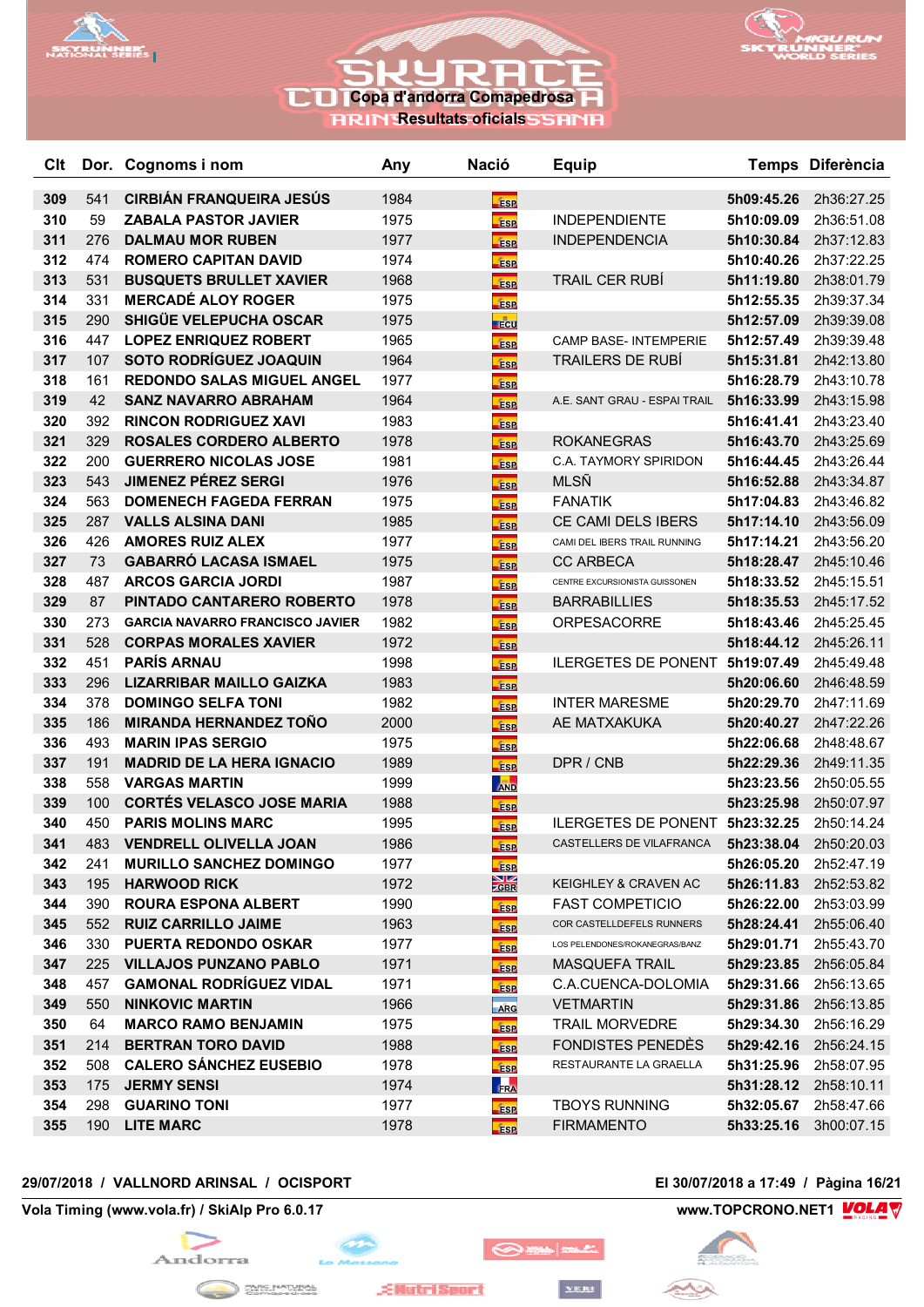



**RRIN Resultats oficials** 

| Clt |     | Dor. Cognoms i nom                     | Any  | <b>Nació</b>                   | <b>Equip</b>                    |            | Temps Diferència             |
|-----|-----|----------------------------------------|------|--------------------------------|---------------------------------|------------|------------------------------|
| 309 | 541 | <b>CIRBIAN FRANQUEIRA JESUS</b>        | 1984 | <b>ESP</b>                     |                                 | 5h09:45.26 | 2h36:27.25                   |
| 310 | 59  | <b>ZABALA PASTOR JAVIER</b>            | 1975 | <b>ESP</b>                     | <b>INDEPENDIENTE</b>            | 5h10:09.09 | 2h36:51.08                   |
| 311 | 276 | <b>DALMAU MOR RUBEN</b>                | 1977 | <b>ESP</b>                     | <b>INDEPENDENCIA</b>            | 5h10:30.84 | 2h37:12.83                   |
| 312 | 474 | <b>ROMERO CAPITAN DAVID</b>            | 1974 | <b>ESP</b>                     |                                 | 5h10:40.26 | 2h37:22.25                   |
| 313 | 531 | <b>BUSQUETS BRULLET XAVIER</b>         | 1968 | <b>ESP</b>                     | TRAIL CER RUBI                  | 5h11:19.80 | 2h38:01.79                   |
| 314 | 331 | <b>MERCADÉ ALOY ROGER</b>              | 1975 | <b>ESP</b>                     |                                 | 5h12:55.35 | 2h39:37.34                   |
| 315 | 290 | SHIGÜE VELEPUCHA OSCAR                 | 1975 | <b>F</b> CU                    |                                 | 5h12:57.09 | 2h39:39.08                   |
| 316 | 447 | <b>LOPEZ ENRIQUEZ ROBERT</b>           | 1965 | <b>ESP</b>                     | <b>CAMP BASE- INTEMPERIE</b>    | 5h12:57.49 | 2h39:39.48                   |
| 317 | 107 | <b>SOTO RODRÍGUEZ JOAQUIN</b>          | 1964 | <b>ESP</b>                     | <b>TRAILERS DE RUBÍ</b>         | 5h15:31.81 | 2h42:13.80                   |
| 318 | 161 | <b>REDONDO SALAS MIGUEL ANGEL</b>      | 1977 | <b>ESP</b>                     |                                 | 5h16:28.79 | 2h43:10.78                   |
| 319 | 42  | <b>SANZ NAVARRO ABRAHAM</b>            | 1964 | <b>ESP</b>                     | A.E. SANT GRAU - ESPAI TRAIL    | 5h16:33.99 | 2h43:15.98                   |
| 320 | 392 | <b>RINCON RODRIGUEZ XAVI</b>           | 1983 | <b>ESP</b>                     |                                 | 5h16:41.41 | 2h43:23.40                   |
| 321 | 329 | <b>ROSALES CORDERO ALBERTO</b>         | 1978 | <b>ESP</b>                     | <b>ROKANEGRAS</b>               | 5h16:43.70 | 2h43:25.69                   |
| 322 | 200 | <b>GUERRERO NICOLAS JOSE</b>           | 1981 | <b>ESP</b>                     | C.A. TAYMORY SPIRIDON           | 5h16:44.45 | 2h43:26.44                   |
| 323 | 543 | <b>JIMENEZ PÉREZ SERGI</b>             | 1976 | <b>ESP</b>                     | <b>MLSÑ</b>                     | 5h16:52.88 | 2h43:34.87                   |
| 324 | 563 | <b>DOMENECH FAGEDA FERRAN</b>          | 1975 | <b>ESP</b>                     | <b>FANATIK</b>                  | 5h17:04.83 | 2h43:46.82                   |
| 325 | 287 | <b>VALLS ALSINA DANI</b>               | 1985 | <b>ESP</b>                     | CE CAMI DELS IBERS              | 5h17:14.10 | 2h43:56.09                   |
| 326 | 426 | <b>AMORES RUIZ ALEX</b>                | 1977 | <b>ESP</b>                     | CAMI DEL IBERS TRAIL RUNNING    | 5h17:14.21 | 2h43:56.20                   |
| 327 | 73  | <b>GABARRÓ LACASA ISMAEL</b>           | 1975 | <b>ESP</b>                     | <b>CC ARBECA</b>                | 5h18:28.47 | 2h45:10.46                   |
| 328 | 487 | <b>ARCOS GARCIA JORDI</b>              | 1987 | <b>ESP</b>                     | CENTRE EXCURSIONISTA GUISSONEN  | 5h18:33.52 | 2h45:15.51                   |
| 329 | 87  | PINTADO CANTARERO ROBERTO              | 1978 | <b>ESP</b>                     | <b>BARRABILLIES</b>             | 5h18:35.53 | 2h45:17.52                   |
| 330 | 273 | <b>GARCIA NAVARRO FRANCISCO JAVIER</b> | 1982 | <b>ESP</b>                     | <b>ORPESACORRE</b>              | 5h18:43.46 | 2h45:25.45                   |
| 331 | 528 | <b>CORPAS MORALES XAVIER</b>           | 1972 | <b>ESP</b>                     |                                 | 5h18:44.12 | 2h45:26.11                   |
| 332 | 451 | <b>PARÍS ARNAU</b>                     | 1998 | <b>ESP</b>                     | ILERGETES DE PONENT 5h19:07.49  |            | 2h45:49.48                   |
| 333 | 296 | <b>LIZARRIBAR MAILLO GAIZKA</b>        | 1983 | <b>ESP</b>                     |                                 | 5h20:06.60 | 2h46:48.59                   |
| 334 | 378 | <b>DOMINGO SELFA TONI</b>              | 1982 | <b>ESP</b>                     | <b>INTER MARESME</b>            | 5h20:29.70 | 2h47:11.69                   |
| 335 | 186 | <b>MIRANDA HERNANDEZ TOÑO</b>          | 2000 | <b>ESP</b>                     | AE MATXAKUKA                    | 5h20:40.27 | 2h47:22.26                   |
| 336 | 493 | <b>MARIN IPAS SERGIO</b>               | 1975 | <b>ESP</b>                     |                                 | 5h22:06.68 | 2h48:48.67                   |
| 337 | 191 | <b>MADRID DE LA HERA IGNACIO</b>       | 1989 | <b>ESP</b>                     | DPR / CNB                       | 5h22:29.36 | 2h49:11.35                   |
| 338 | 558 | <b>VARGAS MARTIN</b>                   | 1999 | <b>AND</b>                     |                                 | 5h23:23.56 | 2h50:05.55                   |
| 339 | 100 | <b>CORTÉS VELASCO JOSE MARIA</b>       | 1988 | <b>ESP</b>                     |                                 | 5h23:25.98 | 2h50:07.97                   |
| 340 | 450 | <b>PARIS MOLINS MARC</b>               | 1995 | <b>ESP</b>                     | ILERGETES DE PONENT 5h23:32.25  |            | 2h50:14.24                   |
| 341 | 483 | <b>VENDRELL OLIVELLA JOAN</b>          | 1986 | <b>ESP</b>                     | CASTELLERS DE VILAFRANCA        | 5h23:38.04 | 2h50:20.03                   |
| 342 | 241 | <b>MURILLO SANCHEZ DOMINGO</b>         | 1977 | <b>ESP</b>                     |                                 | 5h26:05.20 | 2h52:47.19                   |
| 343 | 195 | <b>HARWOOD RICK</b>                    | 1972 | $\frac{\text{N}}{\text{20BR}}$ | <b>KEIGHLEY &amp; CRAVEN AC</b> | 5h26:11.83 | 2h52:53.82                   |
| 344 | 390 | <b>ROURA ESPONA ALBERT</b>             | 1990 | <b>ESP</b>                     | <b>FAST COMPETICIO</b>          | 5h26:22.00 | 2h53:03.99                   |
| 345 | 552 | <b>RUIZ CARRILLO JAIME</b>             | 1963 | <b>ESP</b>                     | COR CASTELLDEFELS RUNNERS       | 5h28:24.41 | 2h55:06.40                   |
| 346 | 330 | <b>PUERTA REDONDO OSKAR</b>            | 1977 | <b>ESP</b>                     | LOS PELENDONES/ROKANEGRAS/BANZ  | 5h29:01.71 | 2h55:43.70                   |
| 347 | 225 | <b>VILLAJOS PUNZANO PABLO</b>          | 1971 | <b>ESP</b>                     | <b>MASQUEFA TRAIL</b>           | 5h29:23.85 | 2h56:05.84                   |
| 348 | 457 | <b>GAMONAL RODRÍGUEZ VIDAL</b>         | 1971 | <b>ESP</b>                     | C.A.CUENCA-DOLOMIA              | 5h29:31.66 | 2h56:13.65                   |
| 349 | 550 | <b>NINKOVIC MARTIN</b>                 | 1966 | ARG                            | <b>VETMARTIN</b>                |            | <b>5h29:31.86</b> 2h56:13.85 |
| 350 | 64  | <b>MARCO RAMO BENJAMIN</b>             | 1975 | <b>ESP</b>                     | <b>TRAIL MORVEDRE</b>           | 5h29:34.30 | 2h56:16.29                   |
| 351 | 214 | <b>BERTRAN TORO DAVID</b>              | 1988 | <b>ESP</b>                     | <b>FONDISTES PENEDES</b>        | 5h29:42.16 | 2h56:24.15                   |
| 352 | 508 | <b>CALERO SÁNCHEZ EUSEBIO</b>          | 1978 | <b>ESP</b>                     | RESTAURANTE LA GRAELLA          | 5h31:25.96 | 2h58:07.95                   |
| 353 | 175 | <b>JERMY SENSI</b>                     | 1974 | FRA                            |                                 | 5h31:28.12 | 2h58:10.11                   |
| 354 | 298 | <b>GUARINO TONI</b>                    | 1977 | <b>ESP</b>                     | <b>TBOYS RUNNING</b>            | 5h32:05.67 | 2h58:47.66                   |
| 355 |     | 190 LITE MARC                          | 1978 | <b>ESP</b>                     | <b>FIRMAMENTO</b>               | 5h33:25.16 | 3h00:07.15                   |

## **29/07/2018 / VALLNORD ARINSAL / OCISPORT El 30/07/2018 a 17:49 / Pàgina 16/21**

**Vola Timing (www.vola.fr) / SkiAlp Pro 6.0.17 www.TOPCRONO.NET1 WOLA** 



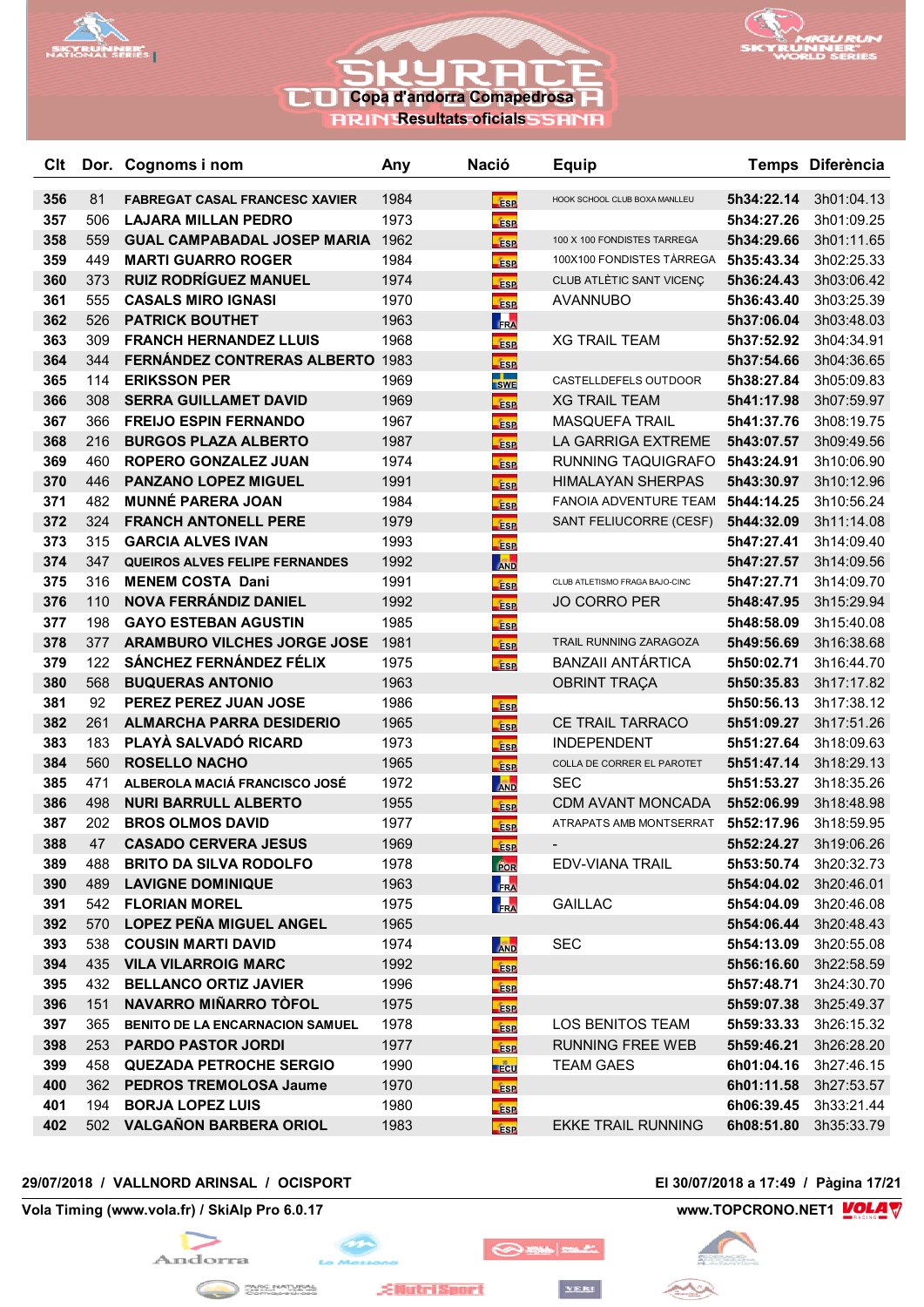



**RRIN Resultats oficials** 

| <b>C</b> It |            | Dor. Cognoms i nom                                           | Any          | <b>Nació</b>                            | <b>Equip</b>                   |                          | Temps Diferència             |
|-------------|------------|--------------------------------------------------------------|--------------|-----------------------------------------|--------------------------------|--------------------------|------------------------------|
| 356         | 81         | <b>FABREGAT CASAL FRANCESC XAVIER</b>                        | 1984         | <b>ESP</b>                              | HOOK SCHOOL CLUB BOXA MANLLEU  | 5h34:22.14               | 3h01:04.13                   |
| 357         | 506        | <b>LAJARA MILLAN PEDRO</b>                                   | 1973         | <b>ESP</b>                              |                                | 5h34:27.26               | 3h01:09.25                   |
| 358         | 559        | <b>GUAL CAMPABADAL JOSEP MARIA 1962</b>                      |              | <b>ESP</b>                              | 100 X 100 FONDISTES TARREGA    | 5h34:29.66               | 3h01:11.65                   |
| 359         | 449        | <b>MARTI GUARRO ROGER</b>                                    | 1984         | <b>ESP</b>                              | 100X100 FONDISTES TÀRREGA      | 5h35:43.34               | 3h02:25.33                   |
| 360         | 373        | <b>RUIZ RODRÍGUEZ MANUEL</b>                                 | 1974         | <b>ESP</b>                              | CLUB ATLÈTIC SANT VICENÇ       | 5h36:24.43               | 3h03:06.42                   |
| 361         | 555        | <b>CASALS MIRO IGNASI</b>                                    | 1970         | <b>ESP</b>                              | <b>AVANNUBO</b>                | 5h36:43.40               | 3h03:25.39                   |
| 362         | 526        | <b>PATRICK BOUTHET</b>                                       | 1963         | FRA                                     |                                | 5h37:06.04               | 3h03:48.03                   |
| 363         | 309        | <b>FRANCH HERNANDEZ LLUIS</b>                                | 1968         | <b>ESP</b>                              | <b>XG TRAIL TEAM</b>           | 5h37:52.92               | 3h04:34.91                   |
| 364         | 344        | <b>FERNÁNDEZ CONTRERAS ALBERTO 1983</b>                      |              | <b>ESP</b>                              |                                | 5h37:54.66               | 3h04:36.65                   |
| 365         | 114        | <b>ERIKSSON PER</b>                                          | 1969         | <b>The Contract State</b><br><b>SWE</b> | CASTELLDEFELS OUTDOOR          | 5h38:27.84               | 3h05:09.83                   |
| 366         | 308        | <b>SERRA GUILLAMET DAVID</b>                                 | 1969         | <b>ESP</b>                              | <b>XG TRAIL TEAM</b>           | 5h41:17.98               | 3h07:59.97                   |
| 367         | 366        | <b>FREIJO ESPIN FERNANDO</b>                                 | 1967         | <b>ESP</b>                              | <b>MASQUEFA TRAIL</b>          | 5h41:37.76               | 3h08:19.75                   |
| 368         | 216        | <b>BURGOS PLAZA ALBERTO</b>                                  | 1987         | <b>ESP</b>                              | LA GARRIGA EXTREME             | 5h43:07.57               | 3h09:49.56                   |
| 369         | 460        | <b>ROPERO GONZALEZ JUAN</b>                                  | 1974         | <b>ESP</b>                              | RUNNING TAQUIGRAFO             | 5h43:24.91               | 3h10:06.90                   |
| 370         | 446        | <b>PANZANO LOPEZ MIGUEL</b>                                  | 1991         | <b>ESP</b>                              | <b>HIMALAYAN SHERPAS</b>       | 5h43:30.97               | 3h10:12.96                   |
| 371         | 482        | <b>MUNNÉ PARERA JOAN</b>                                     | 1984         | <b>ESP</b>                              | FANOIA ADVENTURE TEAM          | 5h44:14.25               | 3h10:56.24                   |
| 372         | 324        | <b>FRANCH ANTONELL PERE</b>                                  | 1979         | <b>ESP</b>                              | SANT FELIUCORRE (CESF)         | 5h44:32.09               | 3h11:14.08                   |
| 373         | 315        | <b>GARCIA ALVES IVAN</b>                                     | 1993         | <b>Fise</b>                             |                                | 5h47:27.41               | 3h14:09.40                   |
| 374         | 347        | <b>QUEIROS ALVES FELIPE FERNANDES</b>                        | 1992         | <b>AND</b>                              |                                | 5h47:27.57               | 3h14:09.56                   |
| 375         | 316        | <b>MENEM COSTA Dani</b>                                      | 1991         | <b>ESP</b>                              | CLUB ATLETISMO FRAGA BAJO-CINC | 5h47:27.71               | 3h14:09.70                   |
| 376         | 110        | NOVA FERRÁNDIZ DANIEL                                        | 1992         | <b>fise</b>                             | <b>JO CORRO PER</b>            | 5h48:47.95               | 3h15:29.94                   |
| 377         | 198        | <b>GAYO ESTEBAN AGUSTIN</b>                                  | 1985         | <b>ESP</b>                              |                                | 5h48:58.09               | 3h15:40.08                   |
| 378         | 377        | <b>ARAMBURO VILCHES JORGE JOSE</b>                           | 1981         | ÉSP                                     | TRAIL RUNNING ZARAGOZA         | 5h49:56.69               | 3h16:38.68                   |
| 379         | 122        | SÁNCHEZ FERNÁNDEZ FÉLIX                                      | 1975         | <b>ESP</b>                              | <b>BANZAII ANTÁRTICA</b>       | 5h50:02.71               | 3h16:44.70                   |
| 380         | 568        | <b>BUQUERAS ANTONIO</b>                                      | 1963         |                                         | <b>OBRINT TRAÇA</b>            | 5h50:35.83               | 3h17:17.82                   |
| 381         | 92         | PEREZ PEREZ JUAN JOSE                                        | 1986         | <b>ESP</b>                              |                                | 5h50:56.13               | 3h17:38.12                   |
| 382         | 261        | <b>ALMARCHA PARRA DESIDERIO</b>                              | 1965         | <b>ESP</b>                              | CE TRAIL TARRACO               | 5h51:09.27               | 3h17:51.26                   |
| 383         | 183        | PLAYÀ SALVADÓ RICARD                                         | 1973         | <b>ESP</b>                              | <b>INDEPENDENT</b>             | 5h51:27.64               | 3h18:09.63                   |
| 384         | 560        | <b>ROSELLO NACHO</b>                                         | 1965         | <b>ESP</b>                              | COLLA DE CORRER EL PAROTET     | 5h51:47.14               | 3h18:29.13                   |
| 385         | 471        | ALBEROLA MACIÁ FRANCISCO JOSÉ                                | 1972         | <b>AND</b>                              | <b>SEC</b>                     | 5h51:53.27               | 3h18:35.26                   |
| 386         | 498        | <b>NURI BARRULL ALBERTO</b>                                  | 1955         | <b>ESP</b>                              | <b>CDM AVANT MONCADA</b>       | 5h52:06.99               | 3h18:48.98                   |
| 387         | 202        | <b>BROS OLMOS DAVID</b>                                      | 1977         | <b>ESP</b>                              | ATRAPATS AMB MONTSERRAT        | 5h52:17.96               | 3h18:59.95                   |
| 388         | 47         | <b>CASADO CERVERA JESUS</b>                                  | 1969         | <b>ESP</b>                              | $\overline{\phantom{a}}$       | 5h52:24.27               | 3h19:06.26                   |
| 389         | 488        | <b>BRITO DA SILVA RODOLFO</b>                                | 1978         | FOR                                     | <b>EDV-VIANA TRAIL</b>         | 5h53:50.74               | 3h20:32.73                   |
| 390         | 489        | <b>LAVIGNE DOMINIQUE</b>                                     | 1963         | FRA                                     |                                | 5h54:04.02               | 3h20:46.01                   |
| 391         |            | 542 FLORIAN MOREL                                            | 1975         | <b>FRA</b>                              | <b>GAILLAC</b>                 | 5h54:04.09               | 3h20:46.08                   |
| 392         | 570        | <b>LOPEZ PEÑA MIGUEL ANGEL</b>                               | 1965         |                                         |                                | 5h54:06.44               | 3h20:48.43                   |
| 393         | 538        | <b>COUSIN MARTI DAVID</b>                                    | 1974         | <b>AND</b>                              | <b>SEC</b>                     | 5h54:13.09               | 3h20:55.08                   |
| 394         |            | 435 VILA VILARROIG MARC                                      | 1992         | <b>ESP</b>                              |                                |                          | <b>5h56:16.60</b> 3h22:58.59 |
| 395         |            | 432 BELLANCO ORTIZ JAVIER                                    | 1996         | <b>ESP</b>                              |                                | 5h57:48.71               | 3h24:30.70                   |
| 396         | 151        | NAVARRO MIÑARRO TÒFOL                                        | 1975         | <b>ESP</b>                              |                                | 5h59:07.38               | 3h25:49.37                   |
| 397         | 365        | <b>BENITO DE LA ENCARNACION SAMUEL</b>                       | 1978         | <b>ESP</b>                              | LOS BENITOS TEAM               | 5h59:33.33               | 3h26:15.32                   |
| 398         | 253<br>458 | <b>PARDO PASTOR JORDI</b>                                    | 1977         | <b>ESP</b>                              | RUNNING FREE WEB               | 5h59:46.21               | 3h26:28.20                   |
| 399         |            | <b>QUEZADA PETROCHE SERGIO</b><br>362 PEDROS TREMOLOSA Jaume | 1990         | <b>E</b> cu                             | <b>TEAM GAES</b>               | 6h01:04.16               | 3h27:46.15                   |
| 400<br>401  | 194        | <b>BORJA LOPEZ LUIS</b>                                      | 1970<br>1980 | <b>ESP</b>                              |                                | 6h01:11.58<br>6h06:39.45 | 3h27:53.57<br>3h33:21.44     |
| 402         |            | 502 VALGAÑON BARBERA ORIOL                                   | 1983         | <b>ESP</b>                              | <b>EKKE TRAIL RUNNING</b>      | 6h08:51.80               | 3h35:33.79                   |
|             |            |                                                              |              | <b>ESP</b>                              |                                |                          |                              |

## **29/07/2018 / VALLNORD ARINSAL / OCISPORT El 30/07/2018 a 17:49 / Pàgina 17/21**

**Vola Timing (www.vola.fr) / SkiAlp Pro 6.0.17 www.TOPCRONO.NET1 WOLA** 





**YERI** 

◎※■

**EllutriSport**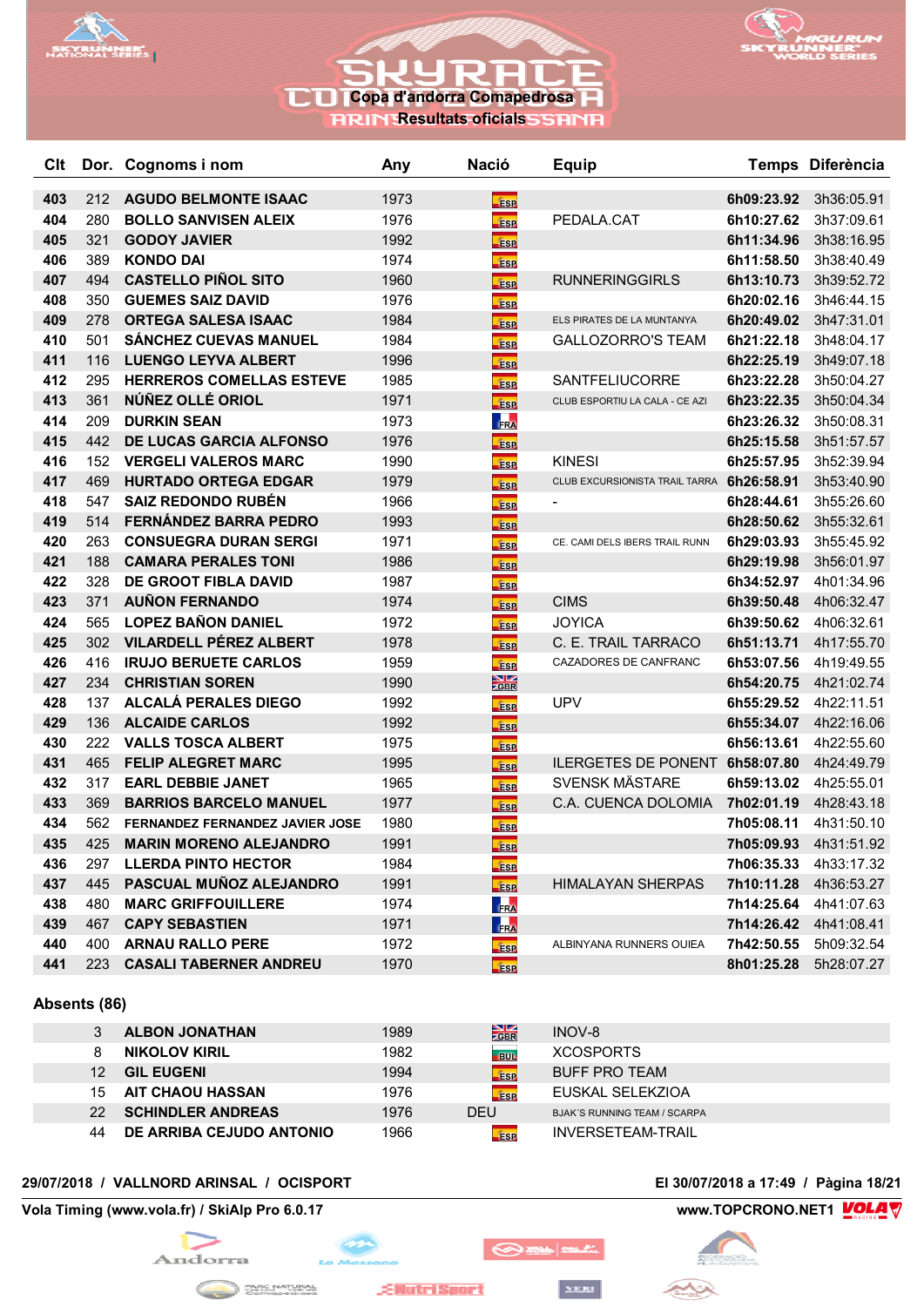



**RRIN Resultats oficials** 

| Clt |     | Dor. Cognoms i nom              | Any  | <b>Nació</b>                  | <b>Equip</b>                              |            | Temps Diferència      |
|-----|-----|---------------------------------|------|-------------------------------|-------------------------------------------|------------|-----------------------|
| 403 | 212 | <b>AGUDO BELMONTE ISAAC</b>     | 1973 | <b>ESP</b>                    |                                           | 6h09:23.92 | 3h36:05.91            |
| 404 | 280 | <b>BOLLO SANVISEN ALEIX</b>     | 1976 | <b>ESP</b>                    | PEDALA.CAT                                | 6h10:27.62 | 3h37:09.61            |
| 405 | 321 | <b>GODOY JAVIER</b>             | 1992 | <b>ESP</b>                    |                                           | 6h11:34.96 | 3h38:16.95            |
| 406 | 389 | <b>KONDO DAI</b>                | 1974 | <b>ESP</b>                    |                                           | 6h11:58.50 | 3h38:40.49            |
| 407 | 494 | <b>CASTELLO PIÑOL SITO</b>      | 1960 | <b>ESP</b>                    | <b>RUNNERINGGIRLS</b>                     | 6h13:10.73 | 3h39:52.72            |
| 408 | 350 | <b>GUEMES SAIZ DAVID</b>        | 1976 | <b>ESP</b>                    |                                           | 6h20:02.16 | 3h46:44.15            |
| 409 | 278 | <b>ORTEGA SALESA ISAAC</b>      | 1984 | <b>ESP</b>                    | ELS PIRATES DE LA MUNTANYA                | 6h20:49.02 | 3h47:31.01            |
| 410 | 501 | <b>SÁNCHEZ CUEVAS MANUEL</b>    | 1984 | <b>ESP</b>                    | <b>GALLOZORRO'S TEAM</b>                  | 6h21:22.18 | 3h48:04.17            |
| 411 | 116 | <b>LUENGO LEYVA ALBERT</b>      | 1996 | <b>ESP</b>                    |                                           | 6h22:25.19 | 3h49:07.18            |
| 412 | 295 | <b>HERREROS COMELLAS ESTEVE</b> | 1985 | <b>ESP</b>                    | SANTFELIUCORRE                            | 6h23:22.28 | 3h50:04.27            |
| 413 | 361 | NÚÑEZ OLLÉ ORIOL                | 1971 | <b>ESP</b>                    | CLUB ESPORTIU LA CALA - CE AZI            | 6h23:22.35 | 3h50:04.34            |
| 414 | 209 | <b>DURKIN SEAN</b>              | 1973 | FRA                           |                                           | 6h23:26.32 | 3h50:08.31            |
| 415 | 442 | <b>DE LUCAS GARCIA ALFONSO</b>  | 1976 | <b>ESP</b>                    |                                           | 6h25:15.58 | 3h51:57.57            |
| 416 | 152 | <b>VERGELI VALEROS MARC</b>     | 1990 | <b>ESP</b>                    | <b>KINESI</b>                             | 6h25:57.95 | 3h52:39.94            |
| 417 | 469 | <b>HURTADO ORTEGA EDGAR</b>     | 1979 | <b>ESP</b>                    | CLUB EXCURSIONISTA TRAIL TARRA 6h26:58.91 |            | 3h53:40.90            |
| 418 | 547 | <b>SAIZ REDONDO RUBÉN</b>       | 1966 | <b>ESP</b>                    |                                           | 6h28:44.61 | 3h55:26.60            |
| 419 | 514 | <b>FERNÁNDEZ BARRA PEDRO</b>    | 1993 | <b>ESP</b>                    |                                           | 6h28:50.62 | 3h55:32.61            |
| 420 | 263 | <b>CONSUEGRA DURAN SERGI</b>    | 1971 | <b>ESP</b>                    | CE. CAMI DELS IBERS TRAIL RUNN            | 6h29:03.93 | 3h55:45.92            |
| 421 | 188 | <b>CAMARA PERALES TONI</b>      | 1986 | <b>ESP</b>                    |                                           | 6h29:19.98 | 3h56:01.97            |
| 422 | 328 | <b>DE GROOT FIBLA DAVID</b>     | 1987 | <b>ESP</b>                    |                                           | 6h34:52.97 | 4h01:34.96            |
| 423 | 371 | <b>AUÑON FERNANDO</b>           | 1974 | <b>ESP</b>                    | <b>CIMS</b>                               | 6h39:50.48 | 4h06:32.47            |
| 424 | 565 | <b>LOPEZ BAÑON DANIEL</b>       | 1972 | <b>ESP</b>                    | <b>JOYICA</b>                             | 6h39:50.62 | 4h06:32.61            |
| 425 | 302 | <b>VILARDELL PÉREZ ALBERT</b>   | 1978 | <b>ESP</b>                    | C. E. TRAIL TARRACO                       | 6h51:13.71 | 4h17:55.70            |
| 426 | 416 | <b>IRUJO BERUETE CARLOS</b>     | 1959 | <b>ESP</b>                    | CAZADORES DE CANFRANC                     | 6h53:07.56 | 4h19:49.55            |
| 427 | 234 | <b>CHRISTIAN SOREN</b>          | 1990 | $\frac{\text{N}}{\text{CBR}}$ |                                           | 6h54:20.75 | 4h21:02.74            |
| 428 | 137 | <b>ALCALÁ PERALES DIEGO</b>     | 1992 | <b>ESP</b>                    | <b>UPV</b>                                | 6h55:29.52 | 4h22:11.51            |
| 429 | 136 | <b>ALCAIDE CARLOS</b>           | 1992 | <b>ESP</b>                    |                                           | 6h55:34.07 | 4h22:16.06            |
| 430 | 222 | <b>VALLS TOSCA ALBERT</b>       | 1975 | <b>ESP</b>                    |                                           | 6h56:13.61 | 4h22:55.60            |
| 431 | 465 | <b>FELIP ALEGRET MARC</b>       | 1995 | <b>ESP</b>                    | ILERGETES DE PONENT 6h58:07.80            |            | 4h24:49.79            |
| 432 | 317 | <b>EARL DEBBIE JANET</b>        | 1965 | <b>ESP</b>                    | <b>SVENSK MÄSTARE</b>                     | 6h59:13.02 | 4h25:55.01            |
| 433 | 369 | <b>BARRIOS BARCELO MANUEL</b>   | 1977 | <b>ESP</b>                    | C.A. CUENCA DOLOMIA                       | 7h02:01.19 | 4h28:43.18            |
| 434 | 562 | FERNANDEZ FERNANDEZ JAVIER JOSE | 1980 | <b>ESP</b>                    |                                           | 7h05:08.11 | 4h31:50.10            |
| 435 | 425 | <b>MARIN MORENO ALEJANDRO</b>   | 1991 | <b>ESP</b>                    |                                           | 7h05:09.93 | 4h31:51.92            |
| 436 |     | 297 LLERDA PINTO HECTOR         | 1984 | <b>ESP</b>                    |                                           | 7h06:35.33 | 4h33:17.32            |
| 437 | 445 | PASCUAL MUÑOZ ALEJANDRO         | 1991 | <b>ESP</b>                    | <b>HIMALAYAN SHERPAS</b>                  | 7h10:11.28 | 4h36:53.27            |
| 438 | 480 | <b>MARC GRIFFOUILLERE</b>       | 1974 | FRA                           |                                           | 7h14:25.64 | 4h41:07.63            |
| 439 | 467 | <b>CAPY SEBASTIEN</b>           | 1971 | FRA                           |                                           |            | 7h14:26.42 4h41:08.41 |
| 440 |     | 400 ARNAU RALLO PERE            | 1972 | <b>ESP</b>                    | ALBINYANA RUNNERS OUIEA                   | 7h42:50.55 | 5h09:32.54            |
| 441 | 223 | <b>CASALI TABERNER ANDREU</b>   | 1970 | ise                           |                                           |            | 8h01:25.28 5h28:07.27 |

**Absents (86)**

|    | <b>ALBON JONATHAN</b>    | 1989 | $\frac{\text{N}}{\text{ABR}}$ | <b>INOV-8</b>                       |  |
|----|--------------------------|------|-------------------------------|-------------------------------------|--|
|    | <b>NIKOLOV KIRIL</b>     | 1982 | BUI <sub>2</sub>              | <b>XCOSPORTS</b>                    |  |
| 12 | <b>GIL EUGENI</b>        | 1994 | ÉSP                           | <b>BUFF PRO TEAM</b>                |  |
| 15 | <b>AIT CHAOU HASSAN</b>  | 1976 | <b>fase</b>                   | EUSKAL SELEKZIOA                    |  |
| 22 | <b>SCHINDLER ANDREAS</b> | 1976 | <b>DEU</b>                    | <b>BJAK'S RUNNING TEAM / SCARPA</b> |  |
| 44 | DE ARRIBA CEJUDO ANTONIO | 1966 | <b>ESP</b>                    | <b>INVERSETEAM-TRAIL</b>            |  |

 $\bigotimes$  is  $\bigotimes$ 

**YERI** 

## **29/07/2018 / VALLNORD ARINSAL / OCISPORT El 30/07/2018 a 17:49 / Pàgina 18/21**

## **Vola Timing (www.vola.fr) / SkiAlp Pro 6.0.17 www.TOPCRONO.NET1 WOLA**



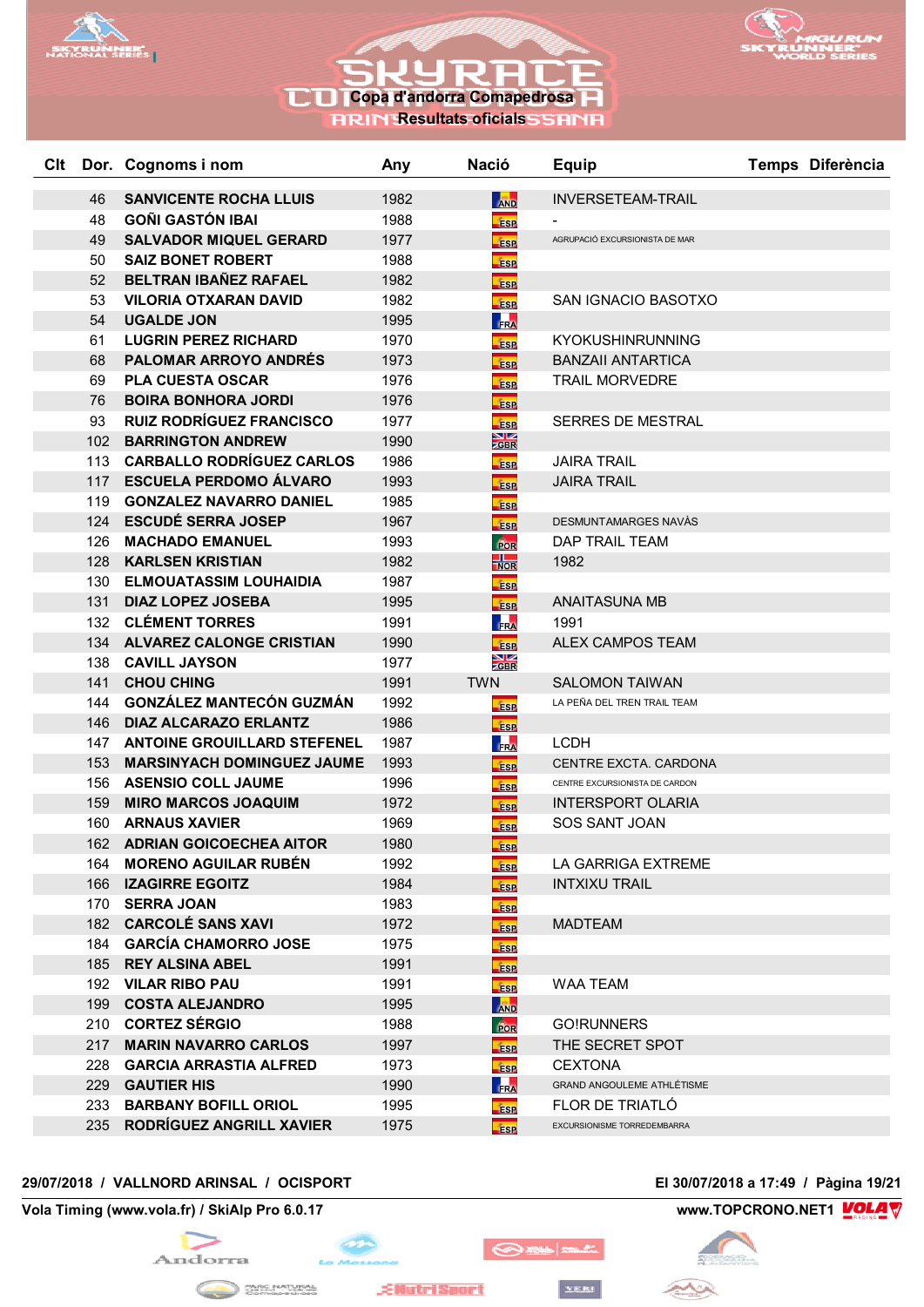



## **RRIN Resultats oficials**

| Clt |     | Dor. Cognoms i nom                | Any  | <b>Nació</b>            | <b>Equip</b>                      | Temps Diferència |
|-----|-----|-----------------------------------|------|-------------------------|-----------------------------------|------------------|
|     | 46  | <b>SANVICENTE ROCHA LLUIS</b>     | 1982 | <b>AND</b>              | <b>INVERSETEAM-TRAIL</b>          |                  |
|     | 48  | <b>GOÑI GASTÓN IBAI</b>           | 1988 | <b>ESP</b>              |                                   |                  |
|     | 49  | <b>SALVADOR MIQUEL GERARD</b>     | 1977 | <b>ESP</b>              | AGRUPACIÓ EXCURSIONISTA DE MAR    |                  |
|     | 50  | <b>SAIZ BONET ROBERT</b>          | 1988 | <b>ESP</b>              |                                   |                  |
|     | 52  | BELTRAN IBAÑEZ RAFAEL             | 1982 | <b>ESP</b>              |                                   |                  |
|     | 53  | <b>VILORIA OTXARAN DAVID</b>      | 1982 | <b>ESP</b>              | SAN IGNACIO BASOTXO               |                  |
|     | 54  | <b>UGALDE JON</b>                 | 1995 | FRA                     |                                   |                  |
|     | 61  | <b>LUGRIN PEREZ RICHARD</b>       | 1970 | <b>ESP</b>              | KYOKUSHINRUNNING                  |                  |
|     | 68  | <b>PALOMAR ARROYO ANDRES</b>      | 1973 | <b>ESP</b>              | <b>BANZAII ANTARTICA</b>          |                  |
|     | 69  | <b>PLA CUESTA OSCAR</b>           | 1976 | <b>ESP</b>              | <b>TRAIL MORVEDRE</b>             |                  |
|     | 76  | <b>BOIRA BONHORA JORDI</b>        | 1976 | <b>ESP</b>              |                                   |                  |
|     | 93  | <b>RUIZ RODRÍGUEZ FRANCISCO</b>   | 1977 | <b>ESP</b>              | <b>SERRES DE MESTRAL</b>          |                  |
|     | 102 | <b>BARRINGTON ANDREW</b>          | 1990 | $\frac{N}{2}$ GBR       |                                   |                  |
|     |     | 113 CARBALLO RODRÍGUEZ CARLOS     | 1986 | <b>ESP</b>              | <b>JAIRA TRAIL</b>                |                  |
|     |     | 117 ESCUELA PERDOMO ÁLVARO        | 1993 | <b>ESP</b>              | <b>JAIRA TRAIL</b>                |                  |
|     | 119 | <b>GONZALEZ NAVARRO DANIEL</b>    | 1985 | <b>ESP</b>              |                                   |                  |
|     |     | 124 ESCUDÉ SERRA JOSEP            | 1967 | <b>ESP</b>              | DESMUNTAMARGES NAVÀS              |                  |
|     | 126 | <b>MACHADO EMANUEL</b>            | 1993 | For                     | DAP TRAIL TEAM                    |                  |
|     | 128 | <b>KARLSEN KRISTIAN</b>           | 1982 | $\frac{1}{NOR}$         | 1982                              |                  |
|     | 130 | <b>ELMOUATASSIM LOUHAIDIA</b>     | 1987 | <b>ESP</b>              |                                   |                  |
|     | 131 | <b>DIAZ LOPEZ JOSEBA</b>          | 1995 | <b>ESP</b>              | <b>ANAITASUNA MB</b>              |                  |
|     | 132 | <b>CLÉMENT TORRES</b>             | 1991 | FRA                     | 1991                              |                  |
|     | 134 | <b>ALVAREZ CALONGE CRISTIAN</b>   | 1990 | <b>ESP</b>              | <b>ALEX CAMPOS TEAM</b>           |                  |
|     | 138 | <b>CAVILL JAYSON</b>              | 1977 | $\frac{\sum x}{\sum x}$ |                                   |                  |
|     | 141 | <b>CHOU CHING</b>                 | 1991 | <b>TWN</b>              | <b>SALOMON TAIWAN</b>             |                  |
|     | 144 | <b>GONZÁLEZ MANTECÓN GUZMÁN</b>   | 1992 | <b>Esp</b>              | LA PEÑA DEL TREN TRAIL TEAM       |                  |
|     | 146 | <b>DIAZ ALCARAZO ERLANTZ</b>      | 1986 | <b>Fise</b>             |                                   |                  |
|     |     | 147 ANTOINE GROUILLARD STEFENEL   | 1987 | FRA                     | <b>LCDH</b>                       |                  |
|     | 153 | <b>MARSINYACH DOMINGUEZ JAUME</b> | 1993 | <b>ESP</b>              | CENTRE EXCTA. CARDONA             |                  |
|     | 156 | <b>ASENSIO COLL JAUME</b>         | 1996 | <b>ESP</b>              | CENTRE EXCURSIONISTA DE CARDON    |                  |
|     | 159 | <b>MIRO MARCOS JOAQUIM</b>        | 1972 | <b>ESP</b>              | <b>INTERSPORT OLARIA</b>          |                  |
|     | 160 | <b>ARNAUS XAVIER</b>              | 1969 | <b>ESP</b>              | <b>SOS SANT JOAN</b>              |                  |
|     | 162 | <b>ADRIAN GOICOECHEA AITOR</b>    | 1980 | <b>ESP</b>              |                                   |                  |
|     |     | 164 MORENO AGUILAR RUBÉN          | 1992 | <b>ESP</b>              | LA GARRIGA EXTREME                |                  |
|     |     | 166 IZAGIRRE EGOITZ               | 1984 | <b>ESP</b>              | <b>INTXIXU TRAIL</b>              |                  |
|     |     | 170 SERRA JOAN                    | 1983 | <b>ESP</b>              |                                   |                  |
|     |     | 182 CARCOLÉ SANS XAVI             | 1972 | <b>ESP</b>              | <b>MADTEAM</b>                    |                  |
|     |     | 184 GARCÍA CHAMORRO JOSE          | 1975 | <b>ESP</b>              |                                   |                  |
|     |     | 185 REY ALSINA ABEL               | 1991 | <b>ESP</b>              |                                   |                  |
|     |     | 192 VILAR RIBO PAU                | 1991 | <b>ESP</b>              | <b>WAA TEAM</b>                   |                  |
|     | 199 | <b>COSTA ALEJANDRO</b>            | 1995 | <b>AND</b>              |                                   |                  |
|     |     | 210 CORTEZ SÉRGIO                 | 1988 | FOR                     | <b>GO!RUNNERS</b>                 |                  |
|     | 217 | <b>MARIN NAVARRO CARLOS</b>       | 1997 | <b>ESP</b>              | THE SECRET SPOT                   |                  |
|     | 228 | <b>GARCIA ARRASTIA ALFRED</b>     | 1973 | <b>ESP</b>              | <b>CEXTONA</b>                    |                  |
|     |     | 229 GAUTIER HIS                   | 1990 | FRA                     | <b>GRAND ANGOULEME ATHLÉTISME</b> |                  |
|     | 233 | <b>BARBANY BOFILL ORIOL</b>       | 1995 | <b>ESP</b>              | FLOR DE TRIATLÓ                   |                  |
|     |     | 235 RODRÍGUEZ ANGRILL XAVIER      | 1975 | <b>ESP</b>              | EXCURSIONISME TORREDEMBARRA       |                  |

## **29/07/2018 / VALLNORD ARINSAL / OCISPORT El 30/07/2018 a 17:49 / Pàgina 19/21**

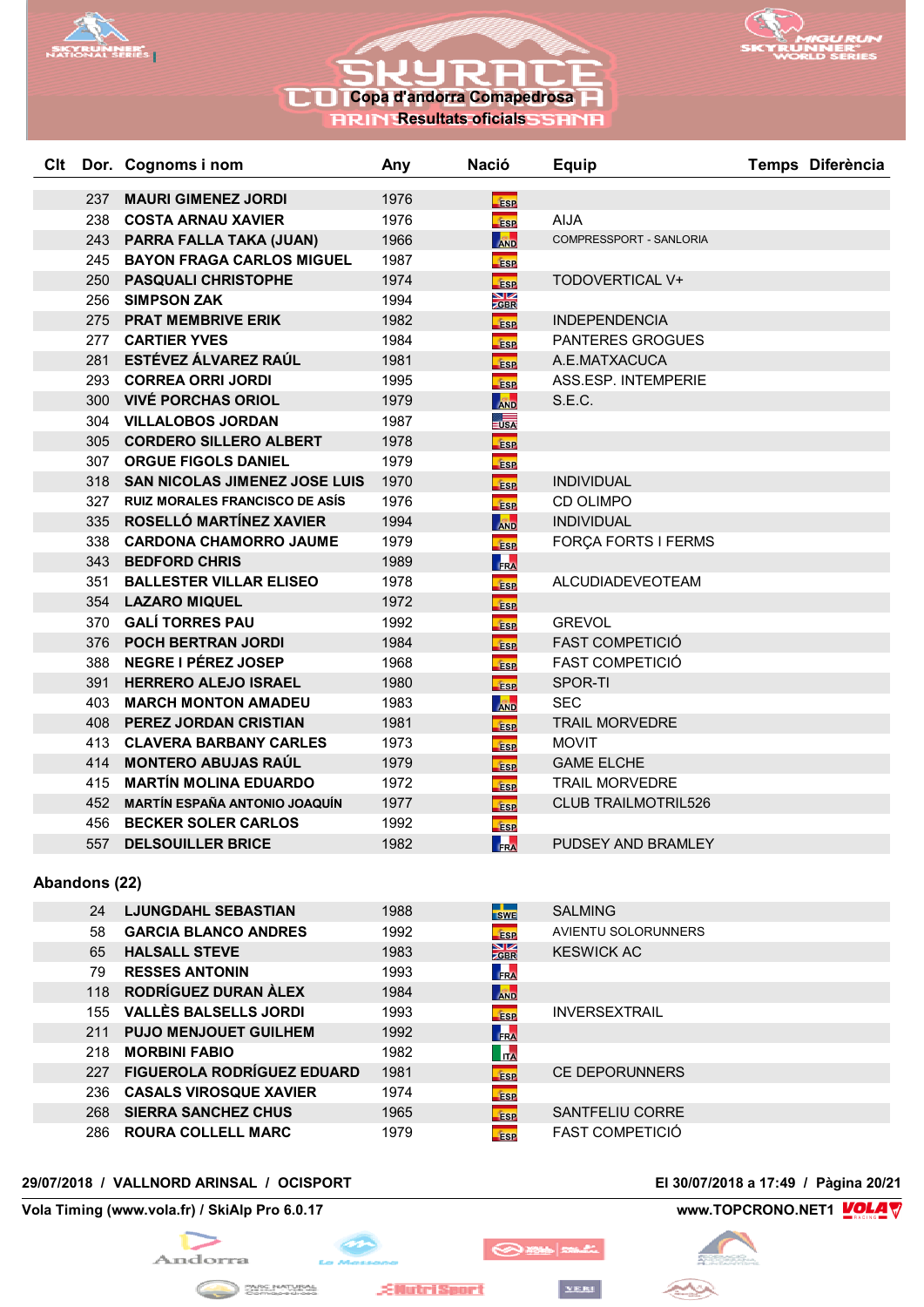





**RRIN Resultats oficials** 

| Clt |            | Dor. Cognoms i nom                                               | Any          | <b>Nació</b>                | <b>Equip</b>                                     | Temps Diferència |
|-----|------------|------------------------------------------------------------------|--------------|-----------------------------|--------------------------------------------------|------------------|
|     |            |                                                                  |              |                             |                                                  |                  |
|     | 237        | <b>MAURI GIMENEZ JORDI</b>                                       | 1976         | <b>ESP</b>                  | <b>AIJA</b>                                      |                  |
|     | 238        | <b>COSTA ARNAU XAVIER</b>                                        | 1976         | <b>ESP</b>                  |                                                  |                  |
|     |            | 243 PARRA FALLA TAKA (JUAN)                                      | 1966         | <b>AND</b>                  | COMPRESSPORT - SANLORIA                          |                  |
|     | 245        | <b>BAYON FRAGA CARLOS MIGUEL</b>                                 | 1987         | <b>ESP</b>                  |                                                  |                  |
|     | 250        | <b>PASQUALI CHRISTOPHE</b>                                       | 1974         | <b>ESP</b>                  | TODOVERTICAL V+                                  |                  |
|     | 256        | <b>SIMPSON ZAK</b>                                               | 1994         | $\frac{\text{N}}{\text{Z}}$ |                                                  |                  |
|     | 275        | <b>PRAT MEMBRIVE ERIK</b>                                        | 1982         | <b>ESP</b>                  | <b>INDEPENDENCIA</b>                             |                  |
|     | 277        | <b>CARTIER YVES</b><br>ESTÉVEZ ÁLVAREZ RAÚL                      | 1984         | <b>ESP</b>                  | <b>PANTERES GROGUES</b>                          |                  |
|     | 281        |                                                                  | 1981         | <b>ESP</b>                  | A.E.MATXACUCA                                    |                  |
|     |            | 293 CORREA ORRI JORDI                                            | 1995         | <b>ESP</b>                  | ASS.ESP. INTEMPERIE                              |                  |
|     | 300<br>304 | <b>VIVÉ PORCHAS ORIOL</b>                                        | 1979         | <b>AND</b>                  | S.E.C.                                           |                  |
|     |            | <b>VILLALOBOS JORDAN</b>                                         | 1987         | $\overline{\mathsf{USA}}$   |                                                  |                  |
|     | 305        | <b>CORDERO SILLERO ALBERT</b>                                    | 1978         | <b>ESP</b>                  |                                                  |                  |
|     | 307        | <b>ORGUE FIGOLS DANIEL</b>                                       | 1979         | <b>ESP</b>                  |                                                  |                  |
|     |            | 318 SAN NICOLAS JIMENEZ JOSE LUIS                                | 1970         | Ésp                         | <b>INDIVIDUAL</b>                                |                  |
|     | 327<br>335 | <b>RUIZ MORALES FRANCISCO DE ASÍS</b><br>ROSELLÓ MARTÍNEZ XAVIER | 1976         | <b>TESP</b>                 | <b>CD OLIMPO</b>                                 |                  |
|     |            |                                                                  | 1994         | <b>AND</b>                  | <b>INDIVIDUAL</b>                                |                  |
|     | 338        | <b>CARDONA CHAMORRO JAUME</b>                                    | 1979         | <b>fise</b>                 | FORÇA FORTS I FERMS                              |                  |
|     | 343        | <b>BEDFORD CHRIS</b>                                             | 1989         | FRA                         |                                                  |                  |
|     | 351        | <b>BALLESTER VILLAR ELISEO</b>                                   | 1978         | <b>ESP</b>                  | <b>ALCUDIADEVEOTEAM</b>                          |                  |
|     |            | 354 LAZARO MIQUEL<br><b>GALÍ TORRES PAU</b>                      | 1972         | <b>fise</b>                 |                                                  |                  |
|     | 370        | <b>POCH BERTRAN JORDI</b>                                        | 1992         | <b>ESP</b>                  | <b>GREVOL</b>                                    |                  |
|     | 376<br>388 | <b>NEGRE I PÉREZ JOSEP</b>                                       | 1984         | <b>ESP</b>                  | <b>FAST COMPETICIÓ</b><br><b>FAST COMPETICIÓ</b> |                  |
|     | 391        | <b>HERRERO ALEJO ISRAEL</b>                                      | 1968<br>1980 | <b>fise</b>                 | SPOR-TI                                          |                  |
|     | 403        | <b>MARCH MONTON AMADEU</b>                                       | 1983         | <b>ESP</b>                  | <b>SEC</b>                                       |                  |
|     | 408        | <b>PEREZ JORDAN CRISTIAN</b>                                     | 1981         | <b>AND</b>                  | <b>TRAIL MORVEDRE</b>                            |                  |
|     | 413        | <b>CLAVERA BARBANY CARLES</b>                                    |              | <b>fase</b>                 |                                                  |                  |
|     |            |                                                                  | 1973         | <b>ESP</b>                  | <b>MOVIT</b>                                     |                  |
|     | 414        | <b>MONTERO ABUJAS RAÚL</b>                                       | 1979         | <b>ESP</b>                  | <b>GAME ELCHE</b>                                |                  |
|     | 415        | <b>MARTÍN MOLINA EDUARDO</b>                                     | 1972         | <b>ESP</b>                  | <b>TRAIL MORVEDRE</b>                            |                  |
|     | 452        | <b>MARTÍN ESPAÑA ANTONIO JOAQUÍN</b>                             | 1977         | <b>ESP</b>                  | <b>CLUB TRAILMOTRIL526</b>                       |                  |
|     | 456        | <b>BECKER SOLER CARLOS</b>                                       | 1992         | <b>ESP</b>                  |                                                  |                  |
|     | 557        | <b>DELSOUILLER BRICE</b>                                         | 1982         | <b>FRA</b>                  | PUDSEY AND BRAMLEY                               |                  |

## **Abandons (22)**

| <b>LJUNGDAHL SEBASTIAN</b>        | 1988 | <b>SWE</b>                      | <b>SALMING</b>         |
|-----------------------------------|------|---------------------------------|------------------------|
| <b>GARCIA BLANCO ANDRES</b>       | 1992 | <b>ESP</b>                      | AVIENTU SOLORUNNERS    |
| <b>HALSALL STEVE</b>              | 1983 | $\frac{\sum K}{\sum_{i=1}^{n}}$ | <b>KESWICK AC</b>      |
| <b>RESSES ANTONIN</b>             | 1993 | FRA                             |                        |
| RODRÍGUEZ DURAN ÀLEX<br>118       | 1984 | <b>AND</b>                      |                        |
| <b>VALLÈS BALSELLS JORDI</b>      | 1993 | <b>ESP</b>                      | <b>INVERSEXTRAIL</b>   |
| <b>PUJO MENJOUET GUILHEM</b>      | 1992 | <b>FRA</b>                      |                        |
| <b>MORBINI FABIO</b>              | 1982 | <b>ITA</b>                      |                        |
| <b>FIGUEROLA RODRÍGUEZ EDUARD</b> | 1981 | <b>fise</b>                     | <b>CE DEPORUNNERS</b>  |
| <b>CASALS VIROSQUE XAVIER</b>     | 1974 | <b>ESP</b>                      |                        |
| <b>SIERRA SANCHEZ CHUS</b>        | 1965 | <b>fase</b>                     | <b>SANTFELIU CORRE</b> |
| <b>ROURA COLLELL MARC</b>         | 1979 | <b>ESP</b>                      | <b>FAST COMPETICIÓ</b> |
|                                   |      |                                 |                        |

## **29/07/2018 / VALLNORD ARINSAL / OCISPORT El 30/07/2018 a 17:49 / Pàgina 20/21**

## **Vola Timing (www.vola.fr) / SkiAlp Pro 6.0.17 www.TOPCRONO.NET1 WOLA**





 $\mathcal{A}$ 

**EllutriSport** 

```
YERI
```
 $\bigotimes$  and